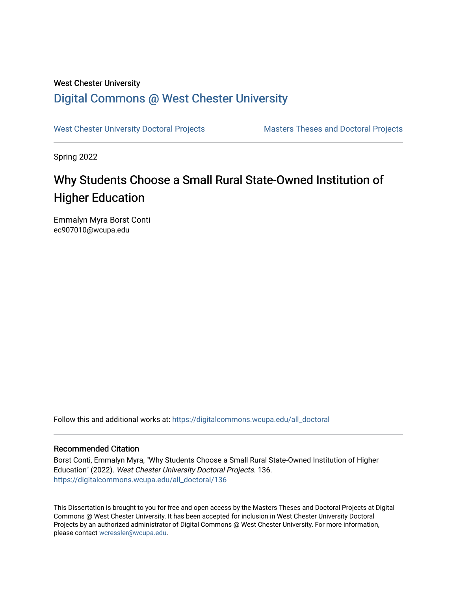## West Chester University [Digital Commons @ West Chester University](https://digitalcommons.wcupa.edu/)

[West Chester University Doctoral Projects](https://digitalcommons.wcupa.edu/all_doctoral) Masters Theses and Doctoral Projects

Spring 2022

# Why Students Choose a Small Rural State-Owned Institution of Higher Education

Emmalyn Myra Borst Conti ec907010@wcupa.edu

Follow this and additional works at: [https://digitalcommons.wcupa.edu/all\\_doctoral](https://digitalcommons.wcupa.edu/all_doctoral?utm_source=digitalcommons.wcupa.edu%2Fall_doctoral%2F136&utm_medium=PDF&utm_campaign=PDFCoverPages) 

## Recommended Citation

Borst Conti, Emmalyn Myra, "Why Students Choose a Small Rural State-Owned Institution of Higher Education" (2022). West Chester University Doctoral Projects. 136. [https://digitalcommons.wcupa.edu/all\\_doctoral/136](https://digitalcommons.wcupa.edu/all_doctoral/136?utm_source=digitalcommons.wcupa.edu%2Fall_doctoral%2F136&utm_medium=PDF&utm_campaign=PDFCoverPages) 

This Dissertation is brought to you for free and open access by the Masters Theses and Doctoral Projects at Digital Commons @ West Chester University. It has been accepted for inclusion in West Chester University Doctoral Projects by an authorized administrator of Digital Commons @ West Chester University. For more information, please contact [wcressler@wcupa.edu](mailto:wcressler@wcupa.edu).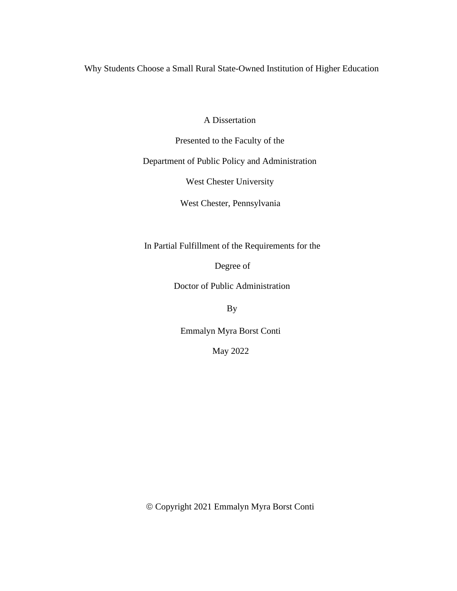Why Students Choose a Small Rural State-Owned Institution of Higher Education

A Dissertation

Presented to the Faculty of the

Department of Public Policy and Administration

West Chester University

West Chester, Pennsylvania

In Partial Fulfillment of the Requirements for the

Degree of

Doctor of Public Administration

By

Emmalyn Myra Borst Conti

May 2022

© Copyright 2021 Emmalyn Myra Borst Conti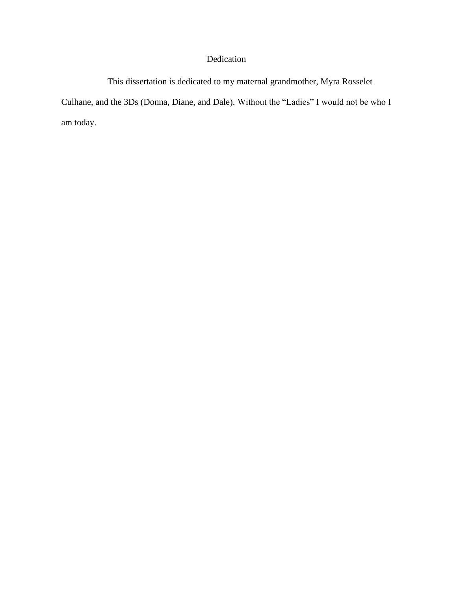## Dedication

This dissertation is dedicated to my maternal grandmother, Myra Rosselet Culhane, and the 3Ds (Donna, Diane, and Dale). Without the "Ladies" I would not be who I am today.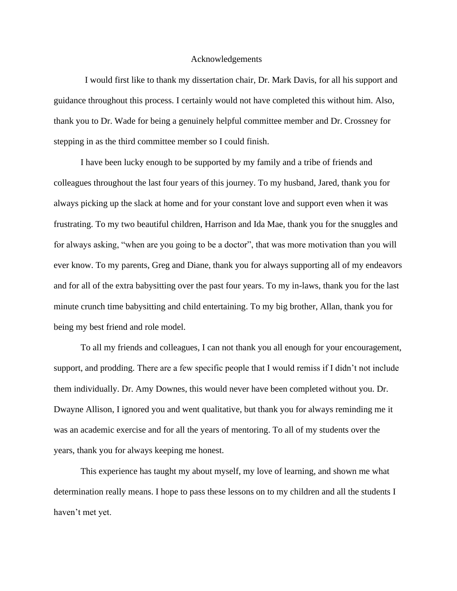#### Acknowledgements

I would first like to thank my dissertation chair, Dr. Mark Davis, for all his support and guidance throughout this process. I certainly would not have completed this without him. Also, thank you to Dr. Wade for being a genuinely helpful committee member and Dr. Crossney for stepping in as the third committee member so I could finish.

I have been lucky enough to be supported by my family and a tribe of friends and colleagues throughout the last four years of this journey. To my husband, Jared, thank you for always picking up the slack at home and for your constant love and support even when it was frustrating. To my two beautiful children, Harrison and Ida Mae, thank you for the snuggles and for always asking, "when are you going to be a doctor", that was more motivation than you will ever know. To my parents, Greg and Diane, thank you for always supporting all of my endeavors and for all of the extra babysitting over the past four years. To my in-laws, thank you for the last minute crunch time babysitting and child entertaining. To my big brother, Allan, thank you for being my best friend and role model.

To all my friends and colleagues, I can not thank you all enough for your encouragement, support, and prodding. There are a few specific people that I would remiss if I didn't not include them individually. Dr. Amy Downes, this would never have been completed without you. Dr. Dwayne Allison, I ignored you and went qualitative, but thank you for always reminding me it was an academic exercise and for all the years of mentoring. To all of my students over the years, thank you for always keeping me honest.

This experience has taught my about myself, my love of learning, and shown me what determination really means. I hope to pass these lessons on to my children and all the students I haven't met yet.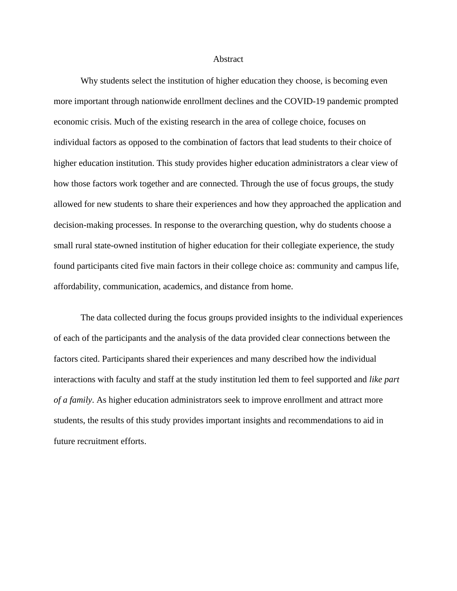## **Abstract**

Why students select the institution of higher education they choose, is becoming even more important through nationwide enrollment declines and the COVID-19 pandemic prompted economic crisis. Much of the existing research in the area of college choice, focuses on individual factors as opposed to the combination of factors that lead students to their choice of higher education institution. This study provides higher education administrators a clear view of how those factors work together and are connected. Through the use of focus groups, the study allowed for new students to share their experiences and how they approached the application and decision-making processes. In response to the overarching question, why do students choose a small rural state-owned institution of higher education for their collegiate experience, the study found participants cited five main factors in their college choice as: community and campus life, affordability, communication, academics, and distance from home.

The data collected during the focus groups provided insights to the individual experiences of each of the participants and the analysis of the data provided clear connections between the factors cited. Participants shared their experiences and many described how the individual interactions with faculty and staff at the study institution led them to feel supported and *like part of a family*. As higher education administrators seek to improve enrollment and attract more students, the results of this study provides important insights and recommendations to aid in future recruitment efforts.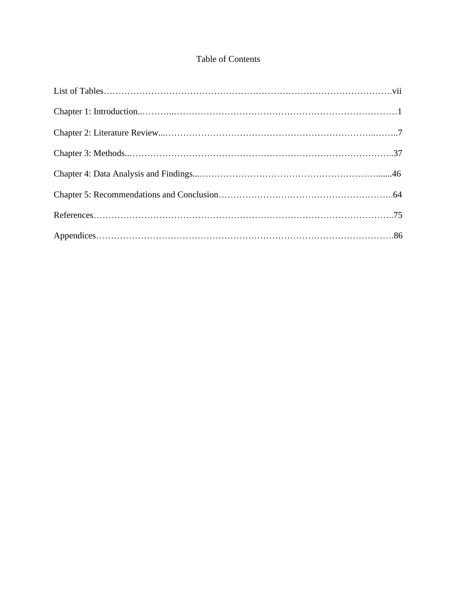## Table of Contents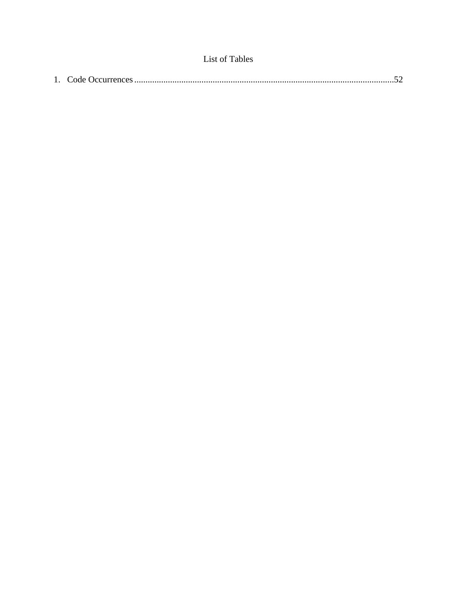|--|--|--|--|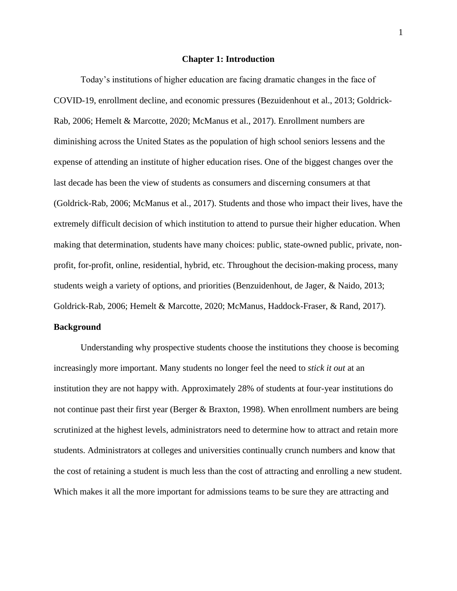#### **Chapter 1: Introduction**

Today's institutions of higher education are facing dramatic changes in the face of COVID-19, enrollment decline, and economic pressures (Bezuidenhout et al., 2013; Goldrick-Rab, 2006; Hemelt & Marcotte, 2020; McManus et al., 2017). Enrollment numbers are diminishing across the United States as the population of high school seniors lessens and the expense of attending an institute of higher education rises. One of the biggest changes over the last decade has been the view of students as consumers and discerning consumers at that (Goldrick-Rab, 2006; McManus et al., 2017). Students and those who impact their lives, have the extremely difficult decision of which institution to attend to pursue their higher education. When making that determination, students have many choices: public, state-owned public, private, nonprofit, for-profit, online, residential, hybrid, etc. Throughout the decision-making process, many students weigh a variety of options, and priorities (Benzuidenhout, de Jager, & Naido, 2013; Goldrick-Rab, 2006; Hemelt & Marcotte, 2020; McManus, Haddock-Fraser, & Rand, 2017).

## **Background**

Understanding why prospective students choose the institutions they choose is becoming increasingly more important. Many students no longer feel the need to *stick it out* at an institution they are not happy with. Approximately 28% of students at four-year institutions do not continue past their first year (Berger & Braxton, 1998). When enrollment numbers are being scrutinized at the highest levels, administrators need to determine how to attract and retain more students. Administrators at colleges and universities continually crunch numbers and know that the cost of retaining a student is much less than the cost of attracting and enrolling a new student. Which makes it all the more important for admissions teams to be sure they are attracting and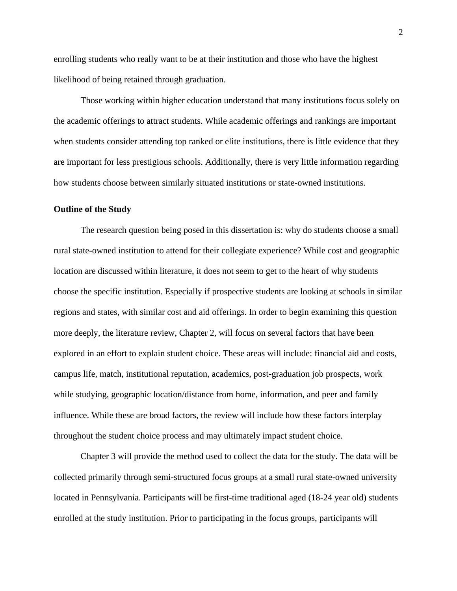enrolling students who really want to be at their institution and those who have the highest likelihood of being retained through graduation.

Those working within higher education understand that many institutions focus solely on the academic offerings to attract students. While academic offerings and rankings are important when students consider attending top ranked or elite institutions, there is little evidence that they are important for less prestigious schools. Additionally, there is very little information regarding how students choose between similarly situated institutions or state-owned institutions.

## **Outline of the Study**

The research question being posed in this dissertation is: why do students choose a small rural state-owned institution to attend for their collegiate experience? While cost and geographic location are discussed within literature, it does not seem to get to the heart of why students choose the specific institution. Especially if prospective students are looking at schools in similar regions and states, with similar cost and aid offerings. In order to begin examining this question more deeply, the literature review, Chapter 2, will focus on several factors that have been explored in an effort to explain student choice. These areas will include: financial aid and costs, campus life, match, institutional reputation, academics, post-graduation job prospects, work while studying, geographic location/distance from home, information, and peer and family influence. While these are broad factors, the review will include how these factors interplay throughout the student choice process and may ultimately impact student choice.

Chapter 3 will provide the method used to collect the data for the study. The data will be collected primarily through semi-structured focus groups at a small rural state-owned university located in Pennsylvania. Participants will be first-time traditional aged (18-24 year old) students enrolled at the study institution. Prior to participating in the focus groups, participants will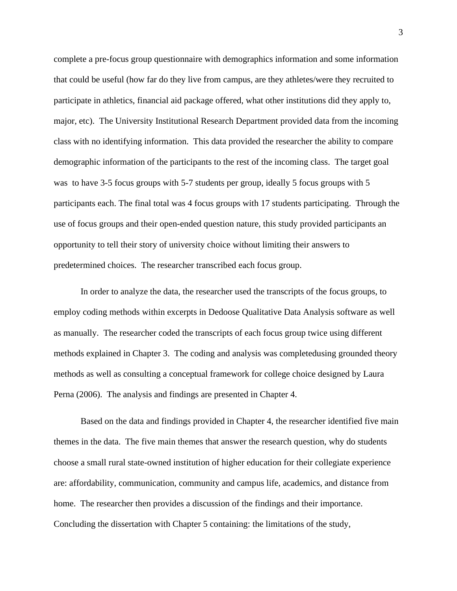complete a pre-focus group questionnaire with demographics information and some information that could be useful (how far do they live from campus, are they athletes/were they recruited to participate in athletics, financial aid package offered, what other institutions did they apply to, major, etc). The University Institutional Research Department provided data from the incoming class with no identifying information. This data provided the researcher the ability to compare demographic information of the participants to the rest of the incoming class. The target goal was to have 3-5 focus groups with 5-7 students per group, ideally 5 focus groups with 5 participants each. The final total was 4 focus groups with 17 students participating. Through the use of focus groups and their open-ended question nature, this study provided participants an opportunity to tell their story of university choice without limiting their answers to predetermined choices. The researcher transcribed each focus group.

In order to analyze the data, the researcher used the transcripts of the focus groups, to employ coding methods within excerpts in Dedoose Qualitative Data Analysis software as well as manually. The researcher coded the transcripts of each focus group twice using different methods explained in Chapter 3. The coding and analysis was completedusing grounded theory methods as well as consulting a conceptual framework for college choice designed by Laura Perna (2006). The analysis and findings are presented in Chapter 4.

Based on the data and findings provided in Chapter 4, the researcher identified five main themes in the data. The five main themes that answer the research question, why do students choose a small rural state-owned institution of higher education for their collegiate experience are: affordability, communication, community and campus life, academics, and distance from home. The researcher then provides a discussion of the findings and their importance. Concluding the dissertation with Chapter 5 containing: the limitations of the study,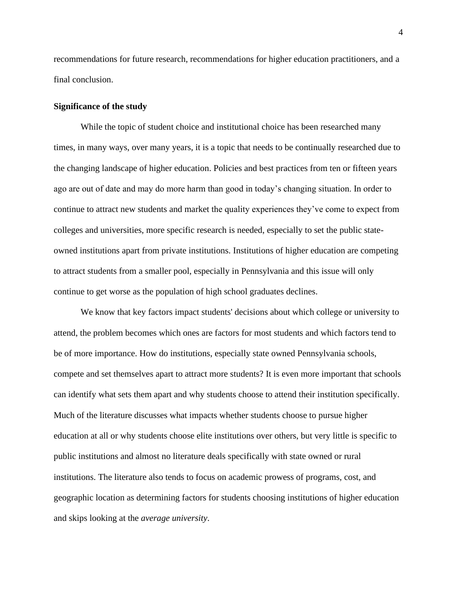recommendations for future research, recommendations for higher education practitioners, and a final conclusion.

## **Significance of the study**

While the topic of student choice and institutional choice has been researched many times, in many ways, over many years, it is a topic that needs to be continually researched due to the changing landscape of higher education. Policies and best practices from ten or fifteen years ago are out of date and may do more harm than good in today's changing situation. In order to continue to attract new students and market the quality experiences they've come to expect from colleges and universities, more specific research is needed, especially to set the public stateowned institutions apart from private institutions. Institutions of higher education are competing to attract students from a smaller pool, especially in Pennsylvania and this issue will only continue to get worse as the population of high school graduates declines.

We know that key factors impact students' decisions about which college or university to attend, the problem becomes which ones are factors for most students and which factors tend to be of more importance. How do institutions, especially state owned Pennsylvania schools, compete and set themselves apart to attract more students? It is even more important that schools can identify what sets them apart and why students choose to attend their institution specifically. Much of the literature discusses what impacts whether students choose to pursue higher education at all or why students choose elite institutions over others, but very little is specific to public institutions and almost no literature deals specifically with state owned or rural institutions. The literature also tends to focus on academic prowess of programs, cost, and geographic location as determining factors for students choosing institutions of higher education and skips looking at the *average university*.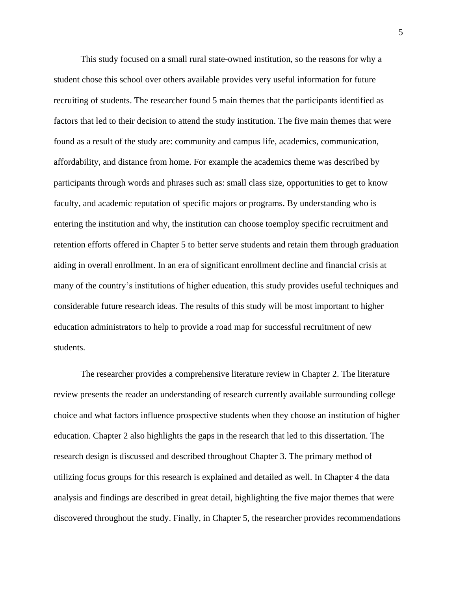This study focused on a small rural state-owned institution, so the reasons for why a student chose this school over others available provides very useful information for future recruiting of students. The researcher found 5 main themes that the participants identified as factors that led to their decision to attend the study institution. The five main themes that were found as a result of the study are: community and campus life, academics, communication, affordability, and distance from home. For example the academics theme was described by participants through words and phrases such as: small class size, opportunities to get to know faculty, and academic reputation of specific majors or programs. By understanding who is entering the institution and why, the institution can choose toemploy specific recruitment and retention efforts offered in Chapter 5 to better serve students and retain them through graduation aiding in overall enrollment. In an era of significant enrollment decline and financial crisis at many of the country's institutions of higher education, this study provides useful techniques and considerable future research ideas. The results of this study will be most important to higher education administrators to help to provide a road map for successful recruitment of new students.

The researcher provides a comprehensive literature review in Chapter 2. The literature review presents the reader an understanding of research currently available surrounding college choice and what factors influence prospective students when they choose an institution of higher education. Chapter 2 also highlights the gaps in the research that led to this dissertation. The research design is discussed and described throughout Chapter 3. The primary method of utilizing focus groups for this research is explained and detailed as well. In Chapter 4 the data analysis and findings are described in great detail, highlighting the five major themes that were discovered throughout the study. Finally, in Chapter 5, the researcher provides recommendations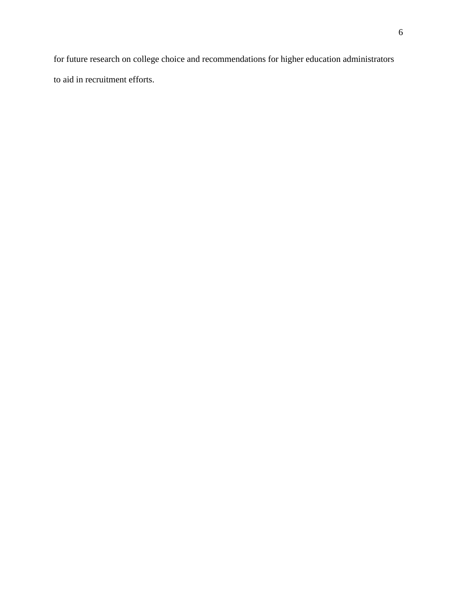for future research on college choice and recommendations for higher education administrators to aid in recruitment efforts.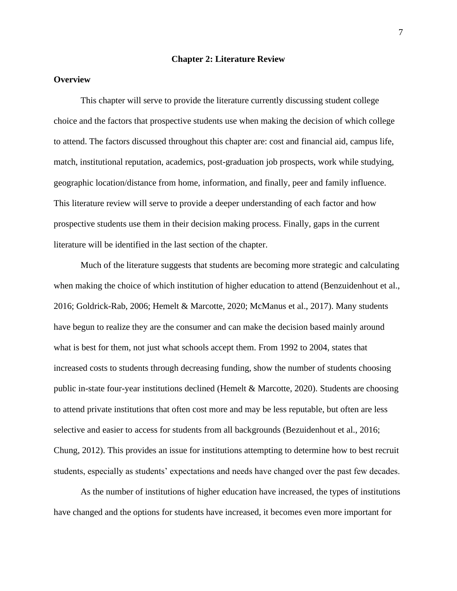## **Chapter 2: Literature Review**

## **Overview**

This chapter will serve to provide the literature currently discussing student college choice and the factors that prospective students use when making the decision of which college to attend. The factors discussed throughout this chapter are: cost and financial aid, campus life, match, institutional reputation, academics, post-graduation job prospects, work while studying, geographic location/distance from home, information, and finally, peer and family influence. This literature review will serve to provide a deeper understanding of each factor and how prospective students use them in their decision making process. Finally, gaps in the current literature will be identified in the last section of the chapter.

Much of the literature suggests that students are becoming more strategic and calculating when making the choice of which institution of higher education to attend (Benzuidenhout et al., 2016; Goldrick-Rab, 2006; Hemelt & Marcotte, 2020; McManus et al., 2017). Many students have begun to realize they are the consumer and can make the decision based mainly around what is best for them, not just what schools accept them. From 1992 to 2004, states that increased costs to students through decreasing funding, show the number of students choosing public in-state four-year institutions declined (Hemelt & Marcotte, 2020). Students are choosing to attend private institutions that often cost more and may be less reputable, but often are less selective and easier to access for students from all backgrounds (Bezuidenhout et al., 2016; Chung, 2012). This provides an issue for institutions attempting to determine how to best recruit students, especially as students' expectations and needs have changed over the past few decades.

As the number of institutions of higher education have increased, the types of institutions have changed and the options for students have increased, it becomes even more important for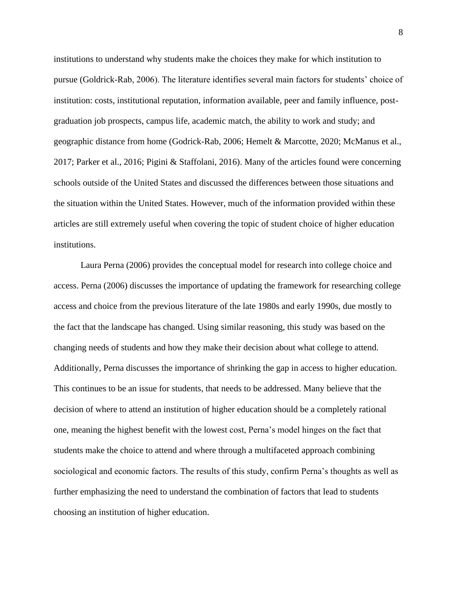institutions to understand why students make the choices they make for which institution to pursue (Goldrick-Rab, 2006). The literature identifies several main factors for students' choice of institution: costs, institutional reputation, information available, peer and family influence, postgraduation job prospects, campus life, academic match, the ability to work and study; and geographic distance from home (Godrick-Rab, 2006; Hemelt & Marcotte, 2020; McManus et al., 2017; Parker et al., 2016; Pigini & Staffolani, 2016). Many of the articles found were concerning schools outside of the United States and discussed the differences between those situations and the situation within the United States. However, much of the information provided within these articles are still extremely useful when covering the topic of student choice of higher education institutions.

Laura Perna (2006) provides the conceptual model for research into college choice and access. Perna (2006) discusses the importance of updating the framework for researching college access and choice from the previous literature of the late 1980s and early 1990s, due mostly to the fact that the landscape has changed. Using similar reasoning, this study was based on the changing needs of students and how they make their decision about what college to attend. Additionally, Perna discusses the importance of shrinking the gap in access to higher education. This continues to be an issue for students, that needs to be addressed. Many believe that the decision of where to attend an institution of higher education should be a completely rational one, meaning the highest benefit with the lowest cost, Perna's model hinges on the fact that students make the choice to attend and where through a multifaceted approach combining sociological and economic factors. The results of this study, confirm Perna's thoughts as well as further emphasizing the need to understand the combination of factors that lead to students choosing an institution of higher education.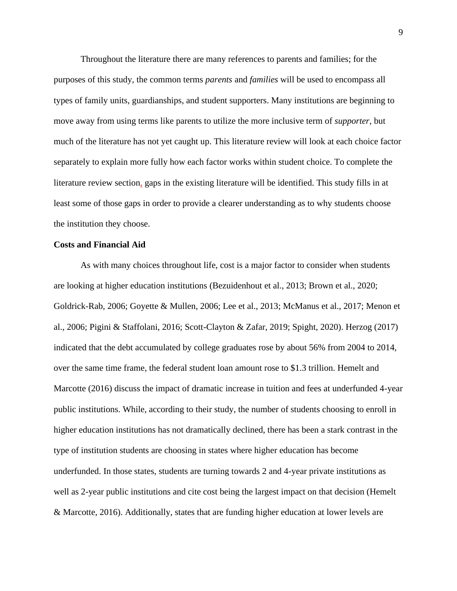Throughout the literature there are many references to parents and families; for the purposes of this study, the common terms *parents* and *families* will be used to encompass all types of family units, guardianships, and student supporters. Many institutions are beginning to move away from using terms like parents to utilize the more inclusive term of *supporter*, but much of the literature has not yet caught up. This literature review will look at each choice factor separately to explain more fully how each factor works within student choice. To complete the literature review section, gaps in the existing literature will be identified. This study fills in at least some of those gaps in order to provide a clearer understanding as to why students choose the institution they choose.

## **Costs and Financial Aid**

As with many choices throughout life, cost is a major factor to consider when students are looking at higher education institutions (Bezuidenhout et al., 2013; Brown et al., 2020; Goldrick-Rab, 2006; Goyette & Mullen, 2006; Lee et al., 2013; McManus et al., 2017; Menon et al., 2006; Pigini & Staffolani, 2016; Scott-Clayton & Zafar, 2019; Spight, 2020). Herzog (2017) indicated that the debt accumulated by college graduates rose by about 56% from 2004 to 2014, over the same time frame, the federal student loan amount rose to \$1.3 trillion. Hemelt and Marcotte (2016) discuss the impact of dramatic increase in tuition and fees at underfunded 4-year public institutions. While, according to their study, the number of students choosing to enroll in higher education institutions has not dramatically declined, there has been a stark contrast in the type of institution students are choosing in states where higher education has become underfunded. In those states, students are turning towards 2 and 4-year private institutions as well as 2-year public institutions and cite cost being the largest impact on that decision (Hemelt & Marcotte, 2016). Additionally, states that are funding higher education at lower levels are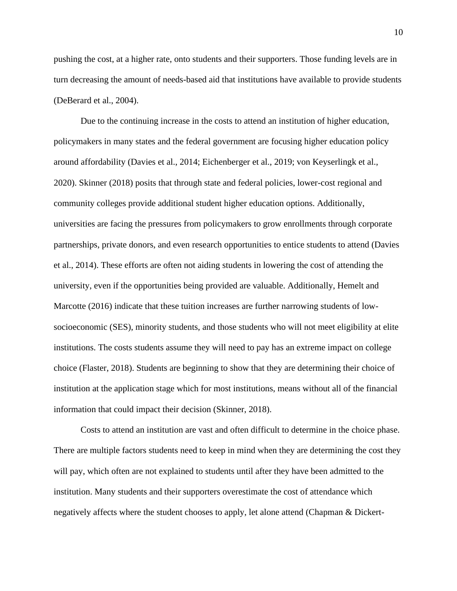pushing the cost, at a higher rate, onto students and their supporters. Those funding levels are in turn decreasing the amount of needs-based aid that institutions have available to provide students (DeBerard et al., 2004).

Due to the continuing increase in the costs to attend an institution of higher education, policymakers in many states and the federal government are focusing higher education policy around affordability (Davies et al., 2014; Eichenberger et al., 2019; von Keyserlingk et al., 2020). Skinner (2018) posits that through state and federal policies, lower-cost regional and community colleges provide additional student higher education options. Additionally, universities are facing the pressures from policymakers to grow enrollments through corporate partnerships, private donors, and even research opportunities to entice students to attend (Davies et al., 2014). These efforts are often not aiding students in lowering the cost of attending the university, even if the opportunities being provided are valuable. Additionally, Hemelt and Marcotte (2016) indicate that these tuition increases are further narrowing students of lowsocioeconomic (SES), minority students, and those students who will not meet eligibility at elite institutions. The costs students assume they will need to pay has an extreme impact on college choice (Flaster, 2018). Students are beginning to show that they are determining their choice of institution at the application stage which for most institutions, means without all of the financial information that could impact their decision (Skinner, 2018).

Costs to attend an institution are vast and often difficult to determine in the choice phase. There are multiple factors students need to keep in mind when they are determining the cost they will pay, which often are not explained to students until after they have been admitted to the institution. Many students and their supporters overestimate the cost of attendance which negatively affects where the student chooses to apply, let alone attend (Chapman & Dickert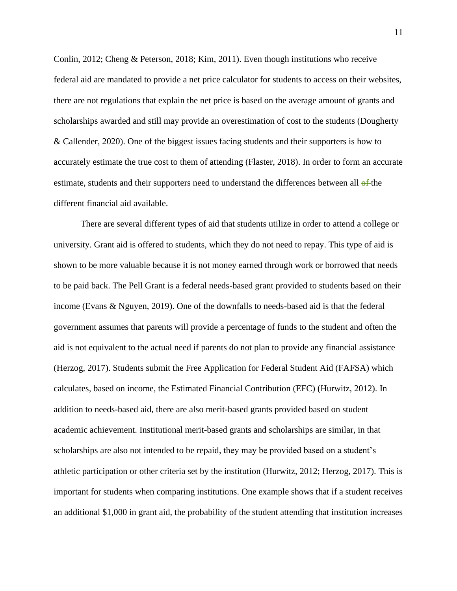Conlin, 2012; Cheng & Peterson, 2018; Kim, 2011). Even though institutions who receive federal aid are mandated to provide a net price calculator for students to access on their websites, there are not regulations that explain the net price is based on the average amount of grants and scholarships awarded and still may provide an overestimation of cost to the students (Dougherty & Callender, 2020). One of the biggest issues facing students and their supporters is how to accurately estimate the true cost to them of attending (Flaster, 2018). In order to form an accurate estimate, students and their supporters need to understand the differences between all  $\theta$ -the different financial aid available.

There are several different types of aid that students utilize in order to attend a college or university. Grant aid is offered to students, which they do not need to repay. This type of aid is shown to be more valuable because it is not money earned through work or borrowed that needs to be paid back. The Pell Grant is a federal needs-based grant provided to students based on their income (Evans & Nguyen, 2019). One of the downfalls to needs-based aid is that the federal government assumes that parents will provide a percentage of funds to the student and often the aid is not equivalent to the actual need if parents do not plan to provide any financial assistance (Herzog, 2017). Students submit the Free Application for Federal Student Aid (FAFSA) which calculates, based on income, the Estimated Financial Contribution (EFC) (Hurwitz, 2012). In addition to needs-based aid, there are also merit-based grants provided based on student academic achievement. Institutional merit-based grants and scholarships are similar, in that scholarships are also not intended to be repaid, they may be provided based on a student's athletic participation or other criteria set by the institution (Hurwitz, 2012; Herzog, 2017). This is important for students when comparing institutions. One example shows that if a student receives an additional \$1,000 in grant aid, the probability of the student attending that institution increases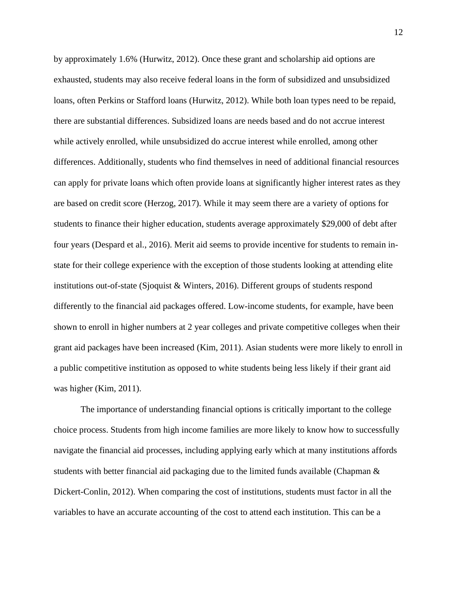by approximately 1.6% (Hurwitz, 2012). Once these grant and scholarship aid options are exhausted, students may also receive federal loans in the form of subsidized and unsubsidized loans, often Perkins or Stafford loans (Hurwitz, 2012). While both loan types need to be repaid, there are substantial differences. Subsidized loans are needs based and do not accrue interest while actively enrolled, while unsubsidized do accrue interest while enrolled, among other differences. Additionally, students who find themselves in need of additional financial resources can apply for private loans which often provide loans at significantly higher interest rates as they are based on credit score (Herzog, 2017). While it may seem there are a variety of options for students to finance their higher education, students average approximately \$29,000 of debt after four years (Despard et al., 2016). Merit aid seems to provide incentive for students to remain instate for their college experience with the exception of those students looking at attending elite institutions out-of-state (Sjoquist & Winters, 2016). Different groups of students respond differently to the financial aid packages offered. Low-income students, for example, have been shown to enroll in higher numbers at 2 year colleges and private competitive colleges when their grant aid packages have been increased (Kim, 2011). Asian students were more likely to enroll in a public competitive institution as opposed to white students being less likely if their grant aid was higher (Kim, 2011).

The importance of understanding financial options is critically important to the college choice process. Students from high income families are more likely to know how to successfully navigate the financial aid processes, including applying early which at many institutions affords students with better financial aid packaging due to the limited funds available (Chapman  $\&$ Dickert-Conlin, 2012). When comparing the cost of institutions, students must factor in all the variables to have an accurate accounting of the cost to attend each institution. This can be a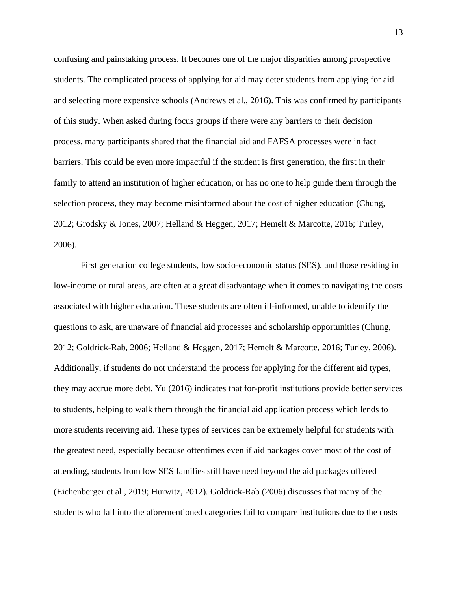confusing and painstaking process. It becomes one of the major disparities among prospective students. The complicated process of applying for aid may deter students from applying for aid and selecting more expensive schools (Andrews et al., 2016). This was confirmed by participants of this study. When asked during focus groups if there were any barriers to their decision process, many participants shared that the financial aid and FAFSA processes were in fact barriers. This could be even more impactful if the student is first generation, the first in their family to attend an institution of higher education, or has no one to help guide them through the selection process, they may become misinformed about the cost of higher education (Chung, 2012; Grodsky & Jones, 2007; Helland & Heggen, 2017; Hemelt & Marcotte, 2016; Turley, 2006).

First generation college students, low socio-economic status (SES), and those residing in low-income or rural areas, are often at a great disadvantage when it comes to navigating the costs associated with higher education. These students are often ill-informed, unable to identify the questions to ask, are unaware of financial aid processes and scholarship opportunities (Chung, 2012; Goldrick-Rab, 2006; Helland & Heggen, 2017; Hemelt & Marcotte, 2016; Turley, 2006). Additionally, if students do not understand the process for applying for the different aid types, they may accrue more debt. Yu (2016) indicates that for-profit institutions provide better services to students, helping to walk them through the financial aid application process which lends to more students receiving aid. These types of services can be extremely helpful for students with the greatest need, especially because oftentimes even if aid packages cover most of the cost of attending, students from low SES families still have need beyond the aid packages offered (Eichenberger et al., 2019; Hurwitz, 2012). Goldrick-Rab (2006) discusses that many of the students who fall into the aforementioned categories fail to compare institutions due to the costs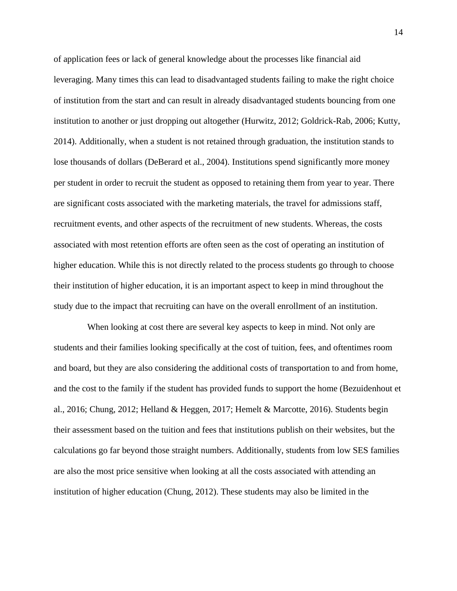of application fees or lack of general knowledge about the processes like financial aid leveraging. Many times this can lead to disadvantaged students failing to make the right choice of institution from the start and can result in already disadvantaged students bouncing from one institution to another or just dropping out altogether (Hurwitz, 2012; Goldrick-Rab, 2006; Kutty, 2014). Additionally, when a student is not retained through graduation, the institution stands to lose thousands of dollars (DeBerard et al., 2004). Institutions spend significantly more money per student in order to recruit the student as opposed to retaining them from year to year. There are significant costs associated with the marketing materials, the travel for admissions staff, recruitment events, and other aspects of the recruitment of new students. Whereas, the costs associated with most retention efforts are often seen as the cost of operating an institution of higher education. While this is not directly related to the process students go through to choose their institution of higher education, it is an important aspect to keep in mind throughout the study due to the impact that recruiting can have on the overall enrollment of an institution.

 When looking at cost there are several key aspects to keep in mind. Not only are students and their families looking specifically at the cost of tuition, fees, and oftentimes room and board, but they are also considering the additional costs of transportation to and from home, and the cost to the family if the student has provided funds to support the home (Bezuidenhout et al., 2016; Chung, 2012; Helland & Heggen, 2017; Hemelt & Marcotte, 2016). Students begin their assessment based on the tuition and fees that institutions publish on their websites, but the calculations go far beyond those straight numbers. Additionally, students from low SES families are also the most price sensitive when looking at all the costs associated with attending an institution of higher education (Chung, 2012). These students may also be limited in the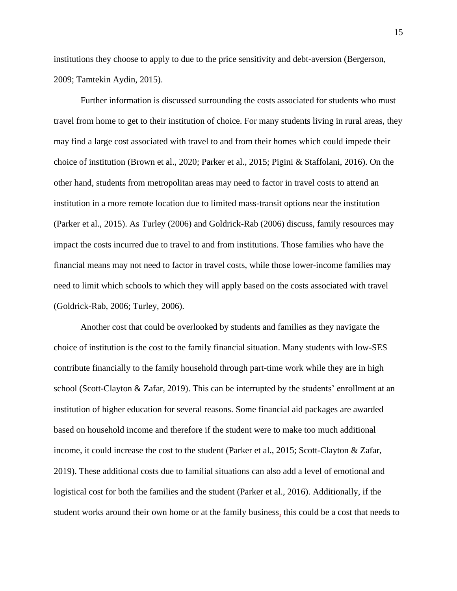institutions they choose to apply to due to the price sensitivity and debt-aversion (Bergerson, 2009; Tamtekin Aydin, 2015).

Further information is discussed surrounding the costs associated for students who must travel from home to get to their institution of choice. For many students living in rural areas, they may find a large cost associated with travel to and from their homes which could impede their choice of institution (Brown et al., 2020; Parker et al., 2015; Pigini & Staffolani, 2016). On the other hand, students from metropolitan areas may need to factor in travel costs to attend an institution in a more remote location due to limited mass-transit options near the institution (Parker et al., 2015). As Turley (2006) and Goldrick-Rab (2006) discuss, family resources may impact the costs incurred due to travel to and from institutions. Those families who have the financial means may not need to factor in travel costs, while those lower-income families may need to limit which schools to which they will apply based on the costs associated with travel (Goldrick-Rab, 2006; Turley, 2006).

Another cost that could be overlooked by students and families as they navigate the choice of institution is the cost to the family financial situation. Many students with low-SES contribute financially to the family household through part-time work while they are in high school (Scott-Clayton & Zafar, 2019). This can be interrupted by the students' enrollment at an institution of higher education for several reasons. Some financial aid packages are awarded based on household income and therefore if the student were to make too much additional income, it could increase the cost to the student (Parker et al., 2015; Scott-Clayton & Zafar, 2019). These additional costs due to familial situations can also add a level of emotional and logistical cost for both the families and the student (Parker et al., 2016). Additionally, if the student works around their own home or at the family business, this could be a cost that needs to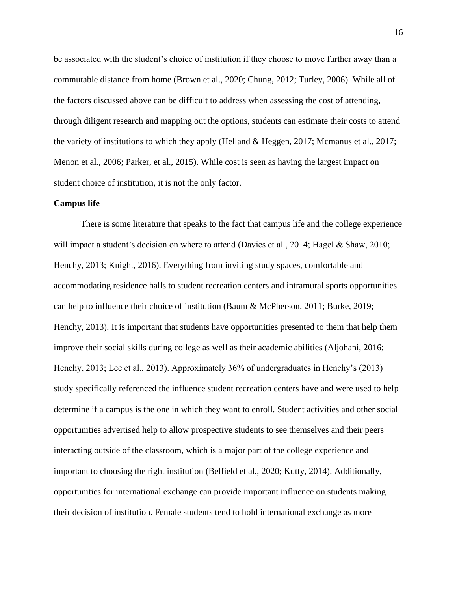be associated with the student's choice of institution if they choose to move further away than a commutable distance from home (Brown et al., 2020; Chung, 2012; Turley, 2006). While all of the factors discussed above can be difficult to address when assessing the cost of attending, through diligent research and mapping out the options, students can estimate their costs to attend the variety of institutions to which they apply (Helland & Heggen, 2017; Mcmanus et al., 2017; Menon et al., 2006; Parker, et al., 2015). While cost is seen as having the largest impact on student choice of institution, it is not the only factor.

## **Campus life**

There is some literature that speaks to the fact that campus life and the college experience will impact a student's decision on where to attend (Davies et al., 2014; Hagel & Shaw, 2010; Henchy, 2013; Knight, 2016). Everything from inviting study spaces, comfortable and accommodating residence halls to student recreation centers and intramural sports opportunities can help to influence their choice of institution (Baum & McPherson, 2011; Burke, 2019; Henchy, 2013). It is important that students have opportunities presented to them that help them improve their social skills during college as well as their academic abilities (Aljohani, 2016; Henchy, 2013; Lee et al., 2013). Approximately 36% of undergraduates in Henchy's (2013) study specifically referenced the influence student recreation centers have and were used to help determine if a campus is the one in which they want to enroll. Student activities and other social opportunities advertised help to allow prospective students to see themselves and their peers interacting outside of the classroom, which is a major part of the college experience and important to choosing the right institution (Belfield et al., 2020; Kutty, 2014). Additionally, opportunities for international exchange can provide important influence on students making their decision of institution. Female students tend to hold international exchange as more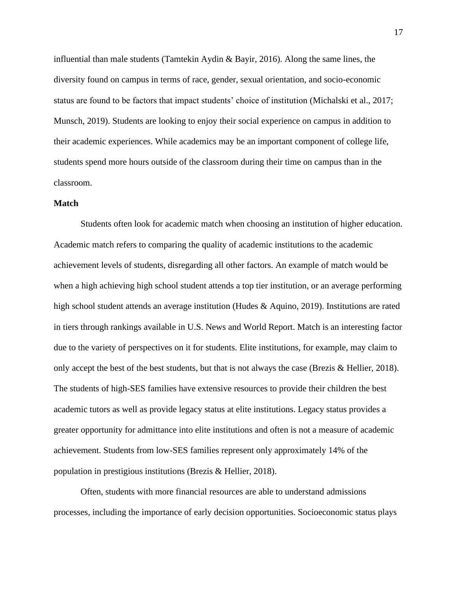influential than male students (Tamtekin Aydin  $\&$  Bayir, 2016). Along the same lines, the diversity found on campus in terms of race, gender, sexual orientation, and socio-economic status are found to be factors that impact students' choice of institution (Michalski et al., 2017; Munsch, 2019). Students are looking to enjoy their social experience on campus in addition to their academic experiences. While academics may be an important component of college life, students spend more hours outside of the classroom during their time on campus than in the classroom.

## **Match**

Students often look for academic match when choosing an institution of higher education. Academic match refers to comparing the quality of academic institutions to the academic achievement levels of students, disregarding all other factors. An example of match would be when a high achieving high school student attends a top tier institution, or an average performing high school student attends an average institution (Hudes & Aquino, 2019). Institutions are rated in tiers through rankings available in U.S. News and World Report. Match is an interesting factor due to the variety of perspectives on it for students. Elite institutions, for example, may claim to only accept the best of the best students, but that is not always the case (Brezis & Hellier, 2018). The students of high-SES families have extensive resources to provide their children the best academic tutors as well as provide legacy status at elite institutions. Legacy status provides a greater opportunity for admittance into elite institutions and often is not a measure of academic achievement. Students from low-SES families represent only approximately 14% of the population in prestigious institutions (Brezis & Hellier, 2018).

Often, students with more financial resources are able to understand admissions processes, including the importance of early decision opportunities. Socioeconomic status plays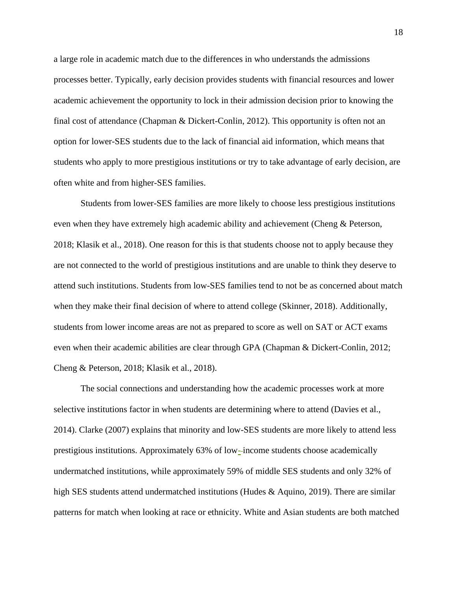a large role in academic match due to the differences in who understands the admissions processes better. Typically, early decision provides students with financial resources and lower academic achievement the opportunity to lock in their admission decision prior to knowing the final cost of attendance (Chapman & Dickert-Conlin, 2012). This opportunity is often not an option for lower-SES students due to the lack of financial aid information, which means that students who apply to more prestigious institutions or try to take advantage of early decision, are often white and from higher-SES families.

Students from lower-SES families are more likely to choose less prestigious institutions even when they have extremely high academic ability and achievement (Cheng & Peterson, 2018; Klasik et al., 2018). One reason for this is that students choose not to apply because they are not connected to the world of prestigious institutions and are unable to think they deserve to attend such institutions. Students from low-SES families tend to not be as concerned about match when they make their final decision of where to attend college (Skinner, 2018). Additionally, students from lower income areas are not as prepared to score as well on SAT or ACT exams even when their academic abilities are clear through GPA (Chapman & Dickert-Conlin, 2012; Cheng & Peterson, 2018; Klasik et al., 2018).

The social connections and understanding how the academic processes work at more selective institutions factor in when students are determining where to attend (Davies et al., 2014). Clarke (2007) explains that minority and low-SES students are more likely to attend less prestigious institutions. Approximately 63% of low- income students choose academically undermatched institutions, while approximately 59% of middle SES students and only 32% of high SES students attend undermatched institutions (Hudes & Aquino, 2019). There are similar patterns for match when looking at race or ethnicity. White and Asian students are both matched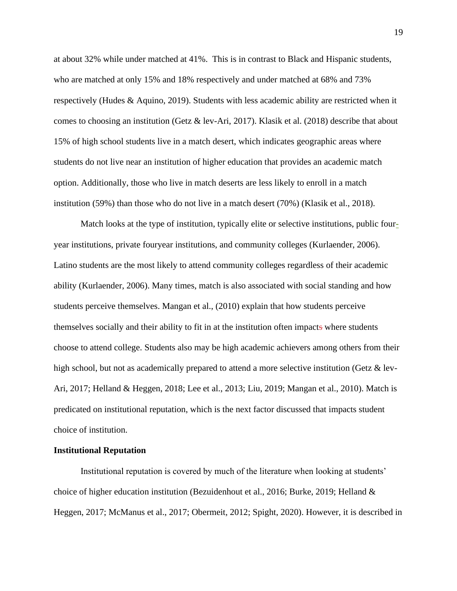at about 32% while under matched at 41%. This is in contrast to Black and Hispanic students, who are matched at only 15% and 18% respectively and under matched at 68% and 73% respectively (Hudes & Aquino, 2019). Students with less academic ability are restricted when it comes to choosing an institution (Getz & lev-Ari, 2017). Klasik et al. (2018) describe that about 15% of high school students live in a match desert, which indicates geographic areas where students do not live near an institution of higher education that provides an academic match option. Additionally, those who live in match deserts are less likely to enroll in a match institution (59%) than those who do not live in a match desert (70%) (Klasik et al., 2018).

Match looks at the type of institution, typically elite or selective institutions, public fouryear institutions, private fouryear institutions, and community colleges (Kurlaender, 2006). Latino students are the most likely to attend community colleges regardless of their academic ability (Kurlaender, 2006). Many times, match is also associated with social standing and how students perceive themselves. Mangan et al., (2010) explain that how students perceive themselves socially and their ability to fit in at the institution often impacts where students choose to attend college. Students also may be high academic achievers among others from their high school, but not as academically prepared to attend a more selective institution (Getz & lev-Ari, 2017; Helland & Heggen, 2018; Lee et al., 2013; Liu, 2019; Mangan et al., 2010). Match is predicated on institutional reputation, which is the next factor discussed that impacts student choice of institution.

#### **Institutional Reputation**

Institutional reputation is covered by much of the literature when looking at students' choice of higher education institution (Bezuidenhout et al., 2016; Burke, 2019; Helland & Heggen, 2017; McManus et al., 2017; Obermeit, 2012; Spight, 2020). However, it is described in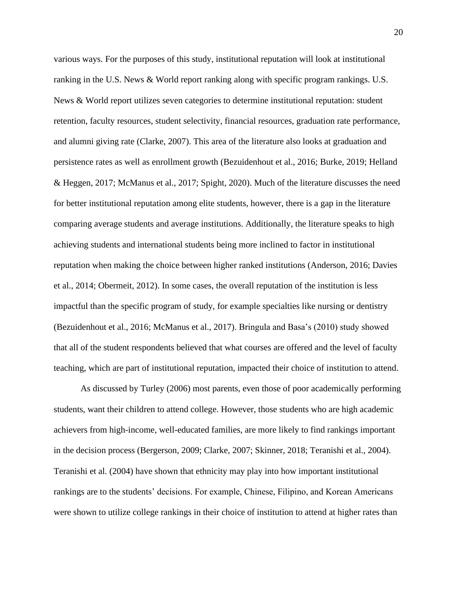various ways. For the purposes of this study, institutional reputation will look at institutional ranking in the U.S. News & World report ranking along with specific program rankings. U.S. News & World report utilizes seven categories to determine institutional reputation: student retention, faculty resources, student selectivity, financial resources, graduation rate performance, and alumni giving rate (Clarke, 2007). This area of the literature also looks at graduation and persistence rates as well as enrollment growth (Bezuidenhout et al., 2016; Burke, 2019; Helland & Heggen, 2017; McManus et al., 2017; Spight, 2020). Much of the literature discusses the need for better institutional reputation among elite students, however, there is a gap in the literature comparing average students and average institutions. Additionally, the literature speaks to high achieving students and international students being more inclined to factor in institutional reputation when making the choice between higher ranked institutions (Anderson, 2016; Davies et al., 2014; Obermeit, 2012). In some cases, the overall reputation of the institution is less impactful than the specific program of study, for example specialties like nursing or dentistry (Bezuidenhout et al., 2016; McManus et al., 2017). Bringula and Basa's (2010) study showed that all of the student respondents believed that what courses are offered and the level of faculty teaching, which are part of institutional reputation, impacted their choice of institution to attend.

As discussed by Turley (2006) most parents, even those of poor academically performing students, want their children to attend college. However, those students who are high academic achievers from high-income, well-educated families, are more likely to find rankings important in the decision process (Bergerson, 2009; Clarke, 2007; Skinner, 2018; Teranishi et al., 2004). Teranishi et al. (2004) have shown that ethnicity may play into how important institutional rankings are to the students' decisions. For example, Chinese, Filipino, and Korean Americans were shown to utilize college rankings in their choice of institution to attend at higher rates than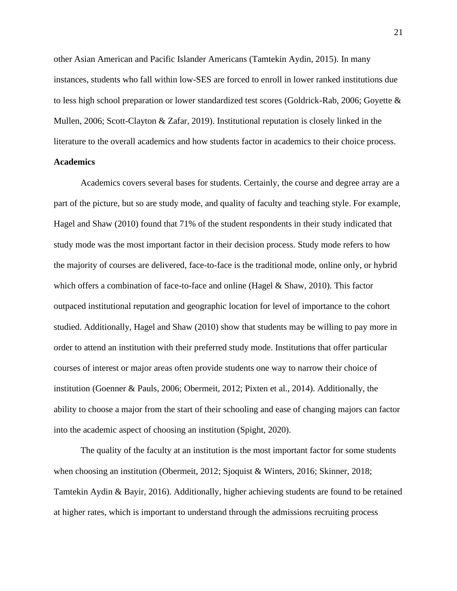other Asian American and Pacific Islander Americans (Tamtekin Aydin, 2015). In many instances, students who fall within low-SES are forced to enroll in lower ranked institutions due to less high school preparation or lower standardized test scores (Goldrick-Rab, 2006; Goyette & Mullen, 2006; Scott-Clayton & Zafar, 2019). Institutional reputation is closely linked in the literature to the overall academics and how students factor in academics to their choice process.

## **Academics**

Academics covers several bases for students. Certainly, the course and degree array are a part of the picture, but so are study mode, and quality of faculty and teaching style. For example, Hagel and Shaw (2010) found that 71% of the student respondents in their study indicated that study mode was the most important factor in their decision process. Study mode refers to how the majority of courses are delivered, face-to-face is the traditional mode, online only, or hybrid which offers a combination of face-to-face and online (Hagel & Shaw, 2010). This factor outpaced institutional reputation and geographic location for level of importance to the cohort studied. Additionally, Hagel and Shaw (2010) show that students may be willing to pay more in order to attend an institution with their preferred study mode. Institutions that offer particular courses of interest or major areas often provide students one way to narrow their choice of institution (Goenner & Pauls, 2006; Obermeit, 2012; Pixten et al., 2014). Additionally, the ability to choose a major from the start of their schooling and ease of changing majors can factor into the academic aspect of choosing an institution (Spight, 2020).

The quality of the faculty at an institution is the most important factor for some students when choosing an institution (Obermeit, 2012; Sjoquist & Winters, 2016; Skinner, 2018; Tamtekin Aydin & Bayir, 2016). Additionally, higher achieving students are found to be retained at higher rates, which is important to understand through the admissions recruiting process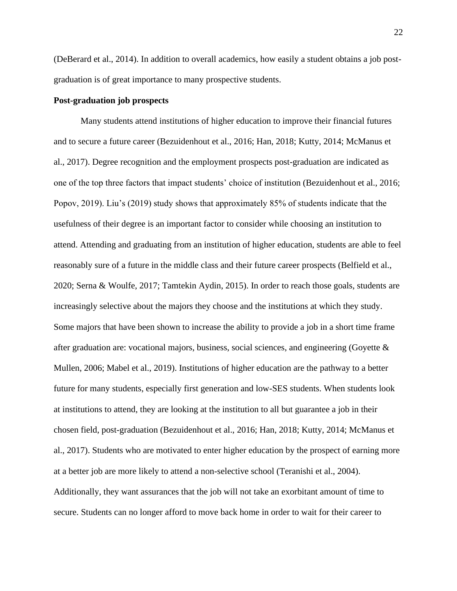(DeBerard et al., 2014). In addition to overall academics, how easily a student obtains a job postgraduation is of great importance to many prospective students.

## **Post-graduation job prospects**

Many students attend institutions of higher education to improve their financial futures and to secure a future career (Bezuidenhout et al., 2016; Han, 2018; Kutty, 2014; McManus et al., 2017). Degree recognition and the employment prospects post-graduation are indicated as one of the top three factors that impact students' choice of institution (Bezuidenhout et al., 2016; Popov, 2019). Liu's (2019) study shows that approximately 85% of students indicate that the usefulness of their degree is an important factor to consider while choosing an institution to attend. Attending and graduating from an institution of higher education, students are able to feel reasonably sure of a future in the middle class and their future career prospects (Belfield et al., 2020; Serna & Woulfe, 2017; Tamtekin Aydin, 2015). In order to reach those goals, students are increasingly selective about the majors they choose and the institutions at which they study. Some majors that have been shown to increase the ability to provide a job in a short time frame after graduation are: vocational majors, business, social sciences, and engineering (Goyette  $\&$ Mullen, 2006; Mabel et al., 2019). Institutions of higher education are the pathway to a better future for many students, especially first generation and low-SES students. When students look at institutions to attend, they are looking at the institution to all but guarantee a job in their chosen field, post-graduation (Bezuidenhout et al., 2016; Han, 2018; Kutty, 2014; McManus et al., 2017). Students who are motivated to enter higher education by the prospect of earning more at a better job are more likely to attend a non-selective school (Teranishi et al., 2004). Additionally, they want assurances that the job will not take an exorbitant amount of time to secure. Students can no longer afford to move back home in order to wait for their career to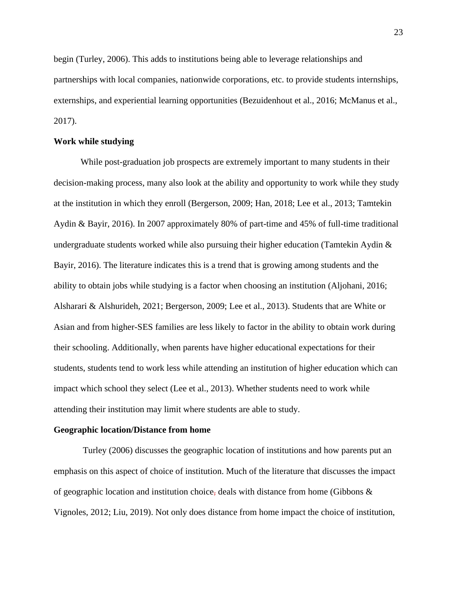begin (Turley, 2006). This adds to institutions being able to leverage relationships and partnerships with local companies, nationwide corporations, etc. to provide students internships, externships, and experiential learning opportunities (Bezuidenhout et al., 2016; McManus et al., 2017).

#### **Work while studying**

While post-graduation job prospects are extremely important to many students in their decision-making process, many also look at the ability and opportunity to work while they study at the institution in which they enroll (Bergerson, 2009; Han, 2018; Lee et al., 2013; Tamtekin Aydin & Bayir, 2016). In 2007 approximately 80% of part-time and 45% of full-time traditional undergraduate students worked while also pursuing their higher education (Tamtekin Aydin & Bayir, 2016). The literature indicates this is a trend that is growing among students and the ability to obtain jobs while studying is a factor when choosing an institution (Aljohani, 2016; Alsharari & Alshurideh, 2021; Bergerson, 2009; Lee et al., 2013). Students that are White or Asian and from higher-SES families are less likely to factor in the ability to obtain work during their schooling. Additionally, when parents have higher educational expectations for their students, students tend to work less while attending an institution of higher education which can impact which school they select (Lee et al., 2013). Whether students need to work while attending their institution may limit where students are able to study.

#### **Geographic location/Distance from home**

Turley (2006) discusses the geographic location of institutions and how parents put an emphasis on this aspect of choice of institution. Much of the literature that discusses the impact of geographic location and institution choice, deals with distance from home (Gibbons  $\&$ Vignoles, 2012; Liu, 2019). Not only does distance from home impact the choice of institution,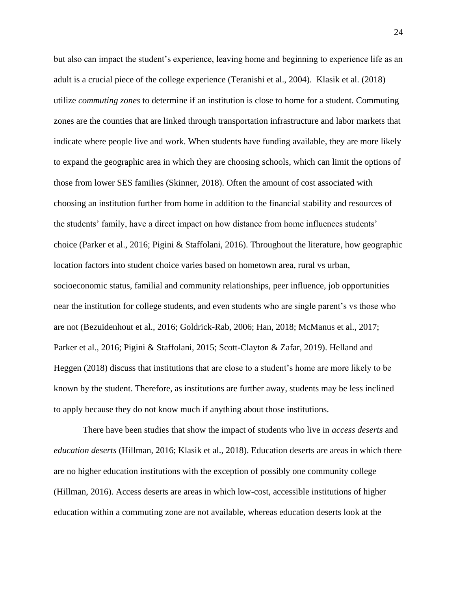but also can impact the student's experience, leaving home and beginning to experience life as an adult is a crucial piece of the college experience (Teranishi et al., 2004). Klasik et al. (2018) utilize *commuting zones* to determine if an institution is close to home for a student. Commuting zones are the counties that are linked through transportation infrastructure and labor markets that indicate where people live and work. When students have funding available, they are more likely to expand the geographic area in which they are choosing schools, which can limit the options of those from lower SES families (Skinner, 2018). Often the amount of cost associated with choosing an institution further from home in addition to the financial stability and resources of the students' family, have a direct impact on how distance from home influences students' choice (Parker et al., 2016; Pigini & Staffolani, 2016). Throughout the literature, how geographic location factors into student choice varies based on hometown area, rural vs urban, socioeconomic status, familial and community relationships, peer influence, job opportunities near the institution for college students, and even students who are single parent's vs those who are not (Bezuidenhout et al., 2016; Goldrick-Rab, 2006; Han, 2018; McManus et al., 2017; Parker et al., 2016; Pigini & Staffolani, 2015; Scott-Clayton & Zafar, 2019). Helland and Heggen (2018) discuss that institutions that are close to a student's home are more likely to be known by the student. Therefore, as institutions are further away, students may be less inclined to apply because they do not know much if anything about those institutions.

There have been studies that show the impact of students who live in *access deserts* and *education deserts* (Hillman, 2016; Klasik et al., 2018). Education deserts are areas in which there are no higher education institutions with the exception of possibly one community college (Hillman, 2016). Access deserts are areas in which low-cost, accessible institutions of higher education within a commuting zone are not available, whereas education deserts look at the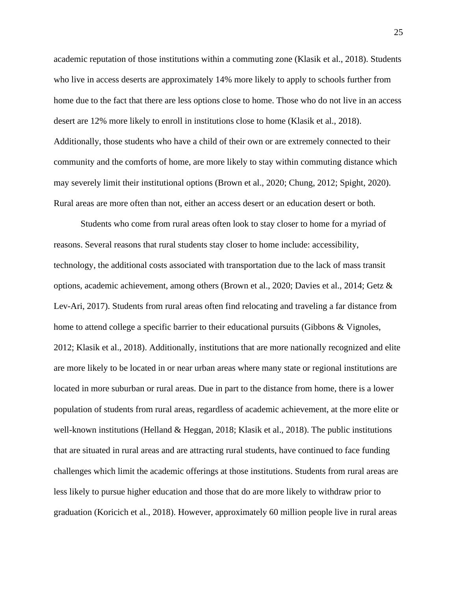academic reputation of those institutions within a commuting zone (Klasik et al., 2018). Students who live in access deserts are approximately 14% more likely to apply to schools further from home due to the fact that there are less options close to home. Those who do not live in an access desert are 12% more likely to enroll in institutions close to home (Klasik et al., 2018). Additionally, those students who have a child of their own or are extremely connected to their community and the comforts of home, are more likely to stay within commuting distance which may severely limit their institutional options (Brown et al., 2020; Chung, 2012; Spight, 2020). Rural areas are more often than not, either an access desert or an education desert or both.

Students who come from rural areas often look to stay closer to home for a myriad of reasons. Several reasons that rural students stay closer to home include: accessibility, technology, the additional costs associated with transportation due to the lack of mass transit options, academic achievement, among others (Brown et al., 2020; Davies et al., 2014; Getz & Lev-Ari, 2017). Students from rural areas often find relocating and traveling a far distance from home to attend college a specific barrier to their educational pursuits (Gibbons & Vignoles, 2012; Klasik et al., 2018). Additionally, institutions that are more nationally recognized and elite are more likely to be located in or near urban areas where many state or regional institutions are located in more suburban or rural areas. Due in part to the distance from home, there is a lower population of students from rural areas, regardless of academic achievement, at the more elite or well-known institutions (Helland & Heggan, 2018; Klasik et al., 2018). The public institutions that are situated in rural areas and are attracting rural students, have continued to face funding challenges which limit the academic offerings at those institutions. Students from rural areas are less likely to pursue higher education and those that do are more likely to withdraw prior to graduation (Koricich et al., 2018). However, approximately 60 million people live in rural areas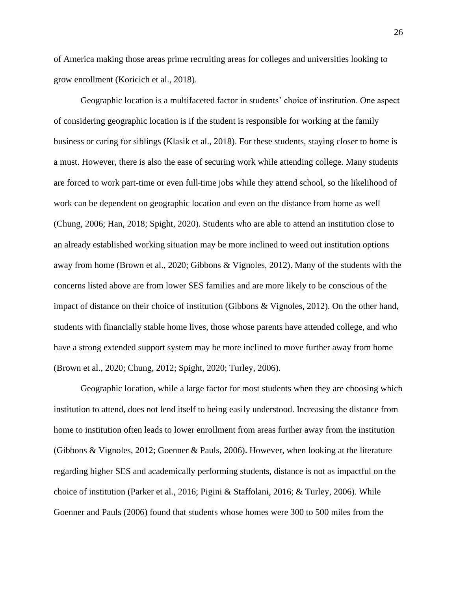of America making those areas prime recruiting areas for colleges and universities looking to grow enrollment (Koricich et al., 2018).

Geographic location is a multifaceted factor in students' choice of institution. One aspect of considering geographic location is if the student is responsible for working at the family business or caring for siblings (Klasik et al., 2018). For these students, staying closer to home is a must. However, there is also the ease of securing work while attending college. Many students are forced to work part-time or even full-time jobs while they attend school, so the likelihood of work can be dependent on geographic location and even on the distance from home as well (Chung, 2006; Han, 2018; Spight, 2020). Students who are able to attend an institution close to an already established working situation may be more inclined to weed out institution options away from home (Brown et al., 2020; Gibbons & Vignoles, 2012). Many of the students with the concerns listed above are from lower SES families and are more likely to be conscious of the impact of distance on their choice of institution (Gibbons & Vignoles, 2012). On the other hand, students with financially stable home lives, those whose parents have attended college, and who have a strong extended support system may be more inclined to move further away from home (Brown et al., 2020; Chung, 2012; Spight, 2020; Turley, 2006).

Geographic location, while a large factor for most students when they are choosing which institution to attend, does not lend itself to being easily understood. Increasing the distance from home to institution often leads to lower enrollment from areas further away from the institution (Gibbons & Vignoles, 2012; Goenner & Pauls, 2006). However, when looking at the literature regarding higher SES and academically performing students, distance is not as impactful on the choice of institution (Parker et al., 2016; Pigini & Staffolani, 2016; & Turley, 2006). While Goenner and Pauls (2006) found that students whose homes were 300 to 500 miles from the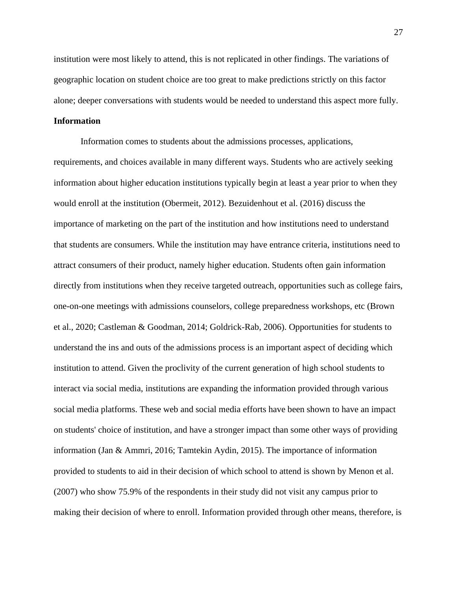institution were most likely to attend, this is not replicated in other findings. The variations of geographic location on student choice are too great to make predictions strictly on this factor alone; deeper conversations with students would be needed to understand this aspect more fully.

## **Information**

Information comes to students about the admissions processes, applications, requirements, and choices available in many different ways. Students who are actively seeking information about higher education institutions typically begin at least a year prior to when they would enroll at the institution (Obermeit, 2012). Bezuidenhout et al. (2016) discuss the importance of marketing on the part of the institution and how institutions need to understand that students are consumers. While the institution may have entrance criteria, institutions need to attract consumers of their product, namely higher education. Students often gain information directly from institutions when they receive targeted outreach, opportunities such as college fairs, one-on-one meetings with admissions counselors, college preparedness workshops, etc (Brown et al., 2020; Castleman & Goodman, 2014; Goldrick-Rab, 2006). Opportunities for students to understand the ins and outs of the admissions process is an important aspect of deciding which institution to attend. Given the proclivity of the current generation of high school students to interact via social media, institutions are expanding the information provided through various social media platforms. These web and social media efforts have been shown to have an impact on students' choice of institution, and have a stronger impact than some other ways of providing information (Jan & Ammri, 2016; Tamtekin Aydin, 2015). The importance of information provided to students to aid in their decision of which school to attend is shown by Menon et al. (2007) who show 75.9% of the respondents in their study did not visit any campus prior to making their decision of where to enroll. Information provided through other means, therefore, is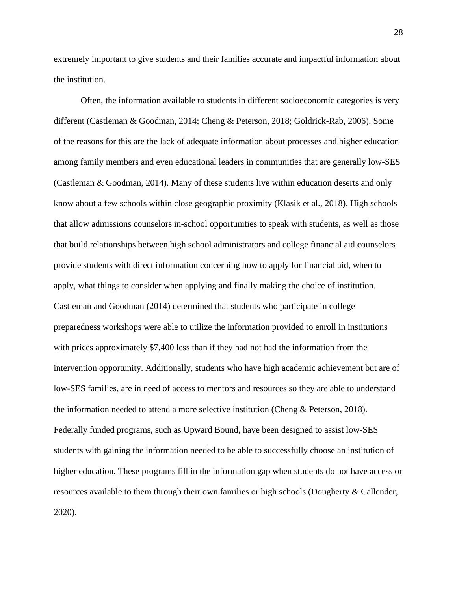extremely important to give students and their families accurate and impactful information about the institution.

Often, the information available to students in different socioeconomic categories is very different (Castleman & Goodman, 2014; Cheng & Peterson, 2018; Goldrick-Rab, 2006). Some of the reasons for this are the lack of adequate information about processes and higher education among family members and even educational leaders in communities that are generally low-SES (Castleman & Goodman, 2014). Many of these students live within education deserts and only know about a few schools within close geographic proximity (Klasik et al., 2018). High schools that allow admissions counselors in-school opportunities to speak with students, as well as those that build relationships between high school administrators and college financial aid counselors provide students with direct information concerning how to apply for financial aid, when to apply, what things to consider when applying and finally making the choice of institution. Castleman and Goodman (2014) determined that students who participate in college preparedness workshops were able to utilize the information provided to enroll in institutions with prices approximately \$7,400 less than if they had not had the information from the intervention opportunity. Additionally, students who have high academic achievement but are of low-SES families, are in need of access to mentors and resources so they are able to understand the information needed to attend a more selective institution (Cheng & Peterson, 2018). Federally funded programs, such as Upward Bound, have been designed to assist low-SES students with gaining the information needed to be able to successfully choose an institution of higher education. These programs fill in the information gap when students do not have access or resources available to them through their own families or high schools (Dougherty & Callender, 2020).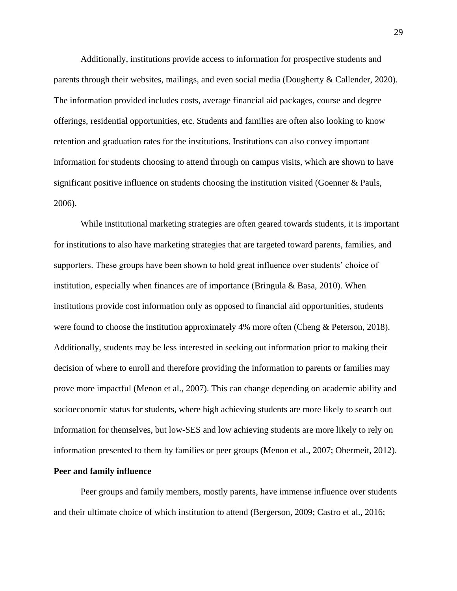Additionally, institutions provide access to information for prospective students and parents through their websites, mailings, and even social media (Dougherty & Callender, 2020). The information provided includes costs, average financial aid packages, course and degree offerings, residential opportunities, etc. Students and families are often also looking to know retention and graduation rates for the institutions. Institutions can also convey important information for students choosing to attend through on campus visits, which are shown to have significant positive influence on students choosing the institution visited (Goenner & Pauls, 2006).

While institutional marketing strategies are often geared towards students, it is important for institutions to also have marketing strategies that are targeted toward parents, families, and supporters. These groups have been shown to hold great influence over students' choice of institution, especially when finances are of importance (Bringula & Basa, 2010). When institutions provide cost information only as opposed to financial aid opportunities, students were found to choose the institution approximately 4% more often (Cheng & Peterson, 2018). Additionally, students may be less interested in seeking out information prior to making their decision of where to enroll and therefore providing the information to parents or families may prove more impactful (Menon et al., 2007). This can change depending on academic ability and socioeconomic status for students, where high achieving students are more likely to search out information for themselves, but low-SES and low achieving students are more likely to rely on information presented to them by families or peer groups (Menon et al., 2007; Obermeit, 2012).

## **Peer and family influence**

Peer groups and family members, mostly parents, have immense influence over students and their ultimate choice of which institution to attend (Bergerson, 2009; Castro et al., 2016;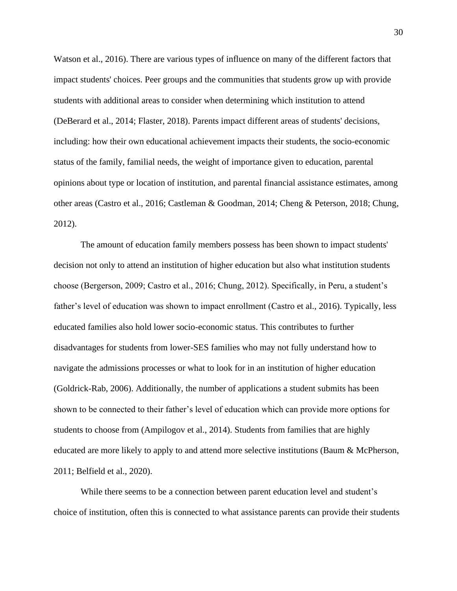Watson et al., 2016). There are various types of influence on many of the different factors that impact students' choices. Peer groups and the communities that students grow up with provide students with additional areas to consider when determining which institution to attend (DeBerard et al., 2014; Flaster, 2018). Parents impact different areas of students' decisions, including: how their own educational achievement impacts their students, the socio-economic status of the family, familial needs, the weight of importance given to education, parental opinions about type or location of institution, and parental financial assistance estimates, among other areas (Castro et al., 2016; Castleman & Goodman, 2014; Cheng & Peterson, 2018; Chung, 2012).

The amount of education family members possess has been shown to impact students' decision not only to attend an institution of higher education but also what institution students choose (Bergerson, 2009; Castro et al., 2016; Chung, 2012). Specifically, in Peru, a student's father's level of education was shown to impact enrollment (Castro et al., 2016). Typically, less educated families also hold lower socio-economic status. This contributes to further disadvantages for students from lower-SES families who may not fully understand how to navigate the admissions processes or what to look for in an institution of higher education (Goldrick-Rab, 2006). Additionally, the number of applications a student submits has been shown to be connected to their father's level of education which can provide more options for students to choose from (Ampilogov et al., 2014). Students from families that are highly educated are more likely to apply to and attend more selective institutions (Baum & McPherson, 2011; Belfield et al., 2020).

While there seems to be a connection between parent education level and student's choice of institution, often this is connected to what assistance parents can provide their students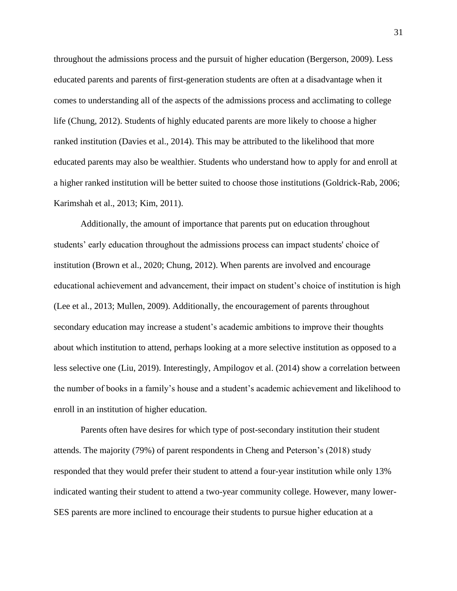throughout the admissions process and the pursuit of higher education (Bergerson, 2009). Less educated parents and parents of first-generation students are often at a disadvantage when it comes to understanding all of the aspects of the admissions process and acclimating to college life (Chung, 2012). Students of highly educated parents are more likely to choose a higher ranked institution (Davies et al., 2014). This may be attributed to the likelihood that more educated parents may also be wealthier. Students who understand how to apply for and enroll at a higher ranked institution will be better suited to choose those institutions (Goldrick-Rab, 2006; Karimshah et al., 2013; Kim, 2011).

Additionally, the amount of importance that parents put on education throughout students' early education throughout the admissions process can impact students' choice of institution (Brown et al., 2020; Chung, 2012). When parents are involved and encourage educational achievement and advancement, their impact on student's choice of institution is high (Lee et al., 2013; Mullen, 2009). Additionally, the encouragement of parents throughout secondary education may increase a student's academic ambitions to improve their thoughts about which institution to attend, perhaps looking at a more selective institution as opposed to a less selective one (Liu, 2019). Interestingly, Ampilogov et al. (2014) show a correlation between the number of books in a family's house and a student's academic achievement and likelihood to enroll in an institution of higher education.

Parents often have desires for which type of post-secondary institution their student attends. The majority (79%) of parent respondents in Cheng and Peterson's (2018) study responded that they would prefer their student to attend a four-year institution while only 13% indicated wanting their student to attend a two-year community college. However, many lower-SES parents are more inclined to encourage their students to pursue higher education at a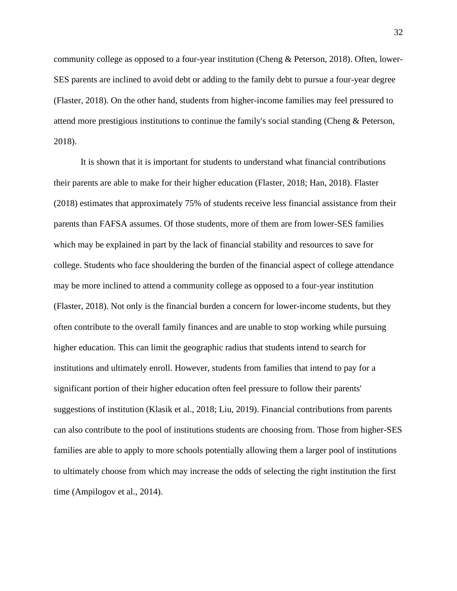community college as opposed to a four-year institution (Cheng & Peterson, 2018). Often, lower-SES parents are inclined to avoid debt or adding to the family debt to pursue a four-year degree (Flaster, 2018). On the other hand, students from higher-income families may feel pressured to attend more prestigious institutions to continue the family's social standing (Cheng & Peterson, 2018).

It is shown that it is important for students to understand what financial contributions their parents are able to make for their higher education (Flaster, 2018; Han, 2018). Flaster (2018) estimates that approximately 75% of students receive less financial assistance from their parents than FAFSA assumes. Of those students, more of them are from lower-SES families which may be explained in part by the lack of financial stability and resources to save for college. Students who face shouldering the burden of the financial aspect of college attendance may be more inclined to attend a community college as opposed to a four-year institution (Flaster, 2018). Not only is the financial burden a concern for lower-income students, but they often contribute to the overall family finances and are unable to stop working while pursuing higher education. This can limit the geographic radius that students intend to search for institutions and ultimately enroll. However, students from families that intend to pay for a significant portion of their higher education often feel pressure to follow their parents' suggestions of institution (Klasik et al., 2018; Liu, 2019). Financial contributions from parents can also contribute to the pool of institutions students are choosing from. Those from higher-SES families are able to apply to more schools potentially allowing them a larger pool of institutions to ultimately choose from which may increase the odds of selecting the right institution the first time (Ampilogov et al., 2014).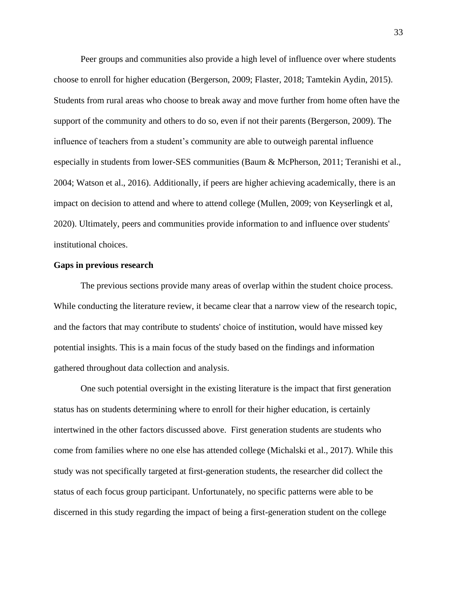Peer groups and communities also provide a high level of influence over where students choose to enroll for higher education (Bergerson, 2009; Flaster, 2018; Tamtekin Aydin, 2015). Students from rural areas who choose to break away and move further from home often have the support of the community and others to do so, even if not their parents (Bergerson, 2009). The influence of teachers from a student's community are able to outweigh parental influence especially in students from lower-SES communities (Baum & McPherson, 2011; Teranishi et al., 2004; Watson et al., 2016). Additionally, if peers are higher achieving academically, there is an impact on decision to attend and where to attend college (Mullen, 2009; von Keyserlingk et al, 2020). Ultimately, peers and communities provide information to and influence over students' institutional choices.

## **Gaps in previous research**

The previous sections provide many areas of overlap within the student choice process. While conducting the literature review, it became clear that a narrow view of the research topic, and the factors that may contribute to students' choice of institution, would have missed key potential insights. This is a main focus of the study based on the findings and information gathered throughout data collection and analysis.

One such potential oversight in the existing literature is the impact that first generation status has on students determining where to enroll for their higher education, is certainly intertwined in the other factors discussed above. First generation students are students who come from families where no one else has attended college (Michalski et al., 2017). While this study was not specifically targeted at first-generation students, the researcher did collect the status of each focus group participant. Unfortunately, no specific patterns were able to be discerned in this study regarding the impact of being a first-generation student on the college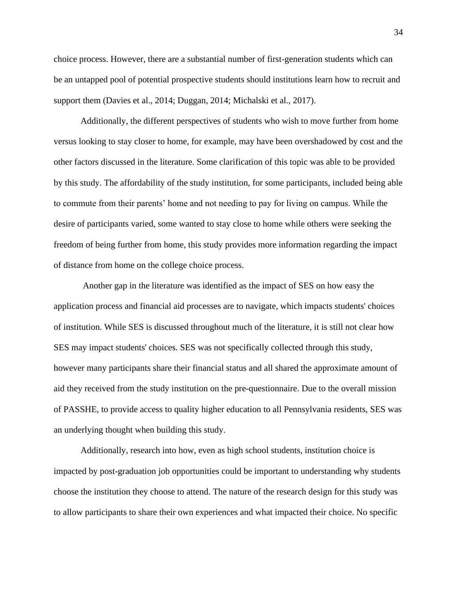choice process. However, there are a substantial number of first-generation students which can be an untapped pool of potential prospective students should institutions learn how to recruit and support them (Davies et al., 2014; Duggan, 2014; Michalski et al., 2017).

Additionally, the different perspectives of students who wish to move further from home versus looking to stay closer to home, for example, may have been overshadowed by cost and the other factors discussed in the literature. Some clarification of this topic was able to be provided by this study. The affordability of the study institution, for some participants, included being able to commute from their parents' home and not needing to pay for living on campus. While the desire of participants varied, some wanted to stay close to home while others were seeking the freedom of being further from home, this study provides more information regarding the impact of distance from home on the college choice process.

Another gap in the literature was identified as the impact of SES on how easy the application process and financial aid processes are to navigate, which impacts students' choices of institution. While SES is discussed throughout much of the literature, it is still not clear how SES may impact students' choices. SES was not specifically collected through this study, however many participants share their financial status and all shared the approximate amount of aid they received from the study institution on the pre-questionnaire. Due to the overall mission of PASSHE, to provide access to quality higher education to all Pennsylvania residents, SES was an underlying thought when building this study.

Additionally, research into how, even as high school students, institution choice is impacted by post-graduation job opportunities could be important to understanding why students choose the institution they choose to attend. The nature of the research design for this study was to allow participants to share their own experiences and what impacted their choice. No specific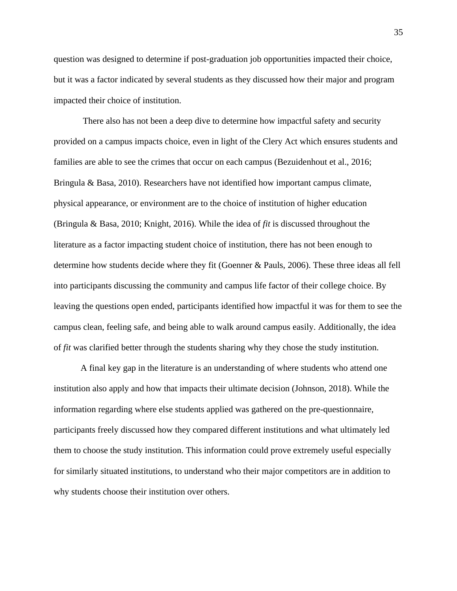question was designed to determine if post-graduation job opportunities impacted their choice, but it was a factor indicated by several students as they discussed how their major and program impacted their choice of institution.

There also has not been a deep dive to determine how impactful safety and security provided on a campus impacts choice, even in light of the Clery Act which ensures students and families are able to see the crimes that occur on each campus (Bezuidenhout et al., 2016; Bringula & Basa, 2010). Researchers have not identified how important campus climate, physical appearance, or environment are to the choice of institution of higher education (Bringula & Basa, 2010; Knight, 2016). While the idea of *fit* is discussed throughout the literature as a factor impacting student choice of institution, there has not been enough to determine how students decide where they fit (Goenner & Pauls, 2006). These three ideas all fell into participants discussing the community and campus life factor of their college choice. By leaving the questions open ended, participants identified how impactful it was for them to see the campus clean, feeling safe, and being able to walk around campus easily. Additionally, the idea of *fit* was clarified better through the students sharing why they chose the study institution.

A final key gap in the literature is an understanding of where students who attend one institution also apply and how that impacts their ultimate decision (Johnson, 2018). While the information regarding where else students applied was gathered on the pre-questionnaire, participants freely discussed how they compared different institutions and what ultimately led them to choose the study institution. This information could prove extremely useful especially for similarly situated institutions, to understand who their major competitors are in addition to why students choose their institution over others.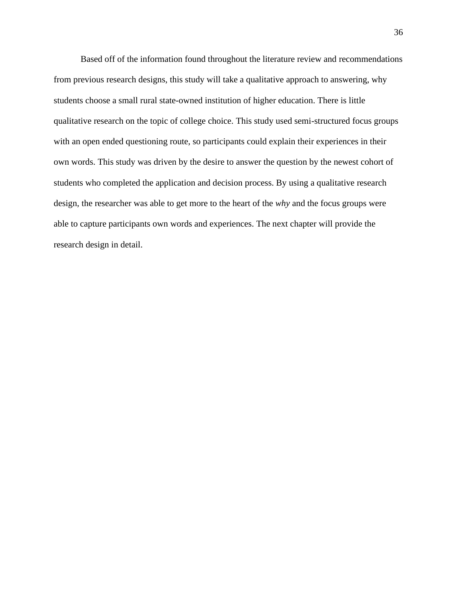Based off of the information found throughout the literature review and recommendations from previous research designs, this study will take a qualitative approach to answering, why students choose a small rural state-owned institution of higher education. There is little qualitative research on the topic of college choice. This study used semi-structured focus groups with an open ended questioning route, so participants could explain their experiences in their own words. This study was driven by the desire to answer the question by the newest cohort of students who completed the application and decision process. By using a qualitative research design, the researcher was able to get more to the heart of the *why* and the focus groups were able to capture participants own words and experiences. The next chapter will provide the research design in detail.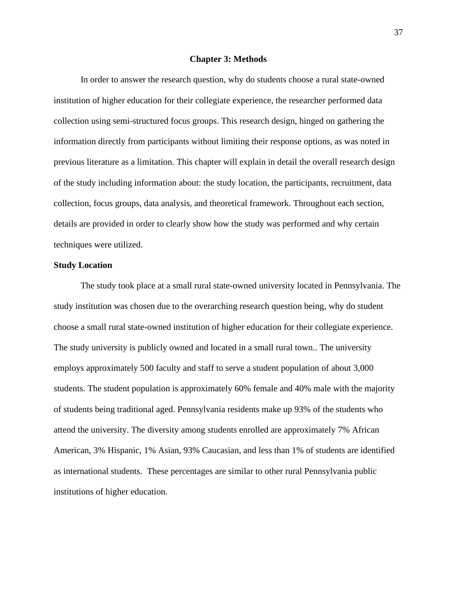### **Chapter 3: Methods**

In order to answer the research question, why do students choose a rural state-owned institution of higher education for their collegiate experience, the researcher performed data collection using semi-structured focus groups. This research design, hinged on gathering the information directly from participants without limiting their response options, as was noted in previous literature as a limitation. This chapter will explain in detail the overall research design of the study including information about: the study location, the participants, recruitment, data collection, focus groups, data analysis, and theoretical framework. Throughout each section, details are provided in order to clearly show how the study was performed and why certain techniques were utilized.

# **Study Location**

The study took place at a small rural state-owned university located in Pennsylvania. The study institution was chosen due to the overarching research question being, why do student choose a small rural state-owned institution of higher education for their collegiate experience. The study university is publicly owned and located in a small rural town.. The university employs approximately 500 faculty and staff to serve a student population of about 3,000 students. The student population is approximately 60% female and 40% male with the majority of students being traditional aged. Pennsylvania residents make up 93% of the students who attend the university. The diversity among students enrolled are approximately 7% African American, 3% Hispanic, 1% Asian, 93% Caucasian, and less than 1% of students are identified as international students. These percentages are similar to other rural Pennsylvania public institutions of higher education.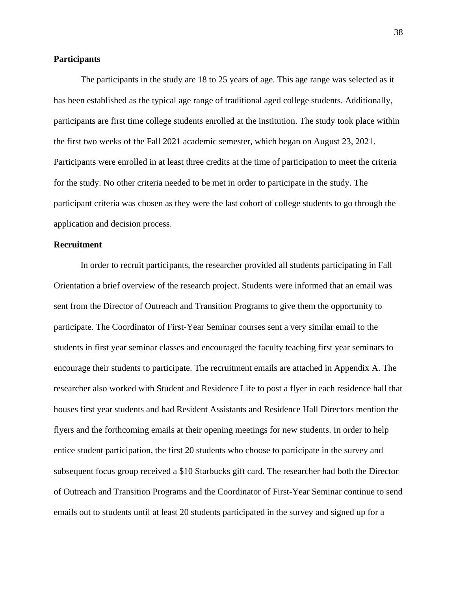# **Participants**

The participants in the study are 18 to 25 years of age. This age range was selected as it has been established as the typical age range of traditional aged college students. Additionally, participants are first time college students enrolled at the institution. The study took place within the first two weeks of the Fall 2021 academic semester, which began on August 23, 2021. Participants were enrolled in at least three credits at the time of participation to meet the criteria for the study. No other criteria needed to be met in order to participate in the study. The participant criteria was chosen as they were the last cohort of college students to go through the application and decision process.

# **Recruitment**

In order to recruit participants, the researcher provided all students participating in Fall Orientation a brief overview of the research project. Students were informed that an email was sent from the Director of Outreach and Transition Programs to give them the opportunity to participate. The Coordinator of First-Year Seminar courses sent a very similar email to the students in first year seminar classes and encouraged the faculty teaching first year seminars to encourage their students to participate. The recruitment emails are attached in Appendix A. The researcher also worked with Student and Residence Life to post a flyer in each residence hall that houses first year students and had Resident Assistants and Residence Hall Directors mention the flyers and the forthcoming emails at their opening meetings for new students. In order to help entice student participation, the first 20 students who choose to participate in the survey and subsequent focus group received a \$10 Starbucks gift card. The researcher had both the Director of Outreach and Transition Programs and the Coordinator of First-Year Seminar continue to send emails out to students until at least 20 students participated in the survey and signed up for a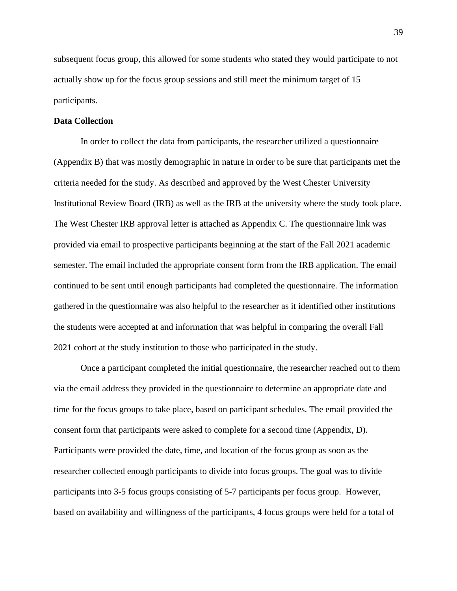subsequent focus group, this allowed for some students who stated they would participate to not actually show up for the focus group sessions and still meet the minimum target of 15 participants.

# **Data Collection**

In order to collect the data from participants, the researcher utilized a questionnaire (Appendix B) that was mostly demographic in nature in order to be sure that participants met the criteria needed for the study. As described and approved by the West Chester University Institutional Review Board (IRB) as well as the IRB at the university where the study took place. The West Chester IRB approval letter is attached as Appendix C. The questionnaire link was provided via email to prospective participants beginning at the start of the Fall 2021 academic semester. The email included the appropriate consent form from the IRB application. The email continued to be sent until enough participants had completed the questionnaire. The information gathered in the questionnaire was also helpful to the researcher as it identified other institutions the students were accepted at and information that was helpful in comparing the overall Fall 2021 cohort at the study institution to those who participated in the study.

Once a participant completed the initial questionnaire, the researcher reached out to them via the email address they provided in the questionnaire to determine an appropriate date and time for the focus groups to take place, based on participant schedules. The email provided the consent form that participants were asked to complete for a second time (Appendix, D). Participants were provided the date, time, and location of the focus group as soon as the researcher collected enough participants to divide into focus groups. The goal was to divide participants into 3-5 focus groups consisting of 5-7 participants per focus group. However, based on availability and willingness of the participants, 4 focus groups were held for a total of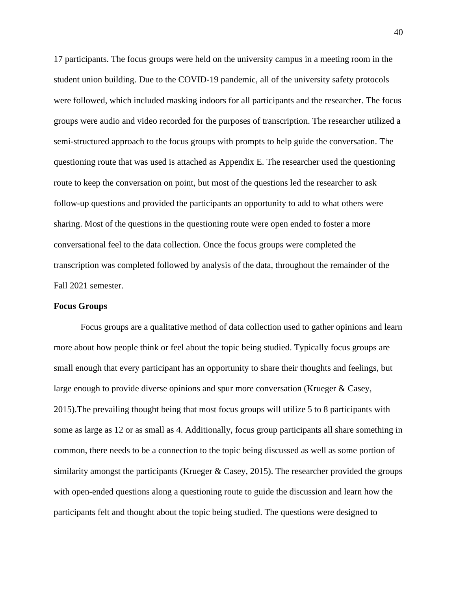17 participants. The focus groups were held on the university campus in a meeting room in the student union building. Due to the COVID-19 pandemic, all of the university safety protocols were followed, which included masking indoors for all participants and the researcher. The focus groups were audio and video recorded for the purposes of transcription. The researcher utilized a semi-structured approach to the focus groups with prompts to help guide the conversation. The questioning route that was used is attached as Appendix E. The researcher used the questioning route to keep the conversation on point, but most of the questions led the researcher to ask follow-up questions and provided the participants an opportunity to add to what others were sharing. Most of the questions in the questioning route were open ended to foster a more conversational feel to the data collection. Once the focus groups were completed the transcription was completed followed by analysis of the data, throughout the remainder of the Fall 2021 semester.

#### **Focus Groups**

Focus groups are a qualitative method of data collection used to gather opinions and learn more about how people think or feel about the topic being studied. Typically focus groups are small enough that every participant has an opportunity to share their thoughts and feelings, but large enough to provide diverse opinions and spur more conversation (Krueger & Casey, 2015).The prevailing thought being that most focus groups will utilize 5 to 8 participants with some as large as 12 or as small as 4. Additionally, focus group participants all share something in common, there needs to be a connection to the topic being discussed as well as some portion of similarity amongst the participants (Krueger & Casey, 2015). The researcher provided the groups with open-ended questions along a questioning route to guide the discussion and learn how the participants felt and thought about the topic being studied. The questions were designed to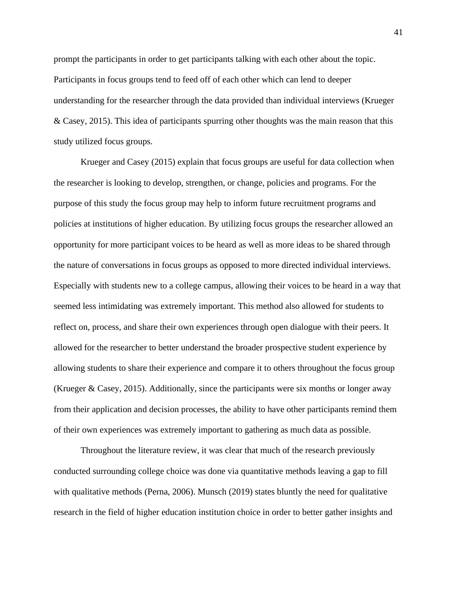prompt the participants in order to get participants talking with each other about the topic. Participants in focus groups tend to feed off of each other which can lend to deeper understanding for the researcher through the data provided than individual interviews (Krueger & Casey, 2015). This idea of participants spurring other thoughts was the main reason that this study utilized focus groups.

Krueger and Casey (2015) explain that focus groups are useful for data collection when the researcher is looking to develop, strengthen, or change, policies and programs. For the purpose of this study the focus group may help to inform future recruitment programs and policies at institutions of higher education. By utilizing focus groups the researcher allowed an opportunity for more participant voices to be heard as well as more ideas to be shared through the nature of conversations in focus groups as opposed to more directed individual interviews. Especially with students new to a college campus, allowing their voices to be heard in a way that seemed less intimidating was extremely important. This method also allowed for students to reflect on, process, and share their own experiences through open dialogue with their peers. It allowed for the researcher to better understand the broader prospective student experience by allowing students to share their experience and compare it to others throughout the focus group (Krueger & Casey, 2015). Additionally, since the participants were six months or longer away from their application and decision processes, the ability to have other participants remind them of their own experiences was extremely important to gathering as much data as possible.

Throughout the literature review, it was clear that much of the research previously conducted surrounding college choice was done via quantitative methods leaving a gap to fill with qualitative methods (Perna, 2006). Munsch (2019) states bluntly the need for qualitative research in the field of higher education institution choice in order to better gather insights and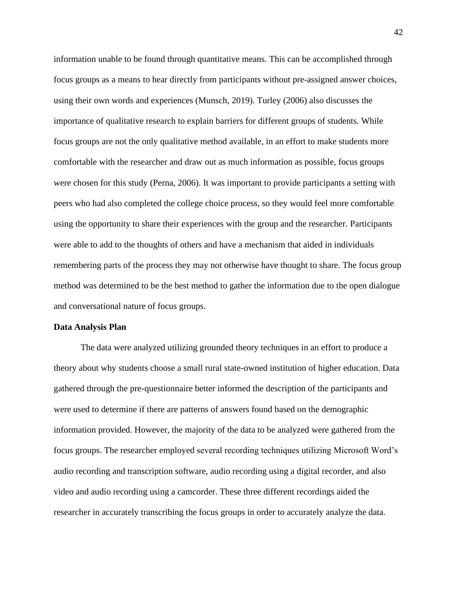information unable to be found through quantitative means. This can be accomplished through focus groups as a means to hear directly from participants without pre-assigned answer choices, using their own words and experiences (Munsch, 2019). Turley (2006) also discusses the importance of qualitative research to explain barriers for different groups of students. While focus groups are not the only qualitative method available, in an effort to make students more comfortable with the researcher and draw out as much information as possible, focus groups were chosen for this study (Perna, 2006). It was important to provide participants a setting with peers who had also completed the college choice process, so they would feel more comfortable using the opportunity to share their experiences with the group and the researcher. Participants were able to add to the thoughts of others and have a mechanism that aided in individuals remembering parts of the process they may not otherwise have thought to share. The focus group method was determined to be the best method to gather the information due to the open dialogue and conversational nature of focus groups.

### **Data Analysis Plan**

The data were analyzed utilizing grounded theory techniques in an effort to produce a theory about why students choose a small rural state-owned institution of higher education. Data gathered through the pre-questionnaire better informed the description of the participants and were used to determine if there are patterns of answers found based on the demographic information provided. However, the majority of the data to be analyzed were gathered from the focus groups. The researcher employed several recording techniques utilizing Microsoft Word's audio recording and transcription software, audio recording using a digital recorder, and also video and audio recording using a camcorder. These three different recordings aided the researcher in accurately transcribing the focus groups in order to accurately analyze the data.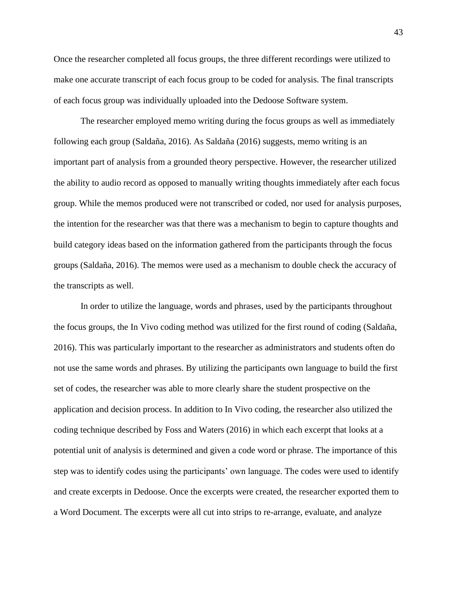Once the researcher completed all focus groups, the three different recordings were utilized to make one accurate transcript of each focus group to be coded for analysis. The final transcripts of each focus group was individually uploaded into the Dedoose Software system.

The researcher employed memo writing during the focus groups as well as immediately following each group (Saldaña, 2016). As Saldaña (2016) suggests, memo writing is an important part of analysis from a grounded theory perspective. However, the researcher utilized the ability to audio record as opposed to manually writing thoughts immediately after each focus group. While the memos produced were not transcribed or coded, nor used for analysis purposes, the intention for the researcher was that there was a mechanism to begin to capture thoughts and build category ideas based on the information gathered from the participants through the focus groups (Saldaña, 2016). The memos were used as a mechanism to double check the accuracy of the transcripts as well.

In order to utilize the language, words and phrases, used by the participants throughout the focus groups, the In Vivo coding method was utilized for the first round of coding (Saldaña, 2016). This was particularly important to the researcher as administrators and students often do not use the same words and phrases. By utilizing the participants own language to build the first set of codes, the researcher was able to more clearly share the student prospective on the application and decision process. In addition to In Vivo coding, the researcher also utilized the coding technique described by Foss and Waters (2016) in which each excerpt that looks at a potential unit of analysis is determined and given a code word or phrase. The importance of this step was to identify codes using the participants' own language. The codes were used to identify and create excerpts in Dedoose. Once the excerpts were created, the researcher exported them to a Word Document. The excerpts were all cut into strips to re-arrange, evaluate, and analyze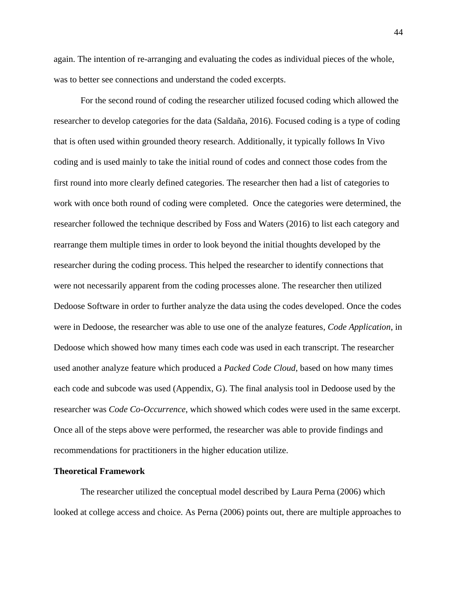again. The intention of re-arranging and evaluating the codes as individual pieces of the whole, was to better see connections and understand the coded excerpts.

For the second round of coding the researcher utilized focused coding which allowed the researcher to develop categories for the data (Saldaña, 2016). Focused coding is a type of coding that is often used within grounded theory research. Additionally, it typically follows In Vivo coding and is used mainly to take the initial round of codes and connect those codes from the first round into more clearly defined categories. The researcher then had a list of categories to work with once both round of coding were completed. Once the categories were determined, the researcher followed the technique described by Foss and Waters (2016) to list each category and rearrange them multiple times in order to look beyond the initial thoughts developed by the researcher during the coding process. This helped the researcher to identify connections that were not necessarily apparent from the coding processes alone. The researcher then utilized Dedoose Software in order to further analyze the data using the codes developed. Once the codes were in Dedoose, the researcher was able to use one of the analyze features, *Code Application*, in Dedoose which showed how many times each code was used in each transcript. The researcher used another analyze feature which produced a *Packed Code Cloud*, based on how many times each code and subcode was used (Appendix, G). The final analysis tool in Dedoose used by the researcher was *Code Co-Occurrence*, which showed which codes were used in the same excerpt. Once all of the steps above were performed, the researcher was able to provide findings and recommendations for practitioners in the higher education utilize.

## **Theoretical Framework**

The researcher utilized the conceptual model described by Laura Perna (2006) which looked at college access and choice. As Perna (2006) points out, there are multiple approaches to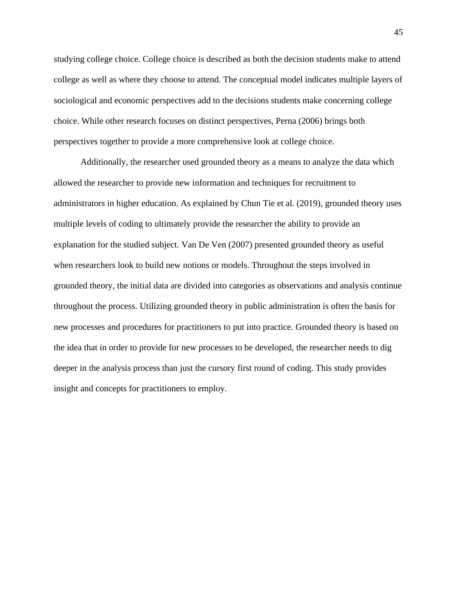studying college choice. College choice is described as both the decision students make to attend college as well as where they choose to attend. The conceptual model indicates multiple layers of sociological and economic perspectives add to the decisions students make concerning college choice. While other research focuses on distinct perspectives, Perna (2006) brings both perspectives together to provide a more comprehensive look at college choice.

Additionally, the researcher used grounded theory as a means to analyze the data which allowed the researcher to provide new information and techniques for recruitment to administrators in higher education. As explained by Chun Tie et al. (2019), grounded theory uses multiple levels of coding to ultimately provide the researcher the ability to provide an explanation for the studied subject. Van De Ven (2007) presented grounded theory as useful when researchers look to build new notions or models. Throughout the steps involved in grounded theory, the initial data are divided into categories as observations and analysis continue throughout the process. Utilizing grounded theory in public administration is often the basis for new processes and procedures for practitioners to put into practice. Grounded theory is based on the idea that in order to provide for new processes to be developed, the researcher needs to dig deeper in the analysis process than just the cursory first round of coding. This study provides insight and concepts for practitioners to employ.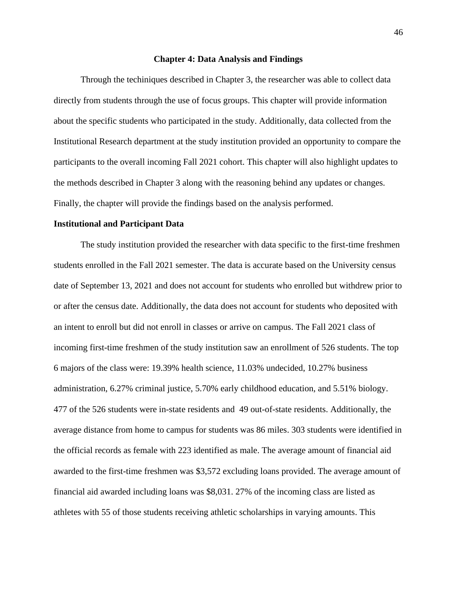### **Chapter 4: Data Analysis and Findings**

Through the techiniques described in Chapter 3, the researcher was able to collect data directly from students through the use of focus groups. This chapter will provide information about the specific students who participated in the study. Additionally, data collected from the Institutional Research department at the study institution provided an opportunity to compare the participants to the overall incoming Fall 2021 cohort. This chapter will also highlight updates to the methods described in Chapter 3 along with the reasoning behind any updates or changes. Finally, the chapter will provide the findings based on the analysis performed.

## **Institutional and Participant Data**

The study institution provided the researcher with data specific to the first-time freshmen students enrolled in the Fall 2021 semester. The data is accurate based on the University census date of September 13, 2021 and does not account for students who enrolled but withdrew prior to or after the census date. Additionally, the data does not account for students who deposited with an intent to enroll but did not enroll in classes or arrive on campus. The Fall 2021 class of incoming first-time freshmen of the study institution saw an enrollment of 526 students. The top 6 majors of the class were: 19.39% health science, 11.03% undecided, 10.27% business administration, 6.27% criminal justice, 5.70% early childhood education, and 5.51% biology. 477 of the 526 students were in-state residents and 49 out-of-state residents. Additionally, the average distance from home to campus for students was 86 miles. 303 students were identified in the official records as female with 223 identified as male. The average amount of financial aid awarded to the first-time freshmen was \$3,572 excluding loans provided. The average amount of financial aid awarded including loans was \$8,031. 27% of the incoming class are listed as athletes with 55 of those students receiving athletic scholarships in varying amounts. This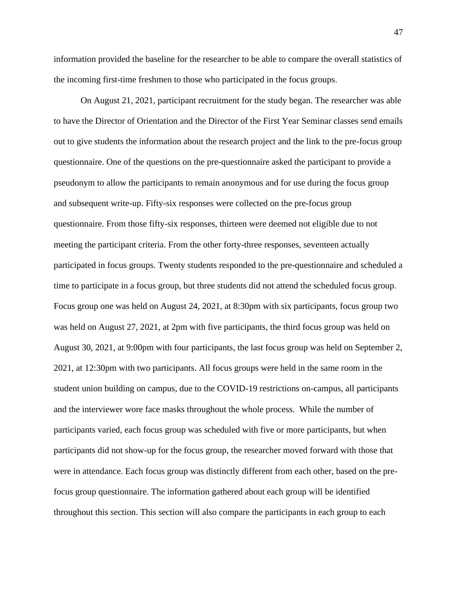information provided the baseline for the researcher to be able to compare the overall statistics of the incoming first-time freshmen to those who participated in the focus groups.

On August 21, 2021, participant recruitment for the study began. The researcher was able to have the Director of Orientation and the Director of the First Year Seminar classes send emails out to give students the information about the research project and the link to the pre-focus group questionnaire. One of the questions on the pre-questionnaire asked the participant to provide a pseudonym to allow the participants to remain anonymous and for use during the focus group and subsequent write-up. Fifty-six responses were collected on the pre-focus group questionnaire. From those fifty-six responses, thirteen were deemed not eligible due to not meeting the participant criteria. From the other forty-three responses, seventeen actually participated in focus groups. Twenty students responded to the pre-questionnaire and scheduled a time to participate in a focus group, but three students did not attend the scheduled focus group. Focus group one was held on August 24, 2021, at 8:30pm with six participants, focus group two was held on August 27, 2021, at 2pm with five participants, the third focus group was held on August 30, 2021, at 9:00pm with four participants, the last focus group was held on September 2, 2021, at 12:30pm with two participants. All focus groups were held in the same room in the student union building on campus, due to the COVID-19 restrictions on-campus, all participants and the interviewer wore face masks throughout the whole process. While the number of participants varied, each focus group was scheduled with five or more participants, but when participants did not show-up for the focus group, the researcher moved forward with those that were in attendance. Each focus group was distinctly different from each other, based on the prefocus group questionnaire. The information gathered about each group will be identified throughout this section. This section will also compare the participants in each group to each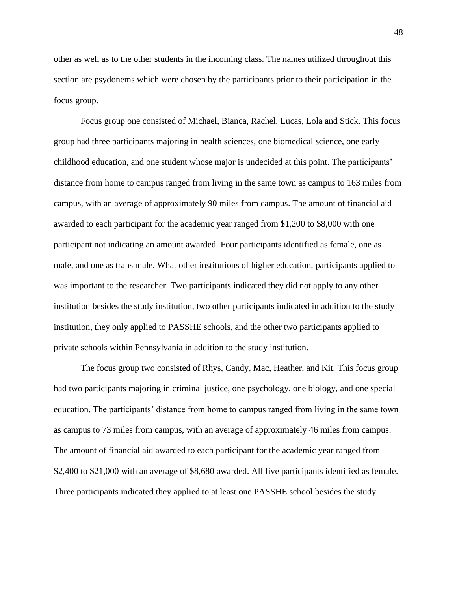other as well as to the other students in the incoming class. The names utilized throughout this section are psydonems which were chosen by the participants prior to their participation in the focus group.

Focus group one consisted of Michael, Bianca, Rachel, Lucas, Lola and Stick. This focus group had three participants majoring in health sciences, one biomedical science, one early childhood education, and one student whose major is undecided at this point. The participants' distance from home to campus ranged from living in the same town as campus to 163 miles from campus, with an average of approximately 90 miles from campus. The amount of financial aid awarded to each participant for the academic year ranged from \$1,200 to \$8,000 with one participant not indicating an amount awarded. Four participants identified as female, one as male, and one as trans male. What other institutions of higher education, participants applied to was important to the researcher. Two participants indicated they did not apply to any other institution besides the study institution, two other participants indicated in addition to the study institution, they only applied to PASSHE schools, and the other two participants applied to private schools within Pennsylvania in addition to the study institution.

The focus group two consisted of Rhys, Candy, Mac, Heather, and Kit. This focus group had two participants majoring in criminal justice, one psychology, one biology, and one special education. The participants' distance from home to campus ranged from living in the same town as campus to 73 miles from campus, with an average of approximately 46 miles from campus. The amount of financial aid awarded to each participant for the academic year ranged from \$2,400 to \$21,000 with an average of \$8,680 awarded. All five participants identified as female. Three participants indicated they applied to at least one PASSHE school besides the study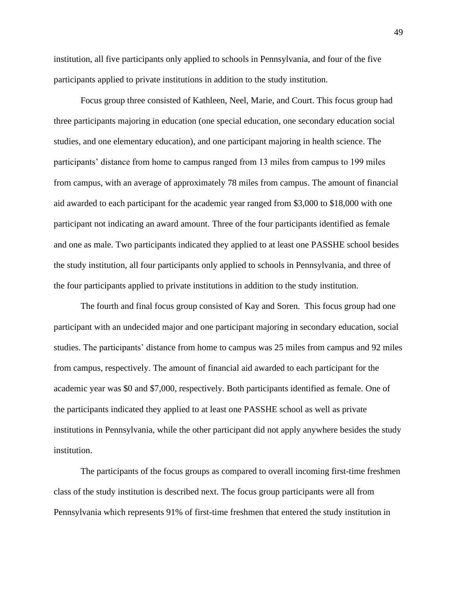institution, all five participants only applied to schools in Pennsylvania, and four of the five participants applied to private institutions in addition to the study institution.

Focus group three consisted of Kathleen, Neel, Marie, and Court. This focus group had three participants majoring in education (one special education, one secondary education social studies, and one elementary education), and one participant majoring in health science. The participants' distance from home to campus ranged from 13 miles from campus to 199 miles from campus, with an average of approximately 78 miles from campus. The amount of financial aid awarded to each participant for the academic year ranged from \$3,000 to \$18,000 with one participant not indicating an award amount. Three of the four participants identified as female and one as male. Two participants indicated they applied to at least one PASSHE school besides the study institution, all four participants only applied to schools in Pennsylvania, and three of the four participants applied to private institutions in addition to the study institution.

The fourth and final focus group consisted of Kay and Soren. This focus group had one participant with an undecided major and one participant majoring in secondary education, social studies. The participants' distance from home to campus was 25 miles from campus and 92 miles from campus, respectively. The amount of financial aid awarded to each participant for the academic year was \$0 and \$7,000, respectively. Both participants identified as female. One of the participants indicated they applied to at least one PASSHE school as well as private institutions in Pennsylvania, while the other participant did not apply anywhere besides the study institution.

The participants of the focus groups as compared to overall incoming first-time freshmen class of the study institution is described next. The focus group participants were all from Pennsylvania which represents 91% of first-time freshmen that entered the study institution in

49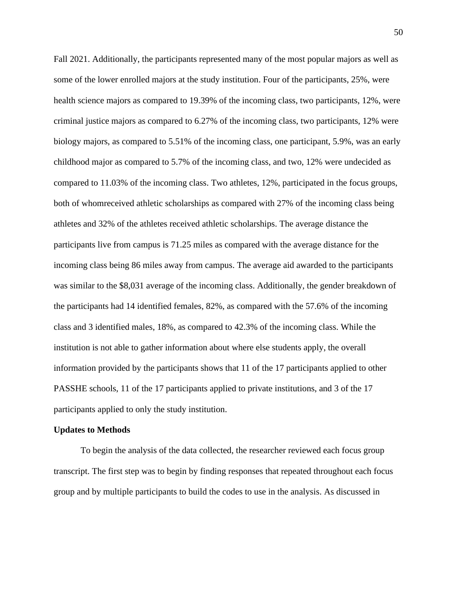Fall 2021. Additionally, the participants represented many of the most popular majors as well as some of the lower enrolled majors at the study institution. Four of the participants, 25%, were health science majors as compared to 19.39% of the incoming class, two participants, 12%, were criminal justice majors as compared to 6.27% of the incoming class, two participants, 12% were biology majors, as compared to 5.51% of the incoming class, one participant, 5.9%, was an early childhood major as compared to 5.7% of the incoming class, and two, 12% were undecided as compared to 11.03% of the incoming class. Two athletes, 12%, participated in the focus groups, both of whomreceived athletic scholarships as compared with 27% of the incoming class being athletes and 32% of the athletes received athletic scholarships. The average distance the participants live from campus is 71.25 miles as compared with the average distance for the incoming class being 86 miles away from campus. The average aid awarded to the participants was similar to the \$8,031 average of the incoming class. Additionally, the gender breakdown of the participants had 14 identified females, 82%, as compared with the 57.6% of the incoming class and 3 identified males, 18%, as compared to 42.3% of the incoming class. While the institution is not able to gather information about where else students apply, the overall information provided by the participants shows that 11 of the 17 participants applied to other PASSHE schools, 11 of the 17 participants applied to private institutions, and 3 of the 17 participants applied to only the study institution.

### **Updates to Methods**

To begin the analysis of the data collected, the researcher reviewed each focus group transcript. The first step was to begin by finding responses that repeated throughout each focus group and by multiple participants to build the codes to use in the analysis. As discussed in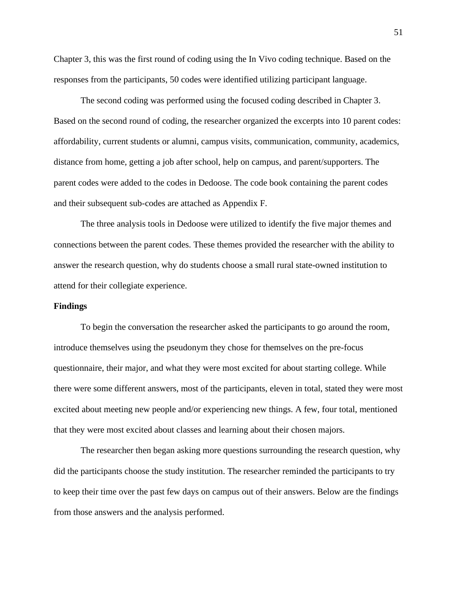Chapter 3, this was the first round of coding using the In Vivo coding technique. Based on the responses from the participants, 50 codes were identified utilizing participant language.

The second coding was performed using the focused coding described in Chapter 3. Based on the second round of coding, the researcher organized the excerpts into 10 parent codes: affordability, current students or alumni, campus visits, communication, community, academics, distance from home, getting a job after school, help on campus, and parent/supporters. The parent codes were added to the codes in Dedoose. The code book containing the parent codes and their subsequent sub-codes are attached as Appendix F.

The three analysis tools in Dedoose were utilized to identify the five major themes and connections between the parent codes. These themes provided the researcher with the ability to answer the research question, why do students choose a small rural state-owned institution to attend for their collegiate experience.

## **Findings**

To begin the conversation the researcher asked the participants to go around the room, introduce themselves using the pseudonym they chose for themselves on the pre-focus questionnaire, their major, and what they were most excited for about starting college. While there were some different answers, most of the participants, eleven in total, stated they were most excited about meeting new people and/or experiencing new things. A few, four total, mentioned that they were most excited about classes and learning about their chosen majors.

The researcher then began asking more questions surrounding the research question, why did the participants choose the study institution. The researcher reminded the participants to try to keep their time over the past few days on campus out of their answers. Below are the findings from those answers and the analysis performed.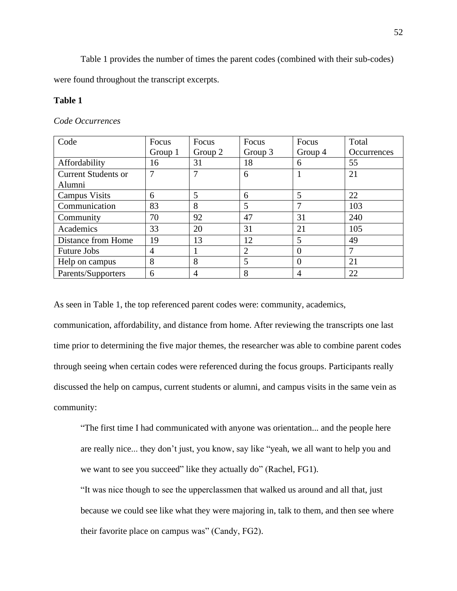Table 1 provides the number of times the parent codes (combined with their sub-codes)

were found throughout the transcript excerpts.

# **Table 1**

# *Code Occurrences*

| Code                       | Focus          | Focus          | Focus   | Focus          | Total       |
|----------------------------|----------------|----------------|---------|----------------|-------------|
|                            | Group 1        | Group 2        | Group 3 | Group 4        | Occurrences |
| Affordability              | 16             | 31             | 18      | 6              | 55          |
| <b>Current Students or</b> |                | 7              | 6       |                | 21          |
| Alumni                     |                |                |         |                |             |
| <b>Campus Visits</b>       | 6              | 5              | 6       | 5              | 22          |
| Communication              | 83             | 8              | 5       | 7              | 103         |
| Community                  | 70             | 92             | 47      | 31             | 240         |
| Academics                  | 33             | 20             | 31      | 21             | 105         |
| Distance from Home         | 19             | 13             | 12      | 5              | 49          |
| <b>Future Jobs</b>         | $\overline{A}$ |                | 2       | $\Omega$       |             |
| Help on campus             | 8              | 8              | 5       | $\Omega$       | 21          |
| Parents/Supporters         | 6              | $\overline{4}$ | 8       | $\overline{4}$ | 22          |

As seen in Table 1, the top referenced parent codes were: community, academics,

communication, affordability, and distance from home. After reviewing the transcripts one last time prior to determining the five major themes, the researcher was able to combine parent codes through seeing when certain codes were referenced during the focus groups. Participants really discussed the help on campus, current students or alumni, and campus visits in the same vein as community:

"The first time I had communicated with anyone was orientation... and the people here are really nice... they don't just, you know, say like "yeah, we all want to help you and we want to see you succeed" like they actually do" (Rachel, FG1).

"It was nice though to see the upperclassmen that walked us around and all that, just because we could see like what they were majoring in, talk to them, and then see where their favorite place on campus was" (Candy, FG2).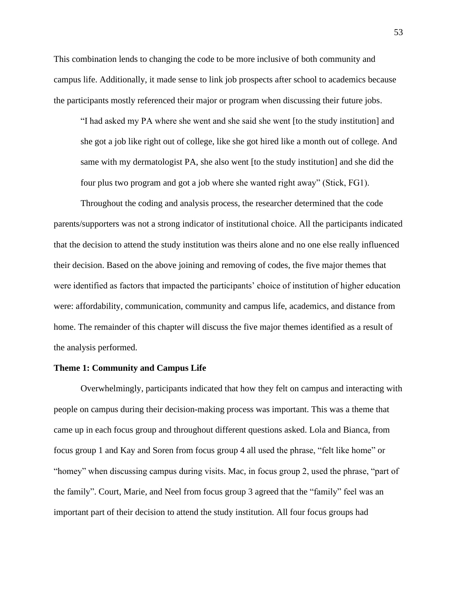This combination lends to changing the code to be more inclusive of both community and campus life. Additionally, it made sense to link job prospects after school to academics because the participants mostly referenced their major or program when discussing their future jobs.

"I had asked my PA where she went and she said she went [to the study institution] and she got a job like right out of college, like she got hired like a month out of college. And same with my dermatologist PA, she also went [to the study institution] and she did the four plus two program and got a job where she wanted right away" (Stick, FG1).

Throughout the coding and analysis process, the researcher determined that the code parents/supporters was not a strong indicator of institutional choice. All the participants indicated that the decision to attend the study institution was theirs alone and no one else really influenced their decision. Based on the above joining and removing of codes, the five major themes that were identified as factors that impacted the participants' choice of institution of higher education were: affordability, communication, community and campus life, academics, and distance from home. The remainder of this chapter will discuss the five major themes identified as a result of the analysis performed.

### **Theme 1: Community and Campus Life**

Overwhelmingly, participants indicated that how they felt on campus and interacting with people on campus during their decision-making process was important. This was a theme that came up in each focus group and throughout different questions asked. Lola and Bianca, from focus group 1 and Kay and Soren from focus group 4 all used the phrase, "felt like home" or "homey" when discussing campus during visits. Mac, in focus group 2, used the phrase, "part of the family". Court, Marie, and Neel from focus group 3 agreed that the "family" feel was an important part of their decision to attend the study institution. All four focus groups had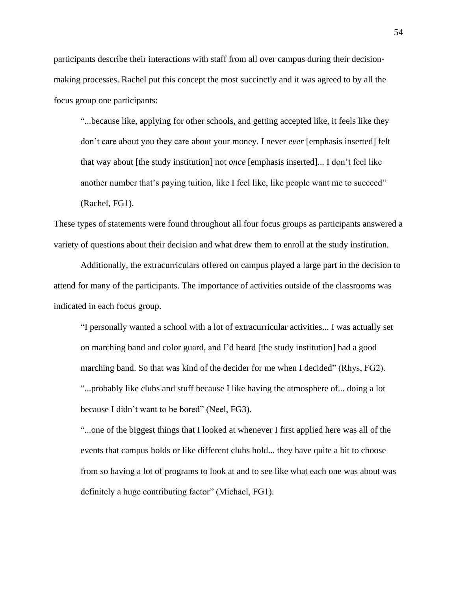participants describe their interactions with staff from all over campus during their decisionmaking processes. Rachel put this concept the most succinctly and it was agreed to by all the focus group one participants:

"...because like, applying for other schools, and getting accepted like, it feels like they don't care about you they care about your money. I never *ever* [emphasis inserted] felt that way about [the study institution] not *once* [emphasis inserted]... I don't feel like another number that's paying tuition, like I feel like, like people want me to succeed" (Rachel, FG1).

These types of statements were found throughout all four focus groups as participants answered a variety of questions about their decision and what drew them to enroll at the study institution.

Additionally, the extracurriculars offered on campus played a large part in the decision to attend for many of the participants. The importance of activities outside of the classrooms was indicated in each focus group.

"I personally wanted a school with a lot of extracurricular activities... I was actually set on marching band and color guard, and I'd heard [the study institution] had a good marching band. So that was kind of the decider for me when I decided" (Rhys, FG2). "...probably like clubs and stuff because I like having the atmosphere of... doing a lot because I didn't want to be bored" (Neel, FG3).

"...one of the biggest things that I looked at whenever I first applied here was all of the events that campus holds or like different clubs hold... they have quite a bit to choose from so having a lot of programs to look at and to see like what each one was about was definitely a huge contributing factor" (Michael, FG1).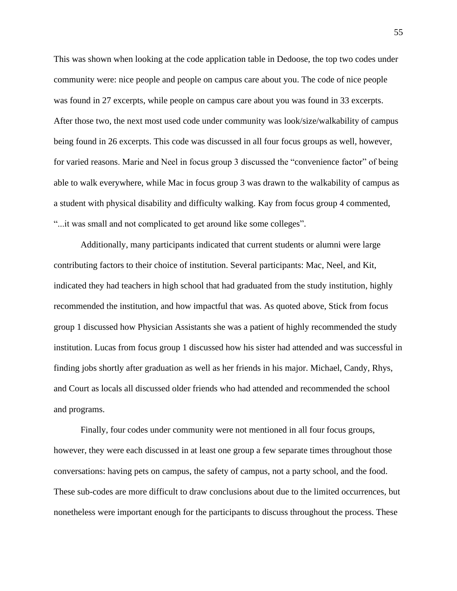This was shown when looking at the code application table in Dedoose, the top two codes under community were: nice people and people on campus care about you. The code of nice people was found in 27 excerpts, while people on campus care about you was found in 33 excerpts. After those two, the next most used code under community was look/size/walkability of campus being found in 26 excerpts. This code was discussed in all four focus groups as well, however, for varied reasons. Marie and Neel in focus group 3 discussed the "convenience factor" of being able to walk everywhere, while Mac in focus group 3 was drawn to the walkability of campus as a student with physical disability and difficulty walking. Kay from focus group 4 commented, "...it was small and not complicated to get around like some colleges".

Additionally, many participants indicated that current students or alumni were large contributing factors to their choice of institution. Several participants: Mac, Neel, and Kit, indicated they had teachers in high school that had graduated from the study institution, highly recommended the institution, and how impactful that was. As quoted above, Stick from focus group 1 discussed how Physician Assistants she was a patient of highly recommended the study institution. Lucas from focus group 1 discussed how his sister had attended and was successful in finding jobs shortly after graduation as well as her friends in his major. Michael, Candy, Rhys, and Court as locals all discussed older friends who had attended and recommended the school and programs.

Finally, four codes under community were not mentioned in all four focus groups, however, they were each discussed in at least one group a few separate times throughout those conversations: having pets on campus, the safety of campus, not a party school, and the food. These sub-codes are more difficult to draw conclusions about due to the limited occurrences, but nonetheless were important enough for the participants to discuss throughout the process. These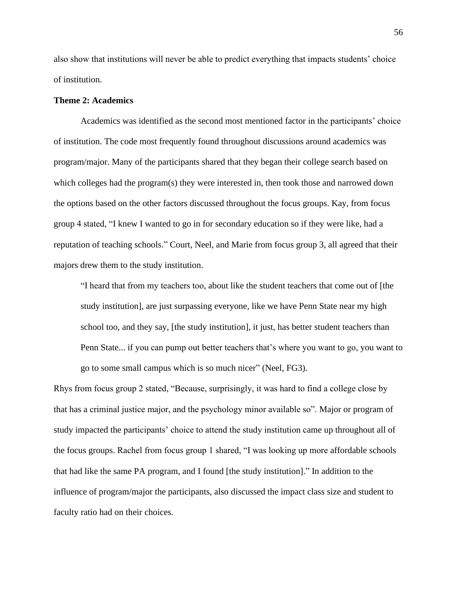also show that institutions will never be able to predict everything that impacts students' choice of institution.

# **Theme 2: Academics**

Academics was identified as the second most mentioned factor in the participants' choice of institution. The code most frequently found throughout discussions around academics was program/major. Many of the participants shared that they began their college search based on which colleges had the program(s) they were interested in, then took those and narrowed down the options based on the other factors discussed throughout the focus groups. Kay, from focus group 4 stated, "I knew I wanted to go in for secondary education so if they were like, had a reputation of teaching schools." Court, Neel, and Marie from focus group 3, all agreed that their majors drew them to the study institution.

"I heard that from my teachers too, about like the student teachers that come out of [the study institution], are just surpassing everyone, like we have Penn State near my high school too, and they say, [the study institution], it just, has better student teachers than Penn State... if you can pump out better teachers that's where you want to go, you want to go to some small campus which is so much nicer" (Neel, FG3).

Rhys from focus group 2 stated, "Because, surprisingly, it was hard to find a college close by that has a criminal justice major, and the psychology minor available so". Major or program of study impacted the participants' choice to attend the study institution came up throughout all of the focus groups. Rachel from focus group 1 shared, "I was looking up more affordable schools that had like the same PA program, and I found [the study institution]." In addition to the influence of program/major the participants, also discussed the impact class size and student to faculty ratio had on their choices.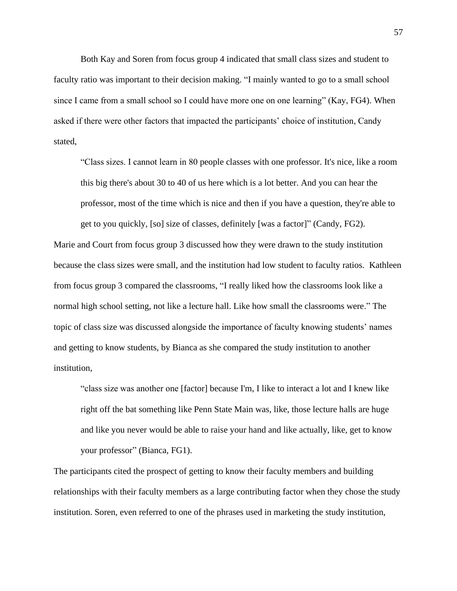Both Kay and Soren from focus group 4 indicated that small class sizes and student to faculty ratio was important to their decision making. "I mainly wanted to go to a small school since I came from a small school so I could have more one on one learning" (Kay, FG4). When asked if there were other factors that impacted the participants' choice of institution, Candy stated,

"Class sizes. I cannot learn in 80 people classes with one professor. It's nice, like a room this big there's about 30 to 40 of us here which is a lot better. And you can hear the professor, most of the time which is nice and then if you have a question, they're able to get to you quickly, [so] size of classes, definitely [was a factor]" (Candy, FG2).

Marie and Court from focus group 3 discussed how they were drawn to the study institution because the class sizes were small, and the institution had low student to faculty ratios. Kathleen from focus group 3 compared the classrooms, "I really liked how the classrooms look like a normal high school setting, not like a lecture hall. Like how small the classrooms were." The topic of class size was discussed alongside the importance of faculty knowing students' names and getting to know students, by Bianca as she compared the study institution to another institution,

"class size was another one [factor] because I'm, I like to interact a lot and I knew like right off the bat something like Penn State Main was, like, those lecture halls are huge and like you never would be able to raise your hand and like actually, like, get to know your professor" (Bianca, FG1).

The participants cited the prospect of getting to know their faculty members and building relationships with their faculty members as a large contributing factor when they chose the study institution. Soren, even referred to one of the phrases used in marketing the study institution,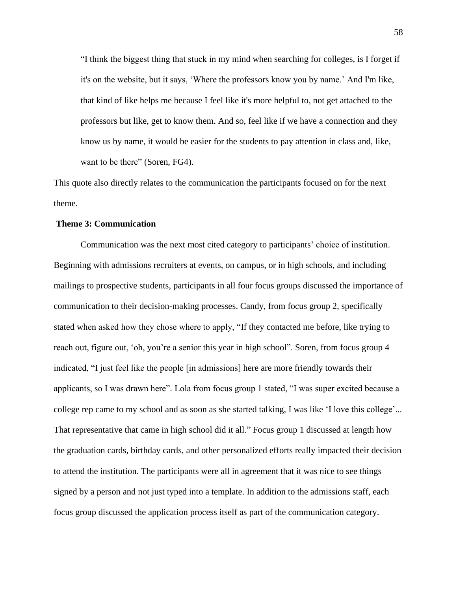"I think the biggest thing that stuck in my mind when searching for colleges, is I forget if it's on the website, but it says, 'Where the professors know you by name.' And I'm like, that kind of like helps me because I feel like it's more helpful to, not get attached to the professors but like, get to know them. And so, feel like if we have a connection and they know us by name, it would be easier for the students to pay attention in class and, like, want to be there" (Soren, FG4).

This quote also directly relates to the communication the participants focused on for the next theme.

## **Theme 3: Communication**

Communication was the next most cited category to participants' choice of institution. Beginning with admissions recruiters at events, on campus, or in high schools, and including mailings to prospective students, participants in all four focus groups discussed the importance of communication to their decision-making processes. Candy, from focus group 2, specifically stated when asked how they chose where to apply, "If they contacted me before, like trying to reach out, figure out, 'oh, you're a senior this year in high school". Soren, from focus group 4 indicated, "I just feel like the people [in admissions] here are more friendly towards their applicants, so I was drawn here". Lola from focus group 1 stated, "I was super excited because a college rep came to my school and as soon as she started talking, I was like 'I love this college'... That representative that came in high school did it all." Focus group 1 discussed at length how the graduation cards, birthday cards, and other personalized efforts really impacted their decision to attend the institution. The participants were all in agreement that it was nice to see things signed by a person and not just typed into a template. In addition to the admissions staff, each focus group discussed the application process itself as part of the communication category.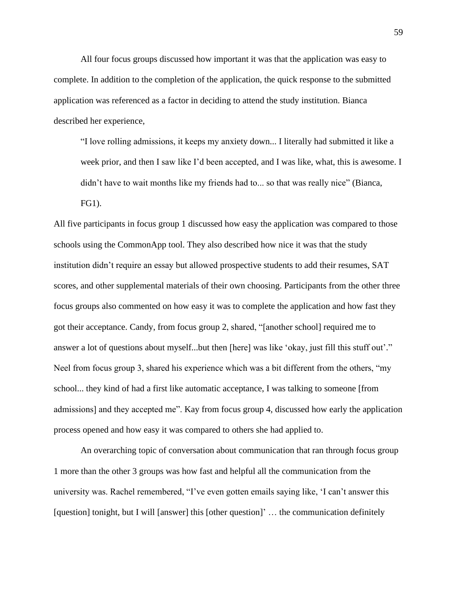All four focus groups discussed how important it was that the application was easy to complete. In addition to the completion of the application, the quick response to the submitted application was referenced as a factor in deciding to attend the study institution. Bianca described her experience,

"I love rolling admissions, it keeps my anxiety down... I literally had submitted it like a week prior, and then I saw like I'd been accepted, and I was like, what, this is awesome. I didn't have to wait months like my friends had to... so that was really nice" (Bianca,

FG1).

All five participants in focus group 1 discussed how easy the application was compared to those schools using the CommonApp tool. They also described how nice it was that the study institution didn't require an essay but allowed prospective students to add their resumes, SAT scores, and other supplemental materials of their own choosing. Participants from the other three focus groups also commented on how easy it was to complete the application and how fast they got their acceptance. Candy, from focus group 2, shared, "[another school] required me to answer a lot of questions about myself...but then [here] was like 'okay, just fill this stuff out'." Neel from focus group 3, shared his experience which was a bit different from the others, "my school... they kind of had a first like automatic acceptance, I was talking to someone [from admissions] and they accepted me". Kay from focus group 4, discussed how early the application process opened and how easy it was compared to others she had applied to.

An overarching topic of conversation about communication that ran through focus group 1 more than the other 3 groups was how fast and helpful all the communication from the university was. Rachel remembered, "I've even gotten emails saying like, 'I can't answer this [question] tonight, but I will [answer] this [other question]' ... the communication definitely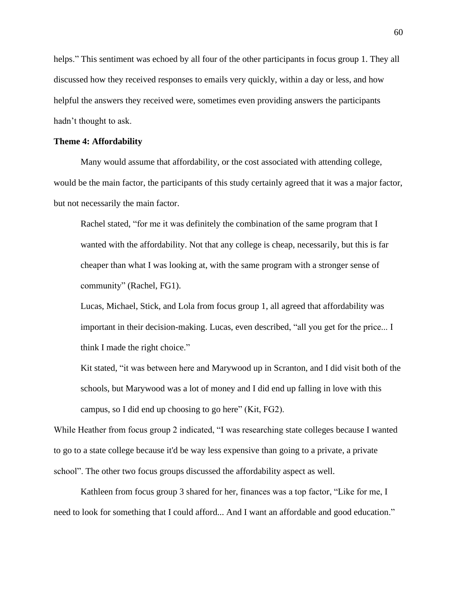helps." This sentiment was echoed by all four of the other participants in focus group 1. They all discussed how they received responses to emails very quickly, within a day or less, and how helpful the answers they received were, sometimes even providing answers the participants hadn't thought to ask.

## **Theme 4: Affordability**

Many would assume that affordability, or the cost associated with attending college, would be the main factor, the participants of this study certainly agreed that it was a major factor, but not necessarily the main factor.

Rachel stated, "for me it was definitely the combination of the same program that I wanted with the affordability. Not that any college is cheap, necessarily, but this is far cheaper than what I was looking at, with the same program with a stronger sense of community" (Rachel, FG1).

Lucas, Michael, Stick, and Lola from focus group 1, all agreed that affordability was important in their decision-making. Lucas, even described, "all you get for the price... I think I made the right choice."

Kit stated, "it was between here and Marywood up in Scranton, and I did visit both of the schools, but Marywood was a lot of money and I did end up falling in love with this campus, so I did end up choosing to go here" (Kit, FG2).

While Heather from focus group 2 indicated, "I was researching state colleges because I wanted to go to a state college because it'd be way less expensive than going to a private, a private school". The other two focus groups discussed the affordability aspect as well.

Kathleen from focus group 3 shared for her, finances was a top factor, "Like for me, I need to look for something that I could afford... And I want an affordable and good education."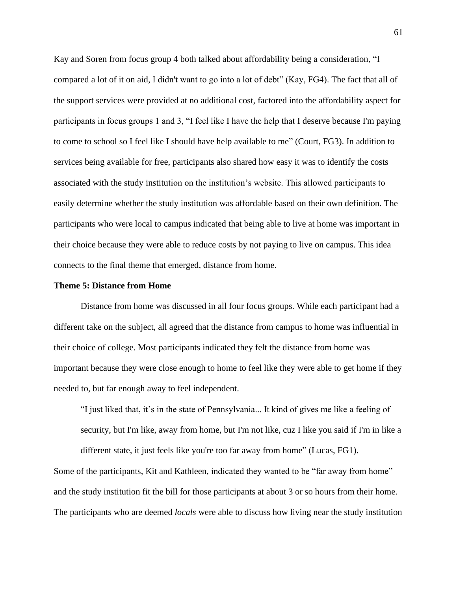Kay and Soren from focus group 4 both talked about affordability being a consideration, "I compared a lot of it on aid, I didn't want to go into a lot of debt" (Kay, FG4). The fact that all of the support services were provided at no additional cost, factored into the affordability aspect for participants in focus groups 1 and 3, "I feel like I have the help that I deserve because I'm paying to come to school so I feel like I should have help available to me" (Court, FG3). In addition to services being available for free, participants also shared how easy it was to identify the costs associated with the study institution on the institution's website. This allowed participants to easily determine whether the study institution was affordable based on their own definition. The participants who were local to campus indicated that being able to live at home was important in their choice because they were able to reduce costs by not paying to live on campus. This idea connects to the final theme that emerged, distance from home.

## **Theme 5: Distance from Home**

Distance from home was discussed in all four focus groups. While each participant had a different take on the subject, all agreed that the distance from campus to home was influential in their choice of college. Most participants indicated they felt the distance from home was important because they were close enough to home to feel like they were able to get home if they needed to, but far enough away to feel independent.

"I just liked that, it's in the state of Pennsylvania... It kind of gives me like a feeling of security, but I'm like, away from home, but I'm not like, cuz I like you said if I'm in like a different state, it just feels like you're too far away from home" (Lucas, FG1).

Some of the participants, Kit and Kathleen, indicated they wanted to be "far away from home" and the study institution fit the bill for those participants at about 3 or so hours from their home. The participants who are deemed *locals* were able to discuss how living near the study institution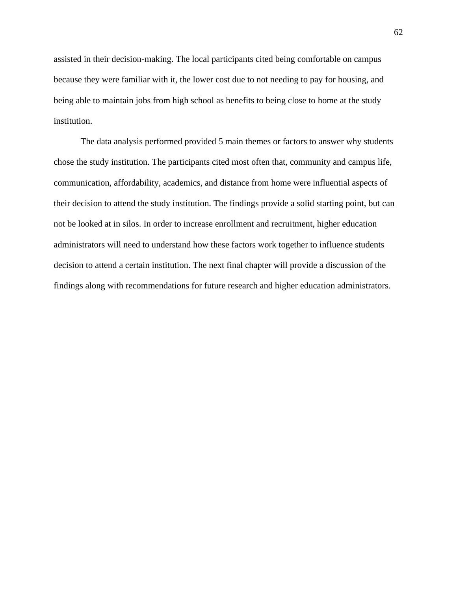assisted in their decision-making. The local participants cited being comfortable on campus because they were familiar with it, the lower cost due to not needing to pay for housing, and being able to maintain jobs from high school as benefits to being close to home at the study institution.

The data analysis performed provided 5 main themes or factors to answer why students chose the study institution. The participants cited most often that, community and campus life, communication, affordability, academics, and distance from home were influential aspects of their decision to attend the study institution. The findings provide a solid starting point, but can not be looked at in silos. In order to increase enrollment and recruitment, higher education administrators will need to understand how these factors work together to influence students decision to attend a certain institution. The next final chapter will provide a discussion of the findings along with recommendations for future research and higher education administrators.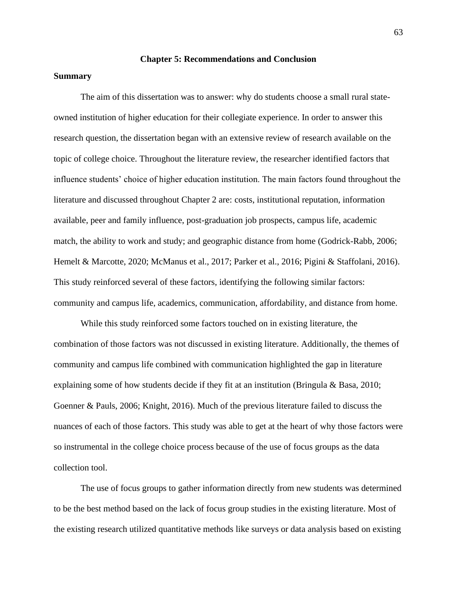### **Chapter 5: Recommendations and Conclusion**

## **Summary**

The aim of this dissertation was to answer: why do students choose a small rural stateowned institution of higher education for their collegiate experience. In order to answer this research question, the dissertation began with an extensive review of research available on the topic of college choice. Throughout the literature review, the researcher identified factors that influence students' choice of higher education institution. The main factors found throughout the literature and discussed throughout Chapter 2 are: costs, institutional reputation, information available, peer and family influence, post-graduation job prospects, campus life, academic match, the ability to work and study; and geographic distance from home (Godrick-Rabb, 2006; Hemelt & Marcotte, 2020; McManus et al., 2017; Parker et al., 2016; Pigini & Staffolani, 2016). This study reinforced several of these factors, identifying the following similar factors: community and campus life, academics, communication, affordability, and distance from home.

While this study reinforced some factors touched on in existing literature, the combination of those factors was not discussed in existing literature. Additionally, the themes of community and campus life combined with communication highlighted the gap in literature explaining some of how students decide if they fit at an institution (Bringula & Basa, 2010; Goenner & Pauls, 2006; Knight, 2016). Much of the previous literature failed to discuss the nuances of each of those factors. This study was able to get at the heart of why those factors were so instrumental in the college choice process because of the use of focus groups as the data collection tool.

The use of focus groups to gather information directly from new students was determined to be the best method based on the lack of focus group studies in the existing literature. Most of the existing research utilized quantitative methods like surveys or data analysis based on existing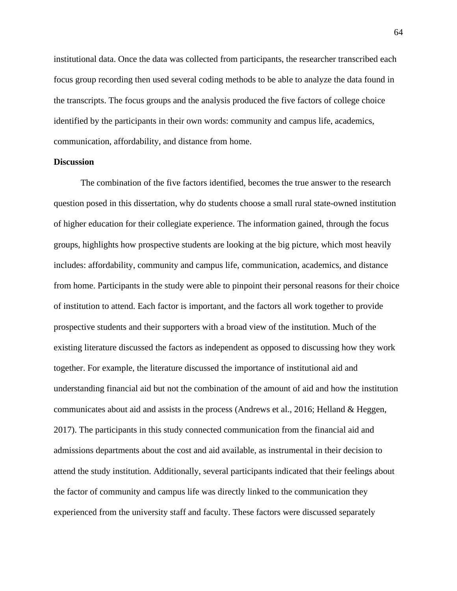institutional data. Once the data was collected from participants, the researcher transcribed each focus group recording then used several coding methods to be able to analyze the data found in the transcripts. The focus groups and the analysis produced the five factors of college choice identified by the participants in their own words: community and campus life, academics, communication, affordability, and distance from home.

## **Discussion**

The combination of the five factors identified, becomes the true answer to the research question posed in this dissertation, why do students choose a small rural state-owned institution of higher education for their collegiate experience. The information gained, through the focus groups, highlights how prospective students are looking at the big picture, which most heavily includes: affordability, community and campus life, communication, academics, and distance from home. Participants in the study were able to pinpoint their personal reasons for their choice of institution to attend. Each factor is important, and the factors all work together to provide prospective students and their supporters with a broad view of the institution. Much of the existing literature discussed the factors as independent as opposed to discussing how they work together. For example, the literature discussed the importance of institutional aid and understanding financial aid but not the combination of the amount of aid and how the institution communicates about aid and assists in the process (Andrews et al., 2016; Helland & Heggen, 2017). The participants in this study connected communication from the financial aid and admissions departments about the cost and aid available, as instrumental in their decision to attend the study institution. Additionally, several participants indicated that their feelings about the factor of community and campus life was directly linked to the communication they experienced from the university staff and faculty. These factors were discussed separately

64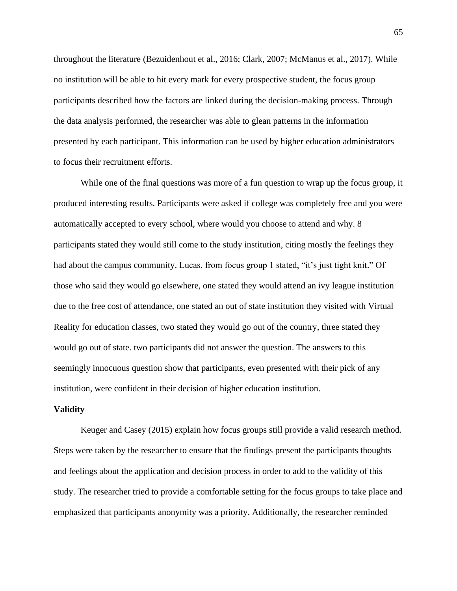throughout the literature (Bezuidenhout et al., 2016; Clark, 2007; McManus et al., 2017). While no institution will be able to hit every mark for every prospective student, the focus group participants described how the factors are linked during the decision-making process. Through the data analysis performed, the researcher was able to glean patterns in the information presented by each participant. This information can be used by higher education administrators to focus their recruitment efforts.

While one of the final questions was more of a fun question to wrap up the focus group, it produced interesting results. Participants were asked if college was completely free and you were automatically accepted to every school, where would you choose to attend and why. 8 participants stated they would still come to the study institution, citing mostly the feelings they had about the campus community. Lucas, from focus group 1 stated, "it's just tight knit." Of those who said they would go elsewhere, one stated they would attend an ivy league institution due to the free cost of attendance, one stated an out of state institution they visited with Virtual Reality for education classes, two stated they would go out of the country, three stated they would go out of state. two participants did not answer the question. The answers to this seemingly innocuous question show that participants, even presented with their pick of any institution, were confident in their decision of higher education institution.

### **Validity**

Keuger and Casey (2015) explain how focus groups still provide a valid research method. Steps were taken by the researcher to ensure that the findings present the participants thoughts and feelings about the application and decision process in order to add to the validity of this study. The researcher tried to provide a comfortable setting for the focus groups to take place and emphasized that participants anonymity was a priority. Additionally, the researcher reminded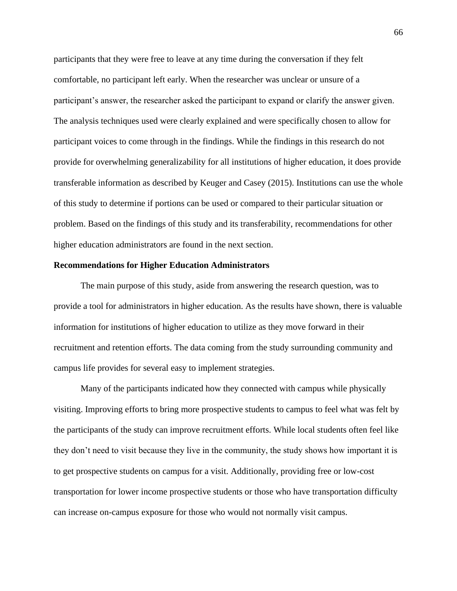participants that they were free to leave at any time during the conversation if they felt comfortable, no participant left early. When the researcher was unclear or unsure of a participant's answer, the researcher asked the participant to expand or clarify the answer given. The analysis techniques used were clearly explained and were specifically chosen to allow for participant voices to come through in the findings. While the findings in this research do not provide for overwhelming generalizability for all institutions of higher education, it does provide transferable information as described by Keuger and Casey (2015). Institutions can use the whole of this study to determine if portions can be used or compared to their particular situation or problem. Based on the findings of this study and its transferability, recommendations for other higher education administrators are found in the next section.

#### **Recommendations for Higher Education Administrators**

The main purpose of this study, aside from answering the research question, was to provide a tool for administrators in higher education. As the results have shown, there is valuable information for institutions of higher education to utilize as they move forward in their recruitment and retention efforts. The data coming from the study surrounding community and campus life provides for several easy to implement strategies.

Many of the participants indicated how they connected with campus while physically visiting. Improving efforts to bring more prospective students to campus to feel what was felt by the participants of the study can improve recruitment efforts. While local students often feel like they don't need to visit because they live in the community, the study shows how important it is to get prospective students on campus for a visit. Additionally, providing free or low-cost transportation for lower income prospective students or those who have transportation difficulty can increase on-campus exposure for those who would not normally visit campus.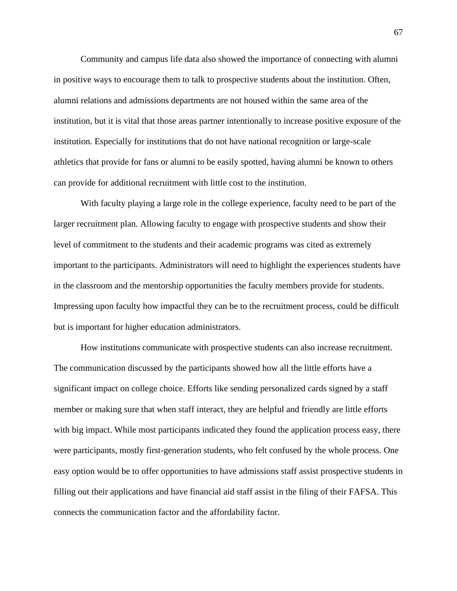Community and campus life data also showed the importance of connecting with alumni in positive ways to encourage them to talk to prospective students about the institution. Often, alumni relations and admissions departments are not housed within the same area of the institution, but it is vital that those areas partner intentionally to increase positive exposure of the institution. Especially for institutions that do not have national recognition or large-scale athletics that provide for fans or alumni to be easily spotted, having alumni be known to others can provide for additional recruitment with little cost to the institution.

With faculty playing a large role in the college experience, faculty need to be part of the larger recruitment plan. Allowing faculty to engage with prospective students and show their level of commitment to the students and their academic programs was cited as extremely important to the participants. Administrators will need to highlight the experiences students have in the classroom and the mentorship opportunities the faculty members provide for students. Impressing upon faculty how impactful they can be to the recruitment process, could be difficult but is important for higher education administrators.

How institutions communicate with prospective students can also increase recruitment. The communication discussed by the participants showed how all the little efforts have a significant impact on college choice. Efforts like sending personalized cards signed by a staff member or making sure that when staff interact, they are helpful and friendly are little efforts with big impact. While most participants indicated they found the application process easy, there were participants, mostly first-generation students, who felt confused by the whole process. One easy option would be to offer opportunities to have admissions staff assist prospective students in filling out their applications and have financial aid staff assist in the filing of their FAFSA. This connects the communication factor and the affordability factor.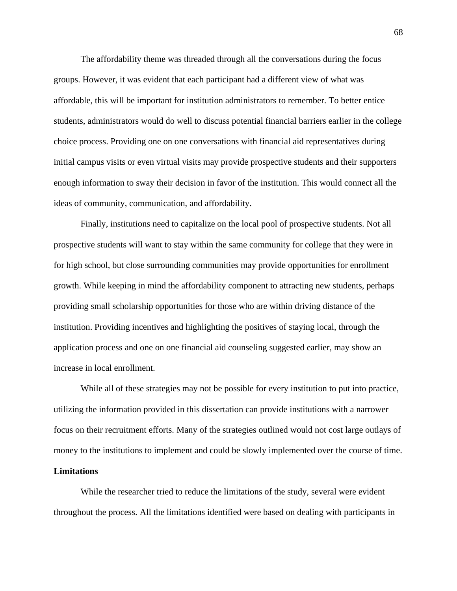The affordability theme was threaded through all the conversations during the focus groups. However, it was evident that each participant had a different view of what was affordable, this will be important for institution administrators to remember. To better entice students, administrators would do well to discuss potential financial barriers earlier in the college choice process. Providing one on one conversations with financial aid representatives during initial campus visits or even virtual visits may provide prospective students and their supporters enough information to sway their decision in favor of the institution. This would connect all the ideas of community, communication, and affordability.

Finally, institutions need to capitalize on the local pool of prospective students. Not all prospective students will want to stay within the same community for college that they were in for high school, but close surrounding communities may provide opportunities for enrollment growth. While keeping in mind the affordability component to attracting new students, perhaps providing small scholarship opportunities for those who are within driving distance of the institution. Providing incentives and highlighting the positives of staying local, through the application process and one on one financial aid counseling suggested earlier, may show an increase in local enrollment.

While all of these strategies may not be possible for every institution to put into practice, utilizing the information provided in this dissertation can provide institutions with a narrower focus on their recruitment efforts. Many of the strategies outlined would not cost large outlays of money to the institutions to implement and could be slowly implemented over the course of time.

#### **Limitations**

While the researcher tried to reduce the limitations of the study, several were evident throughout the process. All the limitations identified were based on dealing with participants in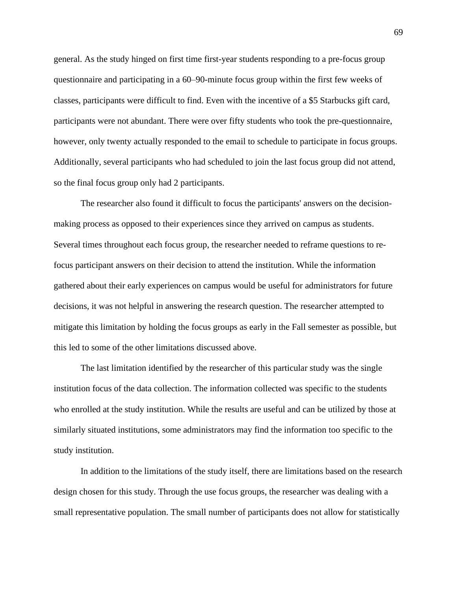general. As the study hinged on first time first-year students responding to a pre-focus group questionnaire and participating in a 60–90-minute focus group within the first few weeks of classes, participants were difficult to find. Even with the incentive of a \$5 Starbucks gift card, participants were not abundant. There were over fifty students who took the pre-questionnaire, however, only twenty actually responded to the email to schedule to participate in focus groups. Additionally, several participants who had scheduled to join the last focus group did not attend, so the final focus group only had 2 participants.

The researcher also found it difficult to focus the participants' answers on the decisionmaking process as opposed to their experiences since they arrived on campus as students. Several times throughout each focus group, the researcher needed to reframe questions to refocus participant answers on their decision to attend the institution. While the information gathered about their early experiences on campus would be useful for administrators for future decisions, it was not helpful in answering the research question. The researcher attempted to mitigate this limitation by holding the focus groups as early in the Fall semester as possible, but this led to some of the other limitations discussed above.

The last limitation identified by the researcher of this particular study was the single institution focus of the data collection. The information collected was specific to the students who enrolled at the study institution. While the results are useful and can be utilized by those at similarly situated institutions, some administrators may find the information too specific to the study institution.

In addition to the limitations of the study itself, there are limitations based on the research design chosen for this study. Through the use focus groups, the researcher was dealing with a small representative population. The small number of participants does not allow for statistically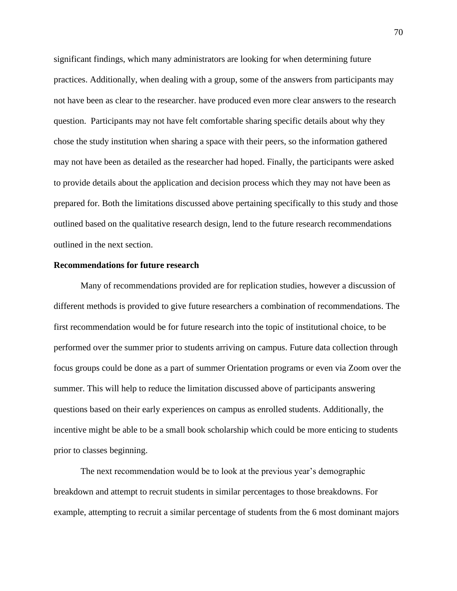significant findings, which many administrators are looking for when determining future practices. Additionally, when dealing with a group, some of the answers from participants may not have been as clear to the researcher. have produced even more clear answers to the research question. Participants may not have felt comfortable sharing specific details about why they chose the study institution when sharing a space with their peers, so the information gathered may not have been as detailed as the researcher had hoped. Finally, the participants were asked to provide details about the application and decision process which they may not have been as prepared for. Both the limitations discussed above pertaining specifically to this study and those outlined based on the qualitative research design, lend to the future research recommendations outlined in the next section.

#### **Recommendations for future research**

Many of recommendations provided are for replication studies, however a discussion of different methods is provided to give future researchers a combination of recommendations. The first recommendation would be for future research into the topic of institutional choice, to be performed over the summer prior to students arriving on campus. Future data collection through focus groups could be done as a part of summer Orientation programs or even via Zoom over the summer. This will help to reduce the limitation discussed above of participants answering questions based on their early experiences on campus as enrolled students. Additionally, the incentive might be able to be a small book scholarship which could be more enticing to students prior to classes beginning.

The next recommendation would be to look at the previous year's demographic breakdown and attempt to recruit students in similar percentages to those breakdowns. For example, attempting to recruit a similar percentage of students from the 6 most dominant majors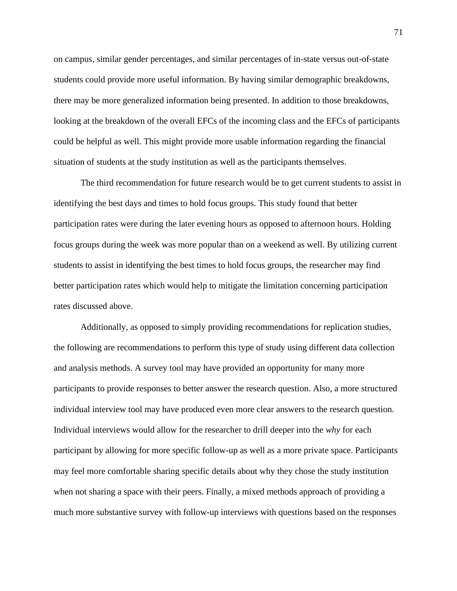on campus, similar gender percentages, and similar percentages of in-state versus out-of-state students could provide more useful information. By having similar demographic breakdowns, there may be more generalized information being presented. In addition to those breakdowns, looking at the breakdown of the overall EFCs of the incoming class and the EFCs of participants could be helpful as well. This might provide more usable information regarding the financial situation of students at the study institution as well as the participants themselves.

The third recommendation for future research would be to get current students to assist in identifying the best days and times to hold focus groups. This study found that better participation rates were during the later evening hours as opposed to afternoon hours. Holding focus groups during the week was more popular than on a weekend as well. By utilizing current students to assist in identifying the best times to hold focus groups, the researcher may find better participation rates which would help to mitigate the limitation concerning participation rates discussed above.

Additionally, as opposed to simply providing recommendations for replication studies, the following are recommendations to perform this type of study using different data collection and analysis methods. A survey tool may have provided an opportunity for many more participants to provide responses to better answer the research question. Also, a more structured individual interview tool may have produced even more clear answers to the research question. Individual interviews would allow for the researcher to drill deeper into the *why* for each participant by allowing for more specific follow-up as well as a more private space. Participants may feel more comfortable sharing specific details about why they chose the study institution when not sharing a space with their peers. Finally, a mixed methods approach of providing a much more substantive survey with follow-up interviews with questions based on the responses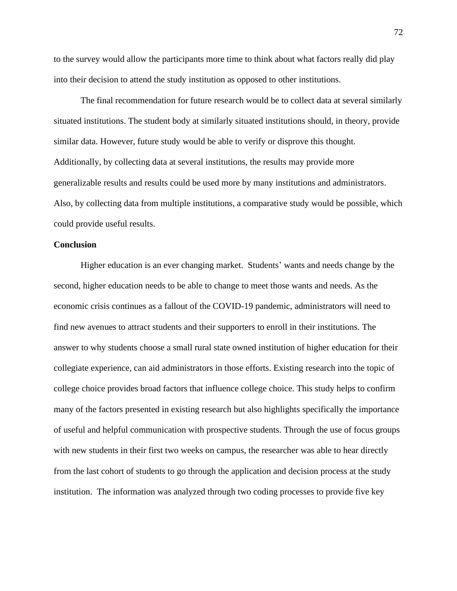to the survey would allow the participants more time to think about what factors really did play into their decision to attend the study institution as opposed to other institutions.

The final recommendation for future research would be to collect data at several similarly situated institutions. The student body at similarly situated institutions should, in theory, provide similar data. However, future study would be able to verify or disprove this thought. Additionally, by collecting data at several institutions, the results may provide more generalizable results and results could be used more by many institutions and administrators. Also, by collecting data from multiple institutions, a comparative study would be possible, which could provide useful results.

#### **Conclusion**

Higher education is an ever changing market. Students' wants and needs change by the second, higher education needs to be able to change to meet those wants and needs. As the economic crisis continues as a fallout of the COVID-19 pandemic, administrators will need to find new avenues to attract students and their supporters to enroll in their institutions. The answer to why students choose a small rural state owned institution of higher education for their collegiate experience, can aid administrators in those efforts. Existing research into the topic of college choice provides broad factors that influence college choice. This study helps to confirm many of the factors presented in existing research but also highlights specifically the importance of useful and helpful communication with prospective students. Through the use of focus groups with new students in their first two weeks on campus, the researcher was able to hear directly from the last cohort of students to go through the application and decision process at the study institution. The information was analyzed through two coding processes to provide five key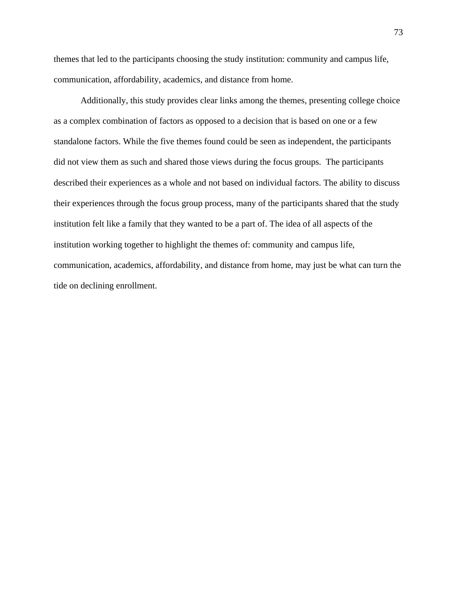themes that led to the participants choosing the study institution: community and campus life, communication, affordability, academics, and distance from home.

Additionally, this study provides clear links among the themes, presenting college choice as a complex combination of factors as opposed to a decision that is based on one or a few standalone factors. While the five themes found could be seen as independent, the participants did not view them as such and shared those views during the focus groups. The participants described their experiences as a whole and not based on individual factors. The ability to discuss their experiences through the focus group process, many of the participants shared that the study institution felt like a family that they wanted to be a part of. The idea of all aspects of the institution working together to highlight the themes of: community and campus life, communication, academics, affordability, and distance from home, may just be what can turn the tide on declining enrollment.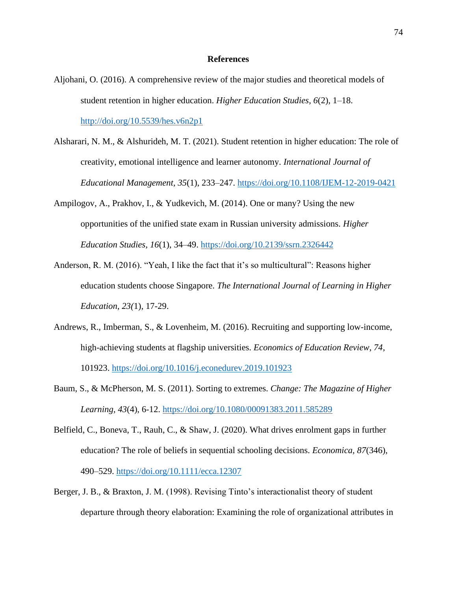#### **References**

- Aljohani, O. (2016). A comprehensive review of the major studies and theoretical models of student retention in higher education. *Higher Education Studies, 6*(2), 1–18. <http://doi.org/10.5539/hes.v6n2p1>
- Alsharari, N. M., & Alshurideh, M. T. (2021). Student retention in higher education: The role of creativity, emotional intelligence and learner autonomy*. International Journal of Educational Management, 35*(1), 233–247.<https://doi.org/10.1108/IJEM-12-2019-0421>
- Ampilogov, A., Prakhov, I., & Yudkevich, M. (2014). One or many? Using the new opportunities of the unified state exam in Russian university admissions. *Higher Education Studies, 16*(1), 34–49.<https://doi.org/10.2139/ssrn.2326442>
- Anderson, R. M. (2016). "Yeah, I like the fact that it's so multicultural": Reasons higher education students choose Singapore. *The International Journal of Learning in Higher Education, 23(*1), 17-29.
- Andrews, R., Imberman, S., & Lovenheim, M. (2016). Recruiting and supporting low-income, high-achieving students at flagship universities. *Economics of Education Review, 74*, 101923.<https://doi.org/10.1016/j.econedurev.2019.101923>
- Baum, S., & McPherson, M. S. (2011). Sorting to extremes. *Change: The Magazine of Higher Learning, 43*(4), 6-12.<https://doi.org/10.1080/00091383.2011.585289>
- Belfield, C., Boneva, T., Rauh, C., & Shaw, J. (2020). What drives enrolment gaps in further education? The role of beliefs in sequential schooling decisions. *Economica, 87*(346), 490–529.<https://doi.org/10.1111/ecca.12307>
- Berger, J. B., & Braxton, J. M. (1998). Revising Tinto's interactionalist theory of student departure through theory elaboration: Examining the role of organizational attributes in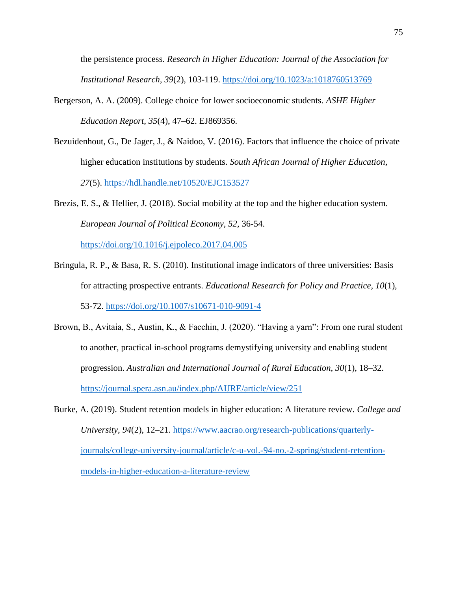the persistence process. *Research in Higher Education: Journal of the Association for Institutional Research, 39*(2), 103-119.<https://doi.org/10.1023/a:1018760513769>

- Bergerson, A. A. (2009). College choice for lower socioeconomic students. *ASHE Higher Education Report, 35*(4), 47–62. EJ869356.
- Bezuidenhout, G., De Jager, J., & Naidoo, V. (2016). Factors that influence the choice of private higher education institutions by students. *South African Journal of Higher Education, 27*(5).<https://hdl.handle.net/10520/EJC153527>

Brezis, E. S., & Hellier, J. (2018). Social mobility at the top and the higher education system. *European Journal of Political Economy, 52,* 36-54.

<https://doi.org/10.1016/j.ejpoleco.2017.04.005>

- Bringula, R. P., & Basa, R. S. (2010). Institutional image indicators of three universities: Basis for attracting prospective entrants. *Educational Research for Policy and Practice, 10*(1), 53-72.<https://doi.org/10.1007/s10671-010-9091-4>
- Brown, B., Avitaia, S., Austin, K., & Facchin, J. (2020). "Having a yarn": From one rural student to another, practical in-school programs demystifying university and enabling student progression. *Australian and International Journal of Rural Education, 30*(1), 18–32. <https://journal.spera.asn.au/index.php/AIJRE/article/view/251>
- Burke, A. (2019). Student retention models in higher education: A literature review. *College and University, 94*(2), 12–21. [https://www.aacrao.org/research-publications/quarterly](https://www.aacrao.org/research-publications/quarterly-journals/college-university-journal/article/c-u-vol.-94-no.-2-spring/student-retention-models-in-higher-education-a-literature-review)[journals/college-university-journal/article/c-u-vol.-94-no.-2-spring/student-retention](https://www.aacrao.org/research-publications/quarterly-journals/college-university-journal/article/c-u-vol.-94-no.-2-spring/student-retention-models-in-higher-education-a-literature-review)[models-in-higher-education-a-literature-review](https://www.aacrao.org/research-publications/quarterly-journals/college-university-journal/article/c-u-vol.-94-no.-2-spring/student-retention-models-in-higher-education-a-literature-review)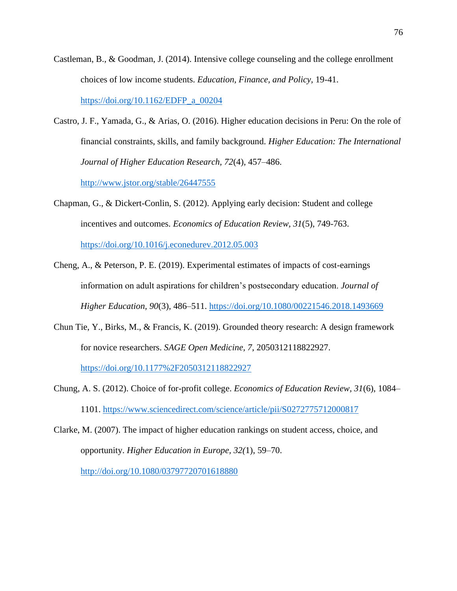- Castleman, B., & Goodman, J. (2014). Intensive college counseling and the college enrollment choices of low income students. *Education, Finance, and Policy,* 19-41. [https://doi.org/10.1162/EDFP\\_a\\_00204](https://doi.org/10.1162/EDFP_a_00204)
- Castro, J. F., Yamada, G., & Arias, O. (2016). Higher education decisions in Peru: On the role of financial constraints, skills, and family background. *Higher Education: The International Journal of Higher Education Research, 72*(4), 457–486.

<http://www.jstor.org/stable/26447555>

Chapman, G., & Dickert-Conlin, S. (2012). Applying early decision: Student and college incentives and outcomes. *Economics of Education Review, 31*(5), 749-763.

<https://doi.org/10.1016/j.econedurev.2012.05.003>

- Cheng, A., & Peterson, P. E. (2019). Experimental estimates of impacts of cost-earnings information on adult aspirations for children's postsecondary education. *Journal of Higher Education, 90*(3), 486–511.<https://doi.org/10.1080/00221546.2018.1493669>
- Chun Tie, Y., Birks, M., & Francis, K. (2019). Grounded theory research: A design framework for novice researchers. *SAGE Open Medicine, 7*, 2050312118822927.

<https://doi.org/10.1177%2F2050312118822927>

- Chung, A. S. (2012). Choice of for-profit college. *Economics of Education Review, 31*(6), 1084– 1101.<https://www.sciencedirect.com/science/article/pii/S0272775712000817>
- Clarke, M. (2007). The impact of higher education rankings on student access, choice, and opportunity. *Higher Education in Europe, 32(*1), 59–70. <http://doi.org/10.1080/03797720701618880>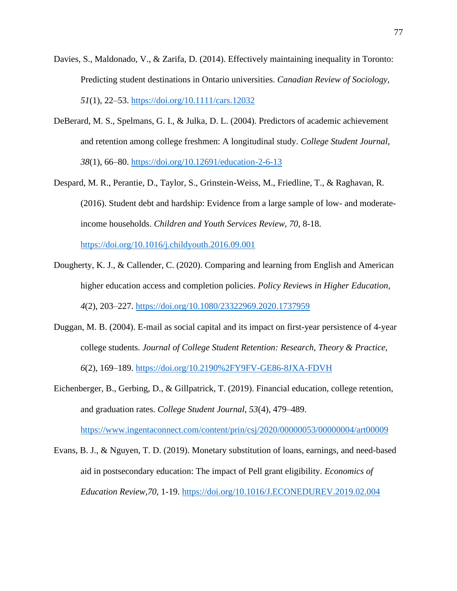- Davies, S., Maldonado, V., & Zarifa, D. (2014). Effectively maintaining inequality in Toronto: Predicting student destinations in Ontario universities. *Canadian Review of Sociology, 51*(1), 22–53.<https://doi.org/10.1111/cars.12032>
- DeBerard, M. S., Spelmans, G. I., & Julka, D. L. (2004). Predictors of academic achievement and retention among college freshmen: A longitudinal study. *College Student Journal, 38*(1), 66–80.<https://doi.org/10.12691/education-2-6-13>
- Despard, M. R., Perantie, D., Taylor, S., Grinstein-Weiss, M., Friedline, T., & Raghavan, R. (2016). Student debt and hardship: Evidence from a large sample of low- and moderateincome households. *Children and Youth Services Review, 70*, 8-18.

<https://doi.org/10.1016/j.childyouth.2016.09.001>

- Dougherty, K. J., & Callender, C. (2020). Comparing and learning from English and American higher education access and completion policies. *Policy Reviews in Higher Education, 4*(2), 203–227.<https://doi.org/10.1080/23322969.2020.1737959>
- Duggan, M. B. (2004). E-mail as social capital and its impact on first-year persistence of 4-year college students. *Journal of College Student Retention: Research, Theory & Practice, 6*(2), 169–189.<https://doi.org/10.2190%2FY9FV-GE86-8JXA-FDVH>

Eichenberger, B., Gerbing, D., & Gillpatrick, T. (2019). Financial education, college retention, and graduation rates. *College Student Journal, 53*(4), 479–489. <https://www.ingentaconnect.com/content/prin/csj/2020/00000053/00000004/art00009>

Evans, B. J., & Nguyen, T. D. (2019). Monetary substitution of loans, earnings, and need-based aid in postsecondary education: The impact of Pell grant eligibility. *Economics of Education Review,70,* 1-19.<https://doi.org/10.1016/J.ECONEDUREV.2019.02.004>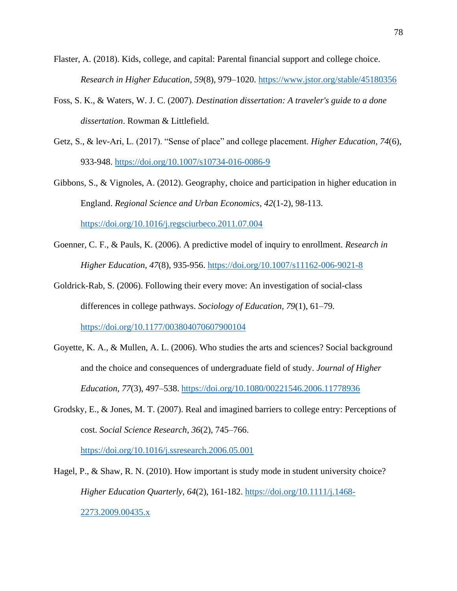- Flaster, A. (2018). Kids, college, and capital: Parental financial support and college choice. *Research in Higher Education, 59*(8), 979–1020.<https://www.jstor.org/stable/45180356>
- Foss, S. K., & Waters, W. J. C. (2007). *Destination dissertation: A traveler's guide to a done dissertation*. Rowman & Littlefield.
- Getz, S., & lev-Ari, L. (2017). "Sense of place" and college placement. *Higher Education, 74*(6), 933-948.<https://doi.org/10.1007/s10734-016-0086-9>
- Gibbons, S., & Vignoles, A. (2012). Geography, choice and participation in higher education in England. *Regional Science and Urban Economics, 42*(1-2), 98-113. <https://doi.org/10.1016/j.regsciurbeco.2011.07.004>
- Goenner, C. F., & Pauls, K. (2006). A predictive model of inquiry to enrollment. *Research in Higher Education, 47*(8), 935-956.<https://doi.org/10.1007/s11162-006-9021-8>
- Goldrick-Rab, S. (2006). Following their every move: An investigation of social-class differences in college pathways. *Sociology of Education, 79*(1), 61–79. [https://doi.org/10.1177/003804070607900104](https://doi.org/10.1177%2F003804070607900104)
- Goyette, K. A., & Mullen, A. L. (2006). Who studies the arts and sciences? Social background and the choice and consequences of undergraduate field of study. *Journal of Higher Education, 77*(3), 497–538. <https://doi.org/10.1080/00221546.2006.11778936>
- Grodsky, E., & Jones, M. T. (2007). Real and imagined barriers to college entry: Perceptions of cost. *Social Science Research, 36*(2), 745–766.

<https://doi.org/10.1016/j.ssresearch.2006.05.001>

Hagel, P., & Shaw, R. N. (2010). How important is study mode in student university choice? *Higher Education Quarterly, 64*(2), 161-182. [https://doi.org/10.1111/j.1468-](https://doi.org/10.1111/j.1468-2273.2009.00435.x) [2273.2009.00435.x](https://doi.org/10.1111/j.1468-2273.2009.00435.x)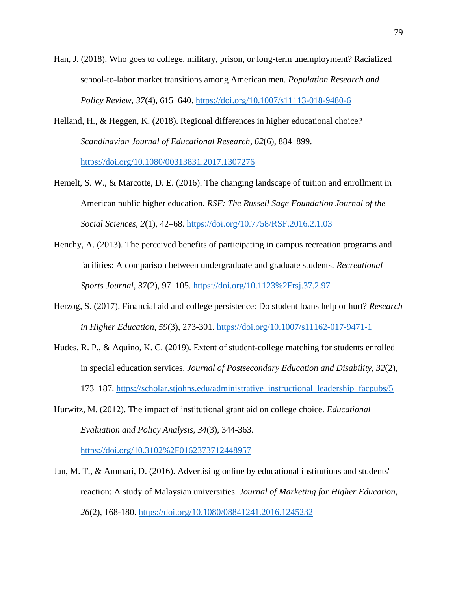- Han, J. (2018). Who goes to college, military, prison, or long-term unemployment? Racialized school-to-labor market transitions among American men. *Population Research and Policy Review, 37*(4), 615–640.<https://doi.org/10.1007/s11113-018-9480-6>
- Helland, H., & Heggen, K. (2018). Regional differences in higher educational choice? *Scandinavian Journal of Educational Research, 62*(6), 884–899. <https://doi.org/10.1080/00313831.2017.1307276>
- Hemelt, S. W., & Marcotte, D. E. (2016). The changing landscape of tuition and enrollment in American public higher education. *RSF: The Russell Sage Foundation Journal of the Social Sciences, 2*(1), 42–68.<https://doi.org/10.7758/RSF.2016.2.1.03>
- Henchy, A. (2013). The perceived benefits of participating in campus recreation programs and facilities: A comparison between undergraduate and graduate students. *Recreational Sports Journal, 37*(2), 97–105.<https://doi.org/10.1123%2Frsj.37.2.97>
- Herzog, S. (2017). Financial aid and college persistence: Do student loans help or hurt? *Research in Higher Education, 59*(3), 273-301.<https://doi.org/10.1007/s11162-017-9471-1>
- Hudes, R. P., & Aquino, K. C. (2019). Extent of student-college matching for students enrolled in special education services. *Journal of Postsecondary Education and Disability, 32*(2), 173–187. [https://scholar.stjohns.edu/administrative\\_instructional\\_leadership\\_facpubs/5](https://scholar.stjohns.edu/administrative_instructional_leadership_facpubs/5)
- Hurwitz, M. (2012). The impact of institutional grant aid on college choice. *Educational Evaluation and Policy Analysis, 34*(3), 344-363.

<https://doi.org/10.3102%2F0162373712448957>

Jan, M. T., & Ammari, D. (2016). Advertising online by educational institutions and students' reaction: A study of Malaysian universities. *Journal of Marketing for Higher Education, 26*(2), 168-180.<https://doi.org/10.1080/08841241.2016.1245232>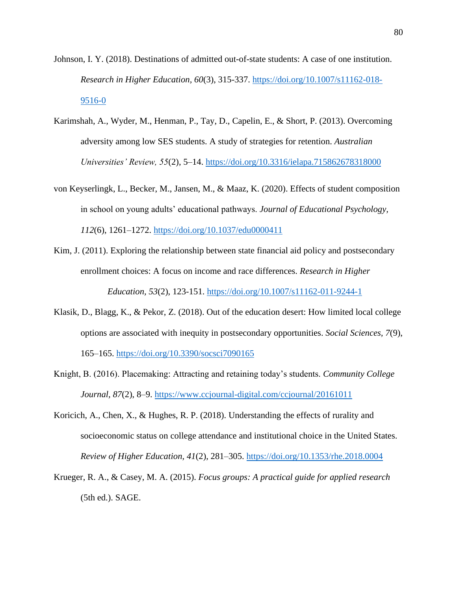- Johnson, I. Y. (2018). Destinations of admitted out-of-state students: A case of one institution. *Research in Higher Education, 60*(3), 315-337. [https://doi.org/10.1007/s11162-018-](https://doi.org/10.1007/s11162-018-9516-0) [9516-0](https://doi.org/10.1007/s11162-018-9516-0)
- Karimshah, A., Wyder, M., Henman, P., Tay, D., Capelin, E., & Short, P. (2013). Overcoming adversity among low SES students. A study of strategies for retention. *Australian Universities' Review, 55*(2), 5–14.<https://doi.org/10.3316/ielapa.715862678318000>
- von Keyserlingk, L., Becker, M., Jansen, M., & Maaz, K. (2020). Effects of student composition in school on young adults' educational pathways. *Journal of Educational Psychology, 112*(6), 1261–1272.<https://doi.org/10.1037/edu0000411>
- Kim, J. (2011). Exploring the relationship between state financial aid policy and postsecondary enrollment choices: A focus on income and race differences. *Research in Higher Education, 53*(2), 123-151.<https://doi.org/10.1007/s11162-011-9244-1>
- Klasik, D., Blagg, K., & Pekor, Z. (2018). Out of the education desert: How limited local college options are associated with inequity in postsecondary opportunities. *Social Sciences, 7*(9), 165–165.<https://doi.org/10.3390/socsci7090165>
- Knight, B. (2016). Placemaking: Attracting and retaining today's students. *Community College Journal, 87*(2), 8–9.<https://www.ccjournal-digital.com/ccjournal/20161011>
- Koricich, A., Chen, X., & Hughes, R. P. (2018). Understanding the effects of rurality and socioeconomic status on college attendance and institutional choice in the United States. *Review of Higher Education, 41*(2), 281–305.<https://doi.org/10.1353/rhe.2018.0004>
- Krueger, R. A., & Casey, M. A. (2015). *Focus groups: A practical guide for applied research* (5th ed.). SAGE.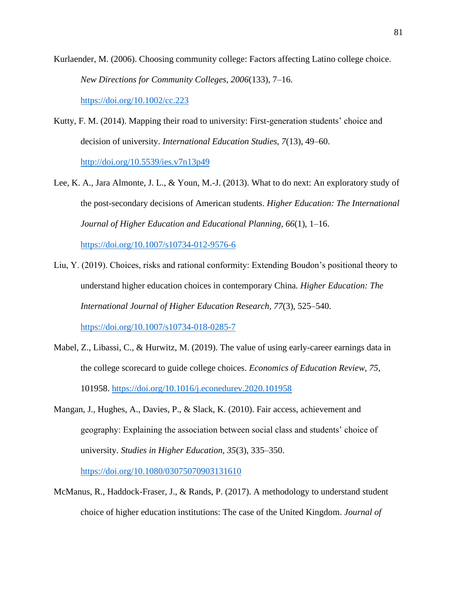Kurlaender, M. (2006). Choosing community college: Factors affecting Latino college choice. *New Directions for Community Colleges, 2006*(133), 7–16.

<https://doi.org/10.1002/cc.223>

- Kutty, F. M. (2014). Mapping their road to university: First-generation students' choice and decision of university. *International Education Studies, 7*(13), 49–60. <http://doi.org/10.5539/ies.v7n13p49>
- Lee, K. A., Jara Almonte, J. L., & Youn, M.-J. (2013). What to do next: An exploratory study of the post-secondary decisions of American students. *Higher Education: The International Journal of Higher Education and Educational Planning, 66*(1), 1–16.

<https://doi.org/10.1007/s10734-012-9576-6>

- Liu, Y. (2019). Choices, risks and rational conformity: Extending Boudon's positional theory to understand higher education choices in contemporary China*. Higher Education: The International Journal of Higher Education Research, 77*(3), 525–540. <https://doi.org/10.1007/s10734-018-0285-7>
- Mabel, Z., Libassi, C., & Hurwitz, M. (2019). The value of using early-career earnings data in the college scorecard to guide college choices. *Economics of Education Review, 75*, 101958.<https://doi.org/10.1016/j.econedurev.2020.101958>
- Mangan, J., Hughes, A., Davies, P., & Slack, K. (2010). Fair access, achievement and geography: Explaining the association between social class and students' choice of university. *Studies in Higher Education, 35*(3), 335–350.

<https://doi.org/10.1080/03075070903131610>

McManus, R., Haddock-Fraser, J., & Rands, P. (2017). A methodology to understand student choice of higher education institutions: The case of the United Kingdom. *Journal of*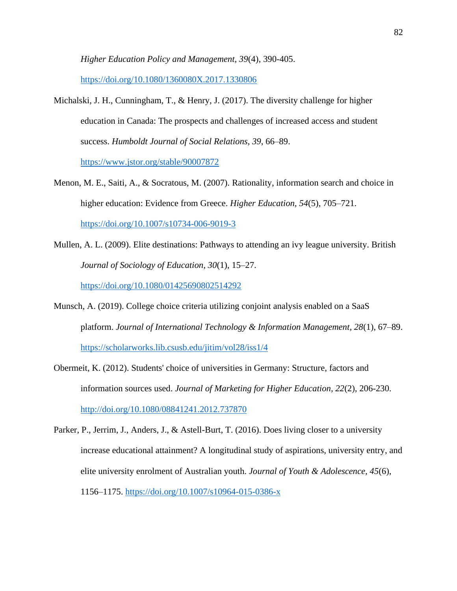*Higher Education Policy and Management, 39*(4), 390-405.

<https://doi.org/10.1080/1360080X.2017.1330806>

- Michalski, J. H., Cunningham, T., & Henry, J. (2017). The diversity challenge for higher education in Canada: The prospects and challenges of increased access and student success. *Humboldt Journal of Social Relations, 39*, 66–89. <https://www.jstor.org/stable/90007872>
- Menon, M. E., Saiti, A., & Socratous, M. (2007). Rationality, information search and choice in higher education: Evidence from Greece. *Higher Education, 54*(5), 705–721. <https://doi.org/10.1007/s10734-006-9019-3>
- Mullen, A. L. (2009). Elite destinations: Pathways to attending an ivy league university. British *Journal of Sociology of Education, 30*(1), 15–27.

<https://doi.org/10.1080/01425690802514292>

- Munsch, A. (2019). College choice criteria utilizing conjoint analysis enabled on a SaaS platform. *Journal of International Technology & Information Management, 28*(1), 67–89. <https://scholarworks.lib.csusb.edu/jitim/vol28/iss1/4>
- Obermeit, K. (2012). Students' choice of universities in Germany: Structure, factors and information sources used. *Journal of Marketing for Higher Education, 22*(2), 206-230. <http://doi.org/10.1080/08841241.2012.737870>
- Parker, P., Jerrim, J., Anders, J., & Astell-Burt, T. (2016). Does living closer to a university increase educational attainment? A longitudinal study of aspirations, university entry, and elite university enrolment of Australian youth. *Journal of Youth & Adolescence, 45*(6), 1156–1175.<https://doi.org/10.1007/s10964-015-0386-x>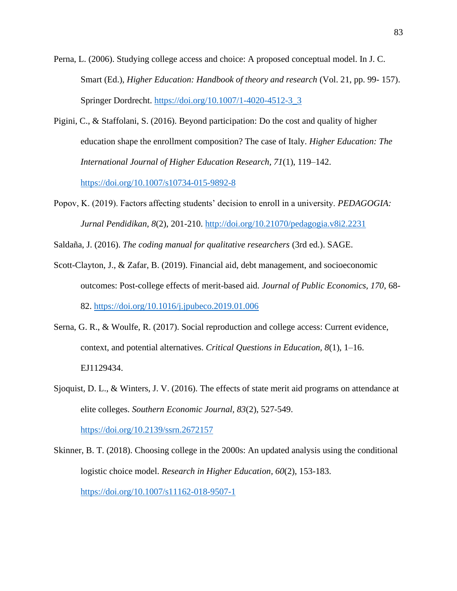- Perna, L. (2006). Studying college access and choice: A proposed conceptual model. In J. C. Smart (Ed.), *Higher Education: Handbook of theory and research* (Vol. 21, pp. 99-157). Springer Dordrecht. [https://doi.org/10.1007/1-4020-4512-3\\_3](https://doi.org/10.1007/1-4020-4512-3_3)
- Pigini, C., & Staffolani, S. (2016). Beyond participation: Do the cost and quality of higher education shape the enrollment composition? The case of Italy. *Higher Education: The International Journal of Higher Education Research, 71*(1), 119–142.

<https://doi.org/10.1007/s10734-015-9892-8>

Popov, K. (2019). Factors affecting students' decision to enroll in a university. *PEDAGOGIA: Jurnal Pendidikan, 8*(2), 201-210.<http://doi.org/10.21070/pedagogia.v8i2.2231>

Saldaña, J. (2016). *The coding manual for qualitative researchers* (3rd ed.). SAGE.

- Scott-Clayton, J., & Zafar, B. (2019). Financial aid, debt management, and socioeconomic outcomes: Post-college effects of merit-based aid. *Journal of Public Economics, 170*, 68- 82.<https://doi.org/10.1016/j.jpubeco.2019.01.006>
- Serna, G. R., & Woulfe, R. (2017). Social reproduction and college access: Current evidence, context, and potential alternatives. *Critical Questions in Education, 8*(1), 1–16. EJ1129434.
- Sjoquist, D. L., & Winters, J. V. (2016). The effects of state merit aid programs on attendance at elite colleges. *Southern Economic Journal, 83*(2), 527-549.

<https://doi.org/10.2139/ssrn.2672157>

Skinner, B. T. (2018). Choosing college in the 2000s: An updated analysis using the conditional logistic choice model. *Research in Higher Education, 60*(2), 153-183. <https://doi.org/10.1007/s11162-018-9507-1>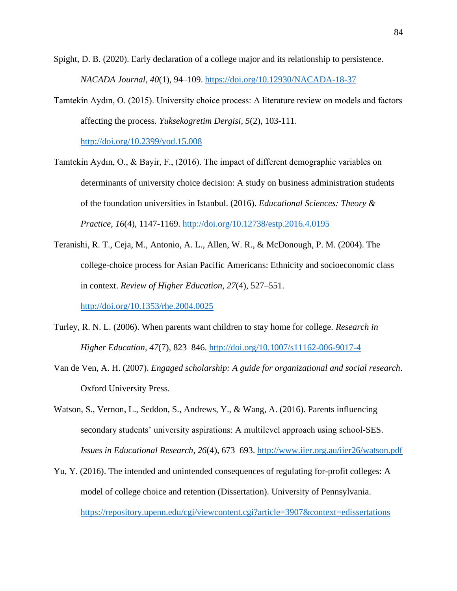Spight, D. B. (2020). Early declaration of a college major and its relationship to persistence. *NACADA Journal, 40*(1), 94–109. <https://doi.org/10.12930/NACADA-18-37>

Tamtekin Aydın, O. (2015). University choice process: A literature review on models and factors affecting the process. *Yuksekogretim Dergisi, 5*(2), 103-111.

<http://doi.org/10.2399/yod.15.008>

- Tamtekin Aydın, O., & Bayir, F., (2016). The impact of different demographic variables on determinants of university choice decision: A study on business administration students of the foundation universities in Istanbul. (2016). *Educational Sciences: Theory & Practice*, *16*(4), 1147-1169. [http://doi.org/10.12738/estp.2016.4.0195](http://dx.doi.org/10.12738/estp.2016.4.0195)
- Teranishi, R. T., Ceja, M., Antonio, A. L., Allen, W. R., & McDonough, P. M. (2004). The college-choice process for Asian Pacific Americans: Ethnicity and socioeconomic class in context. *Review of Higher Education, 27*(4), 527–551.

<http://doi.org/10.1353/rhe.2004.0025>

- Turley, R. N. L. (2006). When parents want children to stay home for college. *Research in Higher Education, 47*(7), 823–846.<http://doi.org/10.1007/s11162-006-9017-4>
- Van de Ven, A. H. (2007). *Engaged scholarship: A guide for organizational and social research*. Oxford University Press.
- Watson, S., Vernon, L., Seddon, S., Andrews, Y., & Wang, A. (2016). Parents influencing secondary students' university aspirations: A multilevel approach using school-SES. *Issues in Educational Research, 26*(4), 673–693. <http://www.iier.org.au/iier26/watson.pdf>
- Yu, Y. (2016). The intended and unintended consequences of regulating for-profit colleges: A model of college choice and retention (Dissertation). University of Pennsylvania. <https://repository.upenn.edu/cgi/viewcontent.cgi?article=3907&context=edissertations>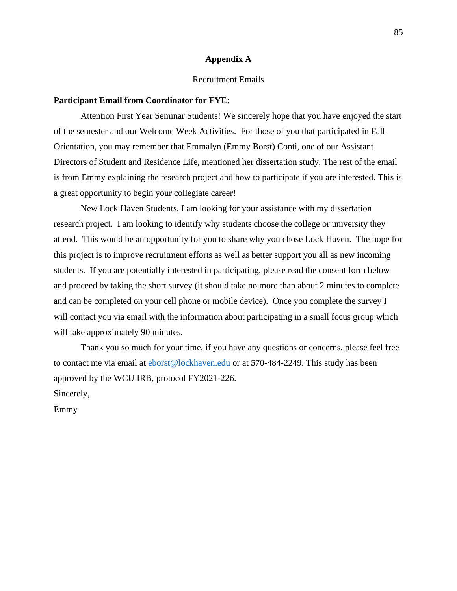#### **Appendix A**

#### Recruitment Emails

#### **Participant Email from Coordinator for FYE:**

Attention First Year Seminar Students! We sincerely hope that you have enjoyed the start of the semester and our Welcome Week Activities. For those of you that participated in Fall Orientation, you may remember that Emmalyn (Emmy Borst) Conti, one of our Assistant Directors of Student and Residence Life, mentioned her dissertation study. The rest of the email is from Emmy explaining the research project and how to participate if you are interested. This is a great opportunity to begin your collegiate career!

New Lock Haven Students, I am looking for your assistance with my dissertation research project. I am looking to identify why students choose the college or university they attend. This would be an opportunity for you to share why you chose Lock Haven. The hope for this project is to improve recruitment efforts as well as better support you all as new incoming students. If you are potentially interested in participating, please read the consent form below and proceed by taking the short survey (it should take no more than about 2 minutes to complete and can be completed on your cell phone or mobile device). Once you complete the survey I will contact you via email with the information about participating in a small focus group which will take approximately 90 minutes.

Thank you so much for your time, if you have any questions or concerns, please feel free to contact me via email at [eborst@lockhaven.edu](mailto:eborst@lockhaven.edu) or at 570-484-2249. This study has been approved by the WCU IRB, protocol FY2021-226. Sincerely,

Emmy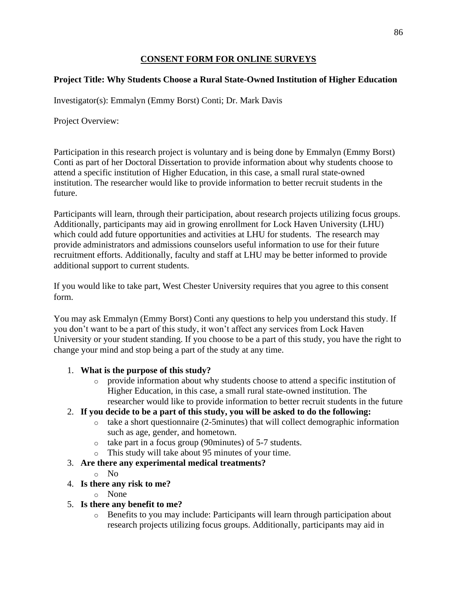#### **CONSENT FORM FOR ONLINE SURVEYS**

# **Project Title: Why Students Choose a Rural State-Owned Institution of Higher Education**

Investigator(s): Emmalyn (Emmy Borst) Conti; Dr. Mark Davis

Project Overview:

Participation in this research project is voluntary and is being done by Emmalyn (Emmy Borst) Conti as part of her Doctoral Dissertation to provide information about why students choose to attend a specific institution of Higher Education, in this case, a small rural state-owned institution. The researcher would like to provide information to better recruit students in the future.

Participants will learn, through their participation, about research projects utilizing focus groups. Additionally, participants may aid in growing enrollment for Lock Haven University (LHU) which could add future opportunities and activities at LHU for students. The research may provide administrators and admissions counselors useful information to use for their future recruitment efforts. Additionally, faculty and staff at LHU may be better informed to provide additional support to current students.

If you would like to take part, West Chester University requires that you agree to this consent form.

You may ask Emmalyn (Emmy Borst) Conti any questions to help you understand this study. If you don't want to be a part of this study, it won't affect any services from Lock Haven University or your student standing. If you choose to be a part of this study, you have the right to change your mind and stop being a part of the study at any time.

### 1. **What is the purpose of this study?**

- o provide information about why students choose to attend a specific institution of Higher Education, in this case, a small rural state-owned institution. The researcher would like to provide information to better recruit students in the future
- 2. **If you decide to be a part of this study, you will be asked to do the following:**
	- o take a short questionnaire (2-5minutes) that will collect demographic information such as age, gender, and hometown.
	- o take part in a focus group (90minutes) of 5-7 students.
	- o This study will take about 95 minutes of your time.
- 3. **Are there any experimental medical treatments?**
	- o No
- 4. **Is there any risk to me?**
	- o None
- 5. **Is there any benefit to me?**
	- o Benefits to you may include: Participants will learn through participation about research projects utilizing focus groups. Additionally, participants may aid in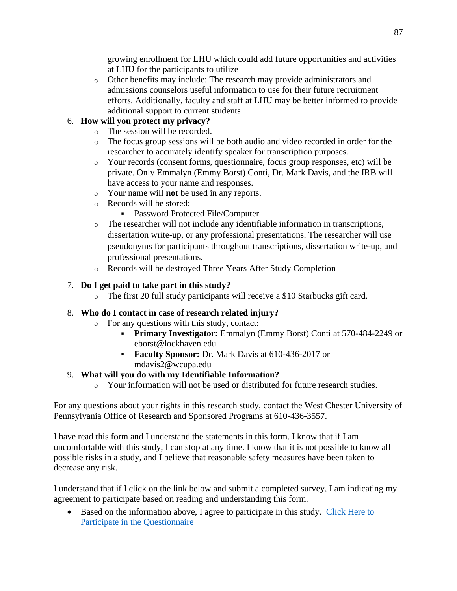growing enrollment for LHU which could add future opportunities and activities at LHU for the participants to utilize

o Other benefits may include: The research may provide administrators and admissions counselors useful information to use for their future recruitment efforts. Additionally, faculty and staff at LHU may be better informed to provide additional support to current students.

# 6. **How will you protect my privacy?**

- o The session will be recorded.
- o The focus group sessions will be both audio and video recorded in order for the researcher to accurately identify speaker for transcription purposes.
- o Your records (consent forms, questionnaire, focus group responses, etc) will be private. Only Emmalyn (Emmy Borst) Conti, Dr. Mark Davis, and the IRB will have access to your name and responses.
- o Your name will **not** be used in any reports.
- o Records will be stored:
	- **Password Protected File/Computer**
- o The researcher will not include any identifiable information in transcriptions, dissertation write-up, or any professional presentations. The researcher will use pseudonyms for participants throughout transcriptions, dissertation write-up, and professional presentations.
- o Records will be destroyed Three Years After Study Completion

# 7. **Do I get paid to take part in this study?**

o The first 20 full study participants will receive a \$10 Starbucks gift card.

### 8. **Who do I contact in case of research related injury?**

- o For any questions with this study, contact:
	- **Primary Investigator:** Emmalyn (Emmy Borst) Conti at 570-484-2249 or eborst@lockhaven.edu
	- **Faculty Sponsor:** Dr. Mark Davis at 610-436-2017 or mdavis2@wcupa.edu

# 9. **What will you do with my Identifiable Information?**

o Your information will not be used or distributed for future research studies.

For any questions about your rights in this research study, contact the West Chester University of Pennsylvania Office of Research and Sponsored Programs at 610-436-3557.

I have read this form and I understand the statements in this form. I know that if I am uncomfortable with this study, I can stop at any time. I know that it is not possible to know all possible risks in a study, and I believe that reasonable safety measures have been taken to decrease any risk.

I understand that if I click on the link below and submit a completed survey, I am indicating my agreement to participate based on reading and understanding this form.

• Based on the information above, I agree to participate in this study. Click Here to [Participate in the Questionnaire](https://wcupa.co1.qualtrics.com/jfe/form/SV_1zyR01Hv0x7rECW)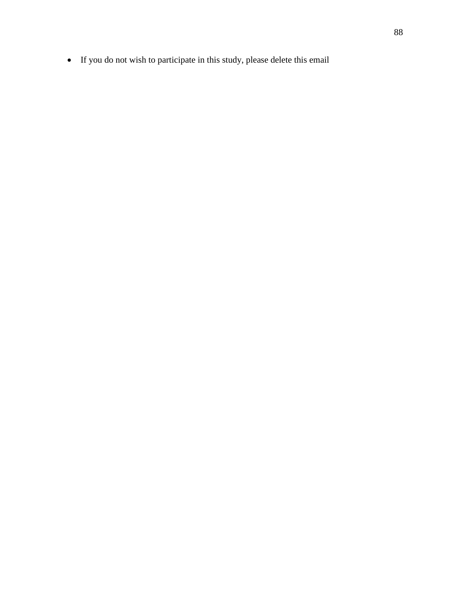• If you do not wish to participate in this study, please delete this email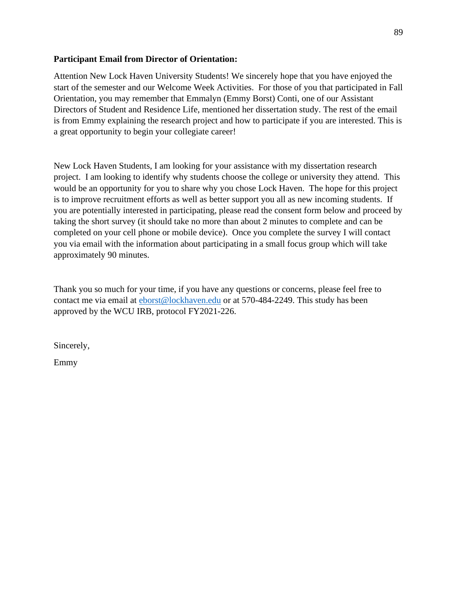#### **Participant Email from Director of Orientation:**

Attention New Lock Haven University Students! We sincerely hope that you have enjoyed the start of the semester and our Welcome Week Activities. For those of you that participated in Fall Orientation, you may remember that Emmalyn (Emmy Borst) Conti, one of our Assistant Directors of Student and Residence Life, mentioned her dissertation study. The rest of the email is from Emmy explaining the research project and how to participate if you are interested. This is a great opportunity to begin your collegiate career!

New Lock Haven Students, I am looking for your assistance with my dissertation research project. I am looking to identify why students choose the college or university they attend. This would be an opportunity for you to share why you chose Lock Haven. The hope for this project is to improve recruitment efforts as well as better support you all as new incoming students. If you are potentially interested in participating, please read the consent form below and proceed by taking the short survey (it should take no more than about 2 minutes to complete and can be completed on your cell phone or mobile device). Once you complete the survey I will contact you via email with the information about participating in a small focus group which will take approximately 90 minutes.

Thank you so much for your time, if you have any questions or concerns, please feel free to contact me via email at [eborst@lockhaven.edu](mailto:eborst@lockhaven.edu) or at 570-484-2249. This study has been approved by the WCU IRB, protocol FY2021-226.

Sincerely,

Emmy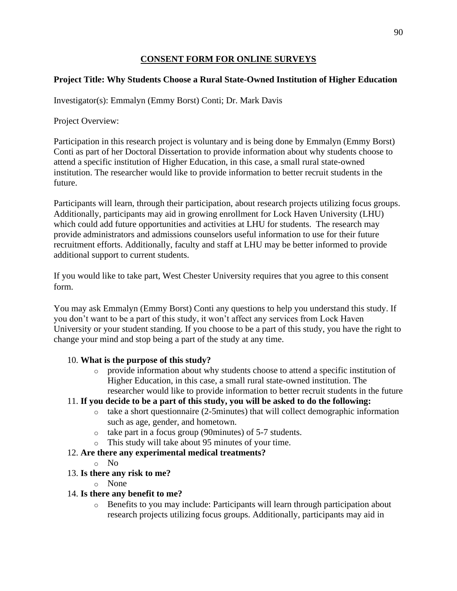#### **CONSENT FORM FOR ONLINE SURVEYS**

#### **Project Title: Why Students Choose a Rural State-Owned Institution of Higher Education**

Investigator(s): Emmalyn (Emmy Borst) Conti; Dr. Mark Davis

Project Overview:

Participation in this research project is voluntary and is being done by Emmalyn (Emmy Borst) Conti as part of her Doctoral Dissertation to provide information about why students choose to attend a specific institution of Higher Education, in this case, a small rural state-owned institution. The researcher would like to provide information to better recruit students in the future.

Participants will learn, through their participation, about research projects utilizing focus groups. Additionally, participants may aid in growing enrollment for Lock Haven University (LHU) which could add future opportunities and activities at LHU for students. The research may provide administrators and admissions counselors useful information to use for their future recruitment efforts. Additionally, faculty and staff at LHU may be better informed to provide additional support to current students.

If you would like to take part, West Chester University requires that you agree to this consent form.

You may ask Emmalyn (Emmy Borst) Conti any questions to help you understand this study. If you don't want to be a part of this study, it won't affect any services from Lock Haven University or your student standing. If you choose to be a part of this study, you have the right to change your mind and stop being a part of the study at any time.

### 10. **What is the purpose of this study?**

o provide information about why students choose to attend a specific institution of Higher Education, in this case, a small rural state-owned institution. The researcher would like to provide information to better recruit students in the future

### 11. **If you decide to be a part of this study, you will be asked to do the following:**

- o take a short questionnaire (2-5minutes) that will collect demographic information such as age, gender, and hometown.
- o take part in a focus group (90minutes) of 5-7 students.
- o This study will take about 95 minutes of your time.

### 12. **Are there any experimental medical treatments?**

o No

### 13. **Is there any risk to me?**

o None

### 14. **Is there any benefit to me?**

o Benefits to you may include: Participants will learn through participation about research projects utilizing focus groups. Additionally, participants may aid in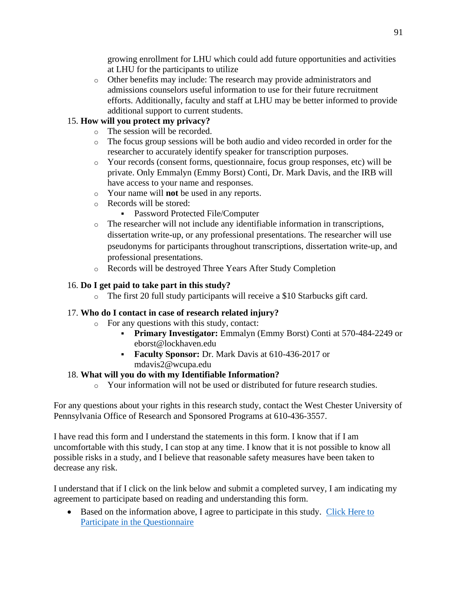growing enrollment for LHU which could add future opportunities and activities at LHU for the participants to utilize

o Other benefits may include: The research may provide administrators and admissions counselors useful information to use for their future recruitment efforts. Additionally, faculty and staff at LHU may be better informed to provide additional support to current students.

# 15. **How will you protect my privacy?**

- o The session will be recorded.
- o The focus group sessions will be both audio and video recorded in order for the researcher to accurately identify speaker for transcription purposes.
- o Your records (consent forms, questionnaire, focus group responses, etc) will be private. Only Emmalyn (Emmy Borst) Conti, Dr. Mark Davis, and the IRB will have access to your name and responses.
- o Your name will **not** be used in any reports.
- o Records will be stored:
	- **Password Protected File/Computer**
- o The researcher will not include any identifiable information in transcriptions, dissertation write-up, or any professional presentations. The researcher will use pseudonyms for participants throughout transcriptions, dissertation write-up, and professional presentations.
- o Records will be destroyed Three Years After Study Completion

### 16. **Do I get paid to take part in this study?**

o The first 20 full study participants will receive a \$10 Starbucks gift card.

### 17. **Who do I contact in case of research related injury?**

- o For any questions with this study, contact:
	- **Primary Investigator:** Emmalyn (Emmy Borst) Conti at 570-484-2249 or eborst@lockhaven.edu
	- **Faculty Sponsor:** Dr. Mark Davis at 610-436-2017 or mdavis2@wcupa.edu

### 18. **What will you do with my Identifiable Information?**

o Your information will not be used or distributed for future research studies.

For any questions about your rights in this research study, contact the West Chester University of Pennsylvania Office of Research and Sponsored Programs at 610-436-3557.

I have read this form and I understand the statements in this form. I know that if I am uncomfortable with this study, I can stop at any time. I know that it is not possible to know all possible risks in a study, and I believe that reasonable safety measures have been taken to decrease any risk.

I understand that if I click on the link below and submit a completed survey, I am indicating my agreement to participate based on reading and understanding this form.

• Based on the information above, I agree to participate in this study. Click Here to [Participate in the Questionnaire](https://wcupa.co1.qualtrics.com/jfe/form/SV_1zyR01Hv0x7rECW)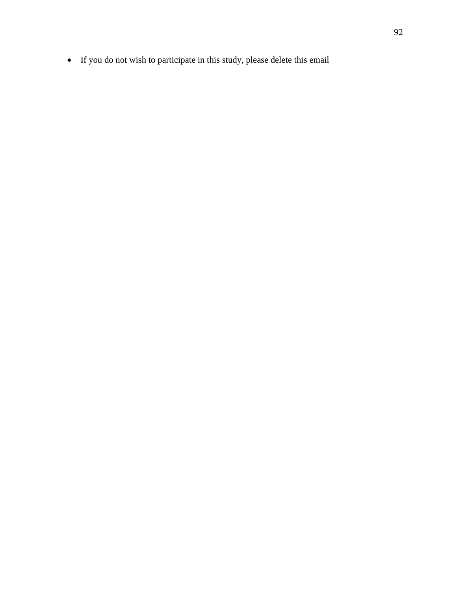• If you do not wish to participate in this study, please delete this email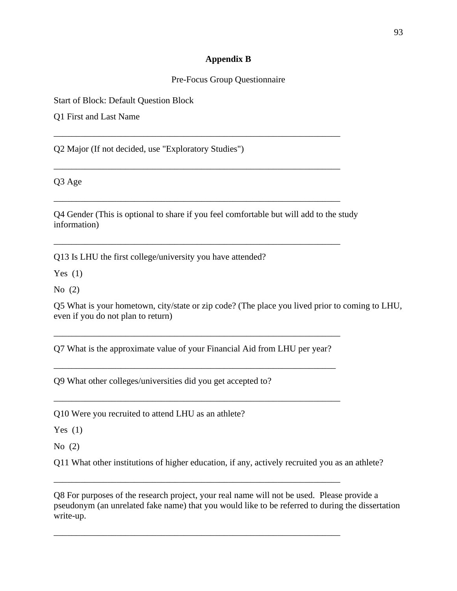#### **Appendix B**

#### Pre-Focus Group Questionnaire

Start of Block: Default Question Block

Q1 First and Last Name

Q2 Major (If not decided, use "Exploratory Studies")

Q3 Age

Q4 Gender (This is optional to share if you feel comfortable but will add to the study information)

\_\_\_\_\_\_\_\_\_\_\_\_\_\_\_\_\_\_\_\_\_\_\_\_\_\_\_\_\_\_\_\_\_\_\_\_\_\_\_\_\_\_\_\_\_\_\_\_\_\_\_\_\_\_\_\_\_\_\_\_\_\_\_\_

\_\_\_\_\_\_\_\_\_\_\_\_\_\_\_\_\_\_\_\_\_\_\_\_\_\_\_\_\_\_\_\_\_\_\_\_\_\_\_\_\_\_\_\_\_\_\_\_\_\_\_\_\_\_\_\_\_\_\_\_\_\_\_\_

\_\_\_\_\_\_\_\_\_\_\_\_\_\_\_\_\_\_\_\_\_\_\_\_\_\_\_\_\_\_\_\_\_\_\_\_\_\_\_\_\_\_\_\_\_\_\_\_\_\_\_\_\_\_\_\_\_\_\_\_\_\_\_\_

\_\_\_\_\_\_\_\_\_\_\_\_\_\_\_\_\_\_\_\_\_\_\_\_\_\_\_\_\_\_\_\_\_\_\_\_\_\_\_\_\_\_\_\_\_\_\_\_\_\_\_\_\_\_\_\_\_\_\_\_\_\_\_\_

Q13 Is LHU the first college/university you have attended?

Yes  $(1)$ 

No (2)

Q5 What is your hometown, city/state or zip code? (The place you lived prior to coming to LHU, even if you do not plan to return)

Q7 What is the approximate value of your Financial Aid from LHU per year?

\_\_\_\_\_\_\_\_\_\_\_\_\_\_\_\_\_\_\_\_\_\_\_\_\_\_\_\_\_\_\_\_\_\_\_\_\_\_\_\_\_\_\_\_\_\_\_\_\_\_\_\_\_\_\_\_\_\_\_\_\_\_\_

\_\_\_\_\_\_\_\_\_\_\_\_\_\_\_\_\_\_\_\_\_\_\_\_\_\_\_\_\_\_\_\_\_\_\_\_\_\_\_\_\_\_\_\_\_\_\_\_\_\_\_\_\_\_\_\_\_\_\_\_\_\_\_\_

\_\_\_\_\_\_\_\_\_\_\_\_\_\_\_\_\_\_\_\_\_\_\_\_\_\_\_\_\_\_\_\_\_\_\_\_\_\_\_\_\_\_\_\_\_\_\_\_\_\_\_\_\_\_\_\_\_\_\_\_\_\_\_\_

\_\_\_\_\_\_\_\_\_\_\_\_\_\_\_\_\_\_\_\_\_\_\_\_\_\_\_\_\_\_\_\_\_\_\_\_\_\_\_\_\_\_\_\_\_\_\_\_\_\_\_\_\_\_\_\_\_\_\_\_\_\_\_\_

\_\_\_\_\_\_\_\_\_\_\_\_\_\_\_\_\_\_\_\_\_\_\_\_\_\_\_\_\_\_\_\_\_\_\_\_\_\_\_\_\_\_\_\_\_\_\_\_\_\_\_\_\_\_\_\_\_\_\_\_\_\_\_\_

Q9 What other colleges/universities did you get accepted to?

Q10 Were you recruited to attend LHU as an athlete?

Yes  $(1)$ 

No (2)

Q11 What other institutions of higher education, if any, actively recruited you as an athlete?

Q8 For purposes of the research project, your real name will not be used. Please provide a pseudonym (an unrelated fake name) that you would like to be referred to during the dissertation write-up.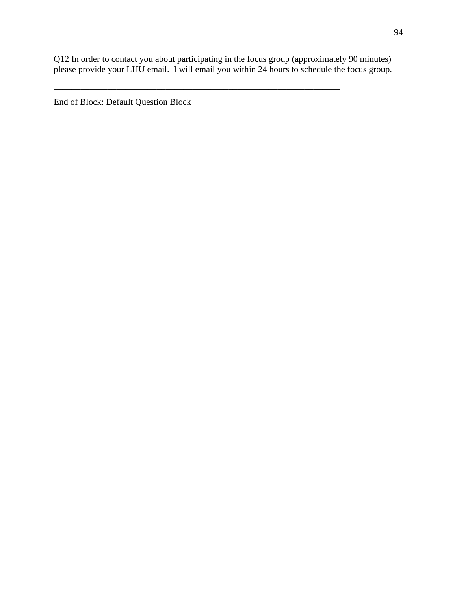Q12 In order to contact you about participating in the focus group (approximately 90 minutes) please provide your LHU email. I will email you within 24 hours to schedule the focus group.

\_\_\_\_\_\_\_\_\_\_\_\_\_\_\_\_\_\_\_\_\_\_\_\_\_\_\_\_\_\_\_\_\_\_\_\_\_\_\_\_\_\_\_\_\_\_\_\_\_\_\_\_\_\_\_\_\_\_\_\_\_\_\_\_

End of Block: Default Question Block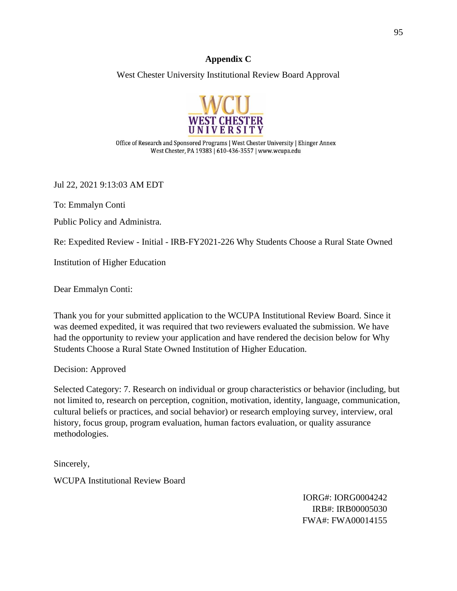#### **Appendix C**

West Chester University Institutional Review Board Approval



Office of Research and Sponsored Programs | West Chester University | Ehinger Annex West Chester, PA 19383 | 610-436-3557 | www.wcupa.edu

Jul 22, 2021 9:13:03 AM EDT

To: Emmalyn Conti

Public Policy and Administra.

Re: Expedited Review - Initial - IRB-FY2021-226 Why Students Choose a Rural State Owned

Institution of Higher Education

Dear Emmalyn Conti:

Thank you for your submitted application to the WCUPA Institutional Review Board. Since it was deemed expedited, it was required that two reviewers evaluated the submission. We have had the opportunity to review your application and have rendered the decision below for Why Students Choose a Rural State Owned Institution of Higher Education.

Decision: Approved

Selected Category: 7. Research on individual or group characteristics or behavior (including, but not limited to, research on perception, cognition, motivation, identity, language, communication, cultural beliefs or practices, and social behavior) or research employing survey, interview, oral history, focus group, program evaluation, human factors evaluation, or quality assurance methodologies.

Sincerely, WCUPA Institutional Review Board

> IORG#: IORG0004242 IRB#: IRB00005030 FWA#: FWA00014155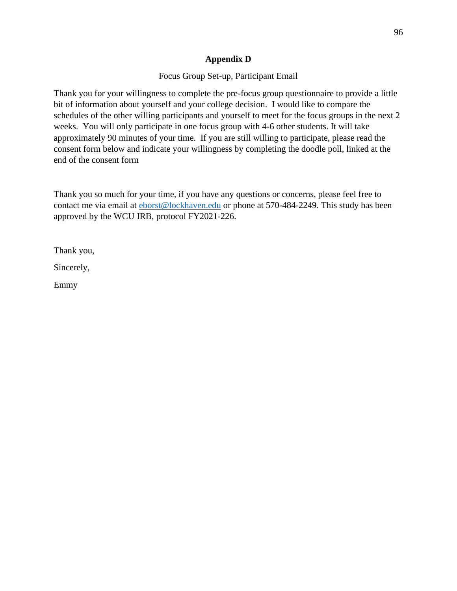#### **Appendix D**

Focus Group Set-up, Participant Email

Thank you for your willingness to complete the pre-focus group questionnaire to provide a little bit of information about yourself and your college decision. I would like to compare the schedules of the other willing participants and yourself to meet for the focus groups in the next 2 weeks. You will only participate in one focus group with 4-6 other students. It will take approximately 90 minutes of your time. If you are still willing to participate, please read the consent form below and indicate your willingness by completing the doodle poll, linked at the end of the consent form

Thank you so much for your time, if you have any questions or concerns, please feel free to contact me via email at **eborst@lockhaven.edu** or phone at 570-484-2249. This study has been approved by the WCU IRB, protocol FY2021-226.

Thank you,

Sincerely,

Emmy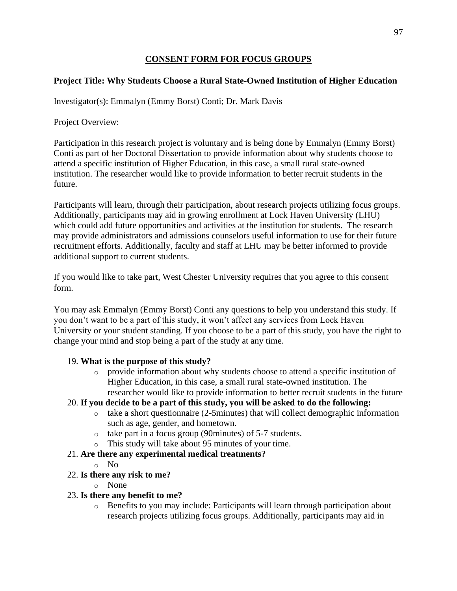#### **CONSENT FORM FOR FOCUS GROUPS**

### **Project Title: Why Students Choose a Rural State-Owned Institution of Higher Education**

Investigator(s): Emmalyn (Emmy Borst) Conti; Dr. Mark Davis

Project Overview:

Participation in this research project is voluntary and is being done by Emmalyn (Emmy Borst) Conti as part of her Doctoral Dissertation to provide information about why students choose to attend a specific institution of Higher Education, in this case, a small rural state-owned institution. The researcher would like to provide information to better recruit students in the future.

Participants will learn, through their participation, about research projects utilizing focus groups. Additionally, participants may aid in growing enrollment at Lock Haven University (LHU) which could add future opportunities and activities at the institution for students. The research may provide administrators and admissions counselors useful information to use for their future recruitment efforts. Additionally, faculty and staff at LHU may be better informed to provide additional support to current students.

If you would like to take part, West Chester University requires that you agree to this consent form.

You may ask Emmalyn (Emmy Borst) Conti any questions to help you understand this study. If you don't want to be a part of this study, it won't affect any services from Lock Haven University or your student standing. If you choose to be a part of this study, you have the right to change your mind and stop being a part of the study at any time.

#### 19. **What is the purpose of this study?**

o provide information about why students choose to attend a specific institution of Higher Education, in this case, a small rural state-owned institution. The researcher would like to provide information to better recruit students in the future

### 20. **If you decide to be a part of this study, you will be asked to do the following:**

- o take a short questionnaire (2-5minutes) that will collect demographic information such as age, gender, and hometown.
- o take part in a focus group (90minutes) of 5-7 students.
- o This study will take about 95 minutes of your time.

### 21. **Are there any experimental medical treatments?**

o No

### 22. **Is there any risk to me?**

o None

### 23. **Is there any benefit to me?**

o Benefits to you may include: Participants will learn through participation about research projects utilizing focus groups. Additionally, participants may aid in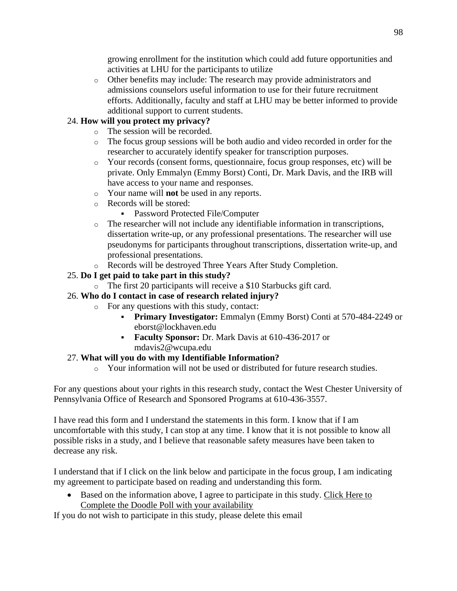growing enrollment for the institution which could add future opportunities and activities at LHU for the participants to utilize

o Other benefits may include: The research may provide administrators and admissions counselors useful information to use for their future recruitment efforts. Additionally, faculty and staff at LHU may be better informed to provide additional support to current students.

# 24. **How will you protect my privacy?**

- o The session will be recorded.
- o The focus group sessions will be both audio and video recorded in order for the researcher to accurately identify speaker for transcription purposes.
- o Your records (consent forms, questionnaire, focus group responses, etc) will be private. Only Emmalyn (Emmy Borst) Conti, Dr. Mark Davis, and the IRB will have access to your name and responses.
- o Your name will **not** be used in any reports.
- o Records will be stored:
	- **Password Protected File/Computer**
- o The researcher will not include any identifiable information in transcriptions, dissertation write-up, or any professional presentations. The researcher will use pseudonyms for participants throughout transcriptions, dissertation write-up, and professional presentations.
- o Records will be destroyed Three Years After Study Completion.

# 25. **Do I get paid to take part in this study?**

- o The first 20 participants will receive a \$10 Starbucks gift card.
- 26. **Who do I contact in case of research related injury?**
	- o For any questions with this study, contact:
		- **Primary Investigator:** Emmalyn (Emmy Borst) Conti at 570-484-2249 or eborst@lockhaven.edu
		- **Faculty Sponsor:** Dr. Mark Davis at 610-436-2017 or mdavis2@wcupa.edu

### 27. **What will you do with my Identifiable Information?**

o Your information will not be used or distributed for future research studies.

For any questions about your rights in this research study, contact the West Chester University of Pennsylvania Office of Research and Sponsored Programs at 610-436-3557.

I have read this form and I understand the statements in this form. I know that if I am uncomfortable with this study, I can stop at any time. I know that it is not possible to know all possible risks in a study, and I believe that reasonable safety measures have been taken to decrease any risk.

I understand that if I click on the link below and participate in the focus group, I am indicating my agreement to participate based on reading and understanding this form.

• Based on the information above, I agree to participate in this study. Click Here to Complete the Doodle Poll with your availability

If you do not wish to participate in this study, please delete this email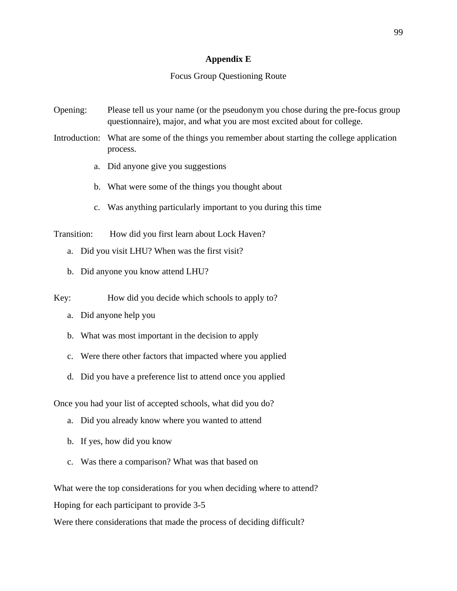#### **Appendix E**

#### Focus Group Questioning Route

- Opening: Please tell us your name (or the pseudonym you chose during the pre-focus group questionnaire), major, and what you are most excited about for college.
- Introduction: What are some of the things you remember about starting the college application process.
	- a. Did anyone give you suggestions
	- b. What were some of the things you thought about
	- c. Was anything particularly important to you during this time

Transition: How did you first learn about Lock Haven?

- a. Did you visit LHU? When was the first visit?
- b. Did anyone you know attend LHU?

Key: How did you decide which schools to apply to?

- a. Did anyone help you
- b. What was most important in the decision to apply
- c. Were there other factors that impacted where you applied
- d. Did you have a preference list to attend once you applied

Once you had your list of accepted schools, what did you do?

- a. Did you already know where you wanted to attend
- b. If yes, how did you know
- c. Was there a comparison? What was that based on

What were the top considerations for you when deciding where to attend?

Hoping for each participant to provide 3-5

Were there considerations that made the process of deciding difficult?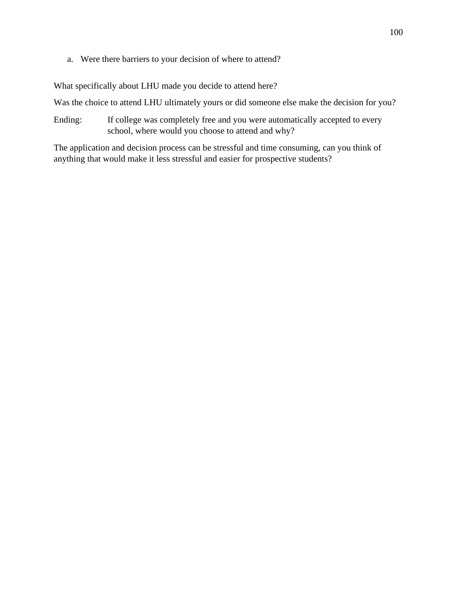a. Were there barriers to your decision of where to attend?

What specifically about LHU made you decide to attend here?

Was the choice to attend LHU ultimately yours or did someone else make the decision for you?

Ending: If college was completely free and you were automatically accepted to every school, where would you choose to attend and why?

The application and decision process can be stressful and time consuming, can you think of anything that would make it less stressful and easier for prospective students?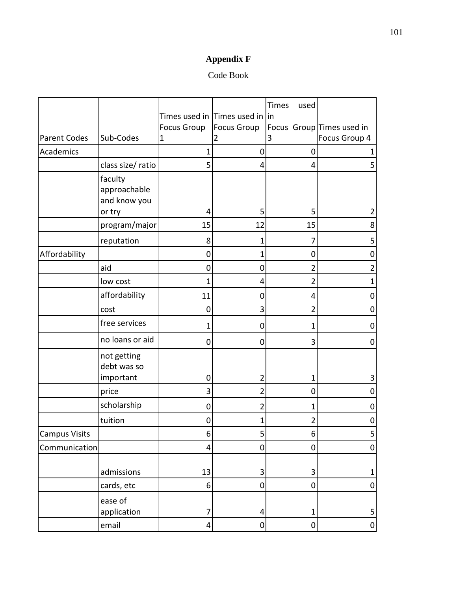# **Appendix F**

# Code Book

|                      |                                                   |                    |                                 | Times<br>used       |                           |
|----------------------|---------------------------------------------------|--------------------|---------------------------------|---------------------|---------------------------|
|                      |                                                   |                    | Times used in Times used in lin |                     |                           |
|                      |                                                   | <b>Focus Group</b> | <b>Focus Group</b>              |                     | Focus Group Times used in |
| <b>Parent Codes</b>  | Sub-Codes                                         | 1                  | $\overline{2}$                  | 3                   | Focus Group 4             |
| Academics            |                                                   | 1                  | $\mathbf 0$                     | $\mathbf 0$         |                           |
|                      | class size/ ratio                                 | 5                  | 4                               | 4                   | 5                         |
|                      | faculty<br>approachable<br>and know you<br>or try | 4                  | 5                               | 5                   | 2                         |
|                      | program/major                                     | 15                 | 12                              | 15                  | 8                         |
|                      | reputation                                        | 8                  | 1                               |                     | 5                         |
| Affordability        |                                                   | 0                  | 1                               | 0                   | 0                         |
|                      | aid                                               | 0                  | 0                               | $\overline{2}$      | $\overline{2}$            |
|                      | low cost                                          | 1                  | 4                               | $\overline{2}$      | 1                         |
|                      | affordability                                     | 11                 | 0                               | 4                   | 0                         |
|                      | cost                                              | 0                  | 3                               | 2                   | 0                         |
|                      | free services                                     | 1                  | $\mathbf 0$                     | 1                   | 0                         |
|                      | no loans or aid                                   | 0                  | 0                               | 3                   | 0                         |
|                      | not getting<br>debt was so                        |                    |                                 |                     |                           |
|                      | important                                         | 0                  | 2                               | 1                   | 3                         |
|                      | price                                             | 3                  | 2                               | 0                   | 0                         |
|                      | scholarship                                       | 0                  | 2                               | 1                   | 0                         |
|                      | tuition                                           | 0                  | 1                               | 2                   | $\pmb{0}$                 |
| <b>Campus Visits</b> |                                                   | b                  | 5                               | b                   | 5                         |
| Communication        |                                                   | 4                  | 0                               | 0                   | $\pmb{0}$                 |
|                      | admissions                                        | 13                 | $\mathbf{3}$                    | 3                   | $\mathbf 1$               |
|                      | cards, etc                                        | 6                  | $\pmb{0}$                       | 0                   | 0                         |
|                      | ease of<br>application                            | $\overline{7}$     | 4                               | 1                   | 5                         |
|                      | email                                             | 4                  | $\pmb{0}$                       | $\mathsf{O}\xspace$ | $\pmb{0}$                 |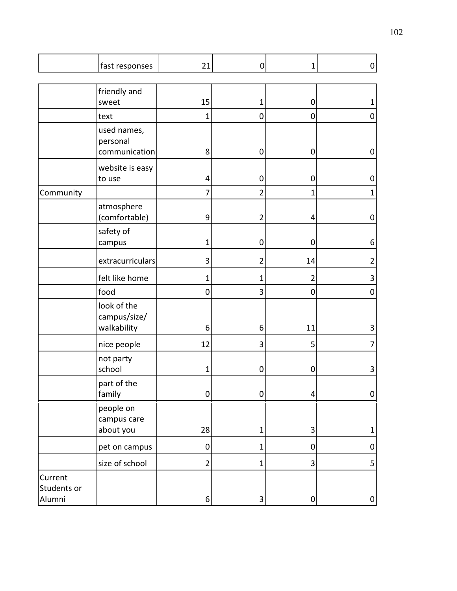|                                  | fast responses                             | 21                   | 0              | 1                               | $\boldsymbol{0}$ |
|----------------------------------|--------------------------------------------|----------------------|----------------|---------------------------------|------------------|
|                                  | friendly and                               |                      |                |                                 |                  |
|                                  | sweet<br>text                              | 15<br>$\overline{1}$ | 1<br>0         | $\mathbf 0$<br>$\boldsymbol{0}$ | 1<br>$\pmb{0}$   |
|                                  | used names,                                |                      |                |                                 |                  |
|                                  | personal<br>communication                  | 8                    | $\pmb{0}$      | $\pmb{0}$                       | $\pmb{0}$        |
|                                  | website is easy<br>to use                  | 4                    | $\mathbf 0$    | $\pmb{0}$                       | $\pmb{0}$        |
| Community                        |                                            | 7                    | $\overline{2}$ | 1                               | $\mathbf{1}$     |
|                                  | atmosphere<br>(comfortable)                | 9                    | 2              | 4                               | $\pmb{0}$        |
|                                  | safety of<br>campus                        | 1                    | $\mathbf 0$    | $\mathbf 0$                     | 6                |
|                                  | extracurriculars                           | 3                    | $\overline{2}$ | 14                              | $\overline{2}$   |
|                                  | felt like home                             | 1                    | 1              | $\overline{2}$                  | 3                |
|                                  | food                                       | 0                    | 3              | $\mathbf 0$                     | $\pmb{0}$        |
|                                  | look of the<br>campus/size/<br>walkability | 6                    | 6              | 11                              | 3                |
|                                  | nice people                                | 12                   | 3              | 5                               | 7                |
|                                  | not party<br>school                        | 1                    | $\mathbf 0$    | $\pmb{0}$                       | 3                |
|                                  | part of the<br>family                      | $\pmb{0}$            | $\pmb{0}$      | 4                               | $\overline{0}$   |
|                                  | people on<br>campus care<br>about you      | 28                   | $\mathbf 1$    | 3                               | $\mathbf 1$      |
|                                  | pet on campus                              | $\mathbf 0$          | $\mathbf 1$    | $\pmb{0}$                       | $\pmb{0}$        |
|                                  | size of school                             | $\overline{2}$       | 1              | 3                               | 5                |
| Current<br>Students or<br>Alumni |                                            | $\boldsymbol{6}$     | 3              | $\pmb{0}$                       | $\pmb{0}$        |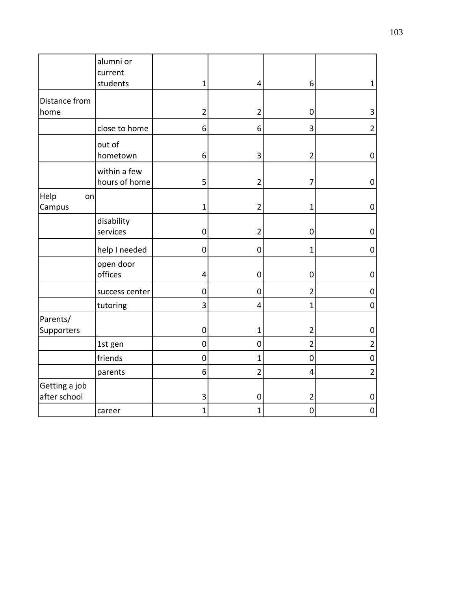|                               | alumni or<br>current          |                     |                |                |                  |
|-------------------------------|-------------------------------|---------------------|----------------|----------------|------------------|
|                               | students                      | $\mathbf{1}$        | 4              | 6              | 1                |
| Distance from<br>home         |                               | $\overline{2}$      | $\overline{2}$ | 0              | 3                |
|                               | close to home                 | 6                   | 6              | 3              | $\overline{2}$   |
|                               | out of<br>hometown            | 6                   | 3              | $\overline{2}$ | $\pmb{0}$        |
|                               | within a few<br>hours of home | 5                   | $\overline{2}$ | 7              | $\boldsymbol{0}$ |
| Help<br>on<br>Campus          |                               | $\mathbf 1$         | $\overline{2}$ | 1              | $\boldsymbol{0}$ |
|                               | disability<br>services        | $\mathbf 0$         | $\overline{2}$ | 0              | $\mathbf 0$      |
|                               | help I needed                 | $\mathbf 0$         | $\mathbf 0$    | 1              | 0                |
|                               | open door<br>offices          | 4                   | $\mathbf 0$    | 0              | $\mathbf 0$      |
|                               | success center                | 0                   | $\mathbf 0$    | $\overline{2}$ | 0                |
|                               | tutoring                      | 3                   | 4              | $\overline{1}$ | $\mathbf 0$      |
| Parents/<br>Supporters        |                               | 0                   | 1              | $\overline{2}$ | $\boldsymbol{0}$ |
|                               | 1st gen                       | $\pmb{0}$           | $\mathbf 0$    | $\overline{2}$ | $\overline{2}$   |
|                               | friends                       | $\mathsf{O}\xspace$ | $\overline{1}$ | $\overline{0}$ | $\mathbf 0$      |
|                               | parents                       | 6                   | $\overline{2}$ | 4              | $\overline{2}$   |
| Getting a job<br>after school |                               | 3                   | $\mathbf 0$    | $\overline{2}$ | $\boldsymbol{0}$ |
|                               | career                        | $\mathbf 1$         | 1              | $\mathbf 0$    | $\pmb{0}$        |